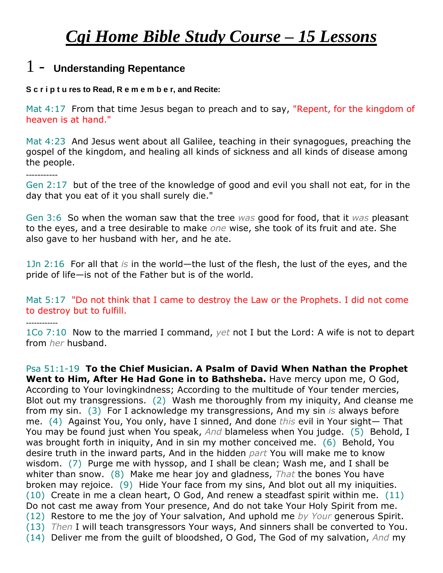# *Cgi Home Bible Study Course – 15 Lessons*

### 1 - **Understanding Repentance**

#### **S c r i p t u res to Read, R e m e m b e r, and Recite:**

Mat 4:17 From that time Jesus began to preach and to say, "Repent, for the kingdom of heaven is at hand."

Mat 4:23 And Jesus went about all Galilee, teaching in their synagogues, preaching the gospel of the kingdom, and healing all kinds of sickness and all kinds of disease among the people.

-----------

Gen 2:17 but of the tree of the knowledge of good and evil you shall not eat, for in the day that you eat of it you shall surely die."

Gen 3:6 So when the woman saw that the tree *was* good for food, that it *was* pleasant to the eyes, and a tree desirable to make *one* wise, she took of its fruit and ate. She also gave to her husband with her, and he ate.

1Jn 2:16 For all that *is* in the world—the lust of the flesh, the lust of the eyes, and the pride of life—is not of the Father but is of the world.

Mat 5:17 "Do not think that I came to destroy the Law or the Prophets. I did not come to destroy but to fulfill.

*------------*

1Co 7:10 Now to the married I command, *yet* not I but the Lord: A wife is not to depart from *her* husband.

Psa 51:1-19 **To the Chief Musician. A Psalm of David When Nathan the Prophet Went to Him, After He Had Gone in to Bathsheba.** Have mercy upon me, O God, According to Your lovingkindness; According to the multitude of Your tender mercies, Blot out my transgressions. (2) Wash me thoroughly from my iniquity, And cleanse me from my sin. (3) For I acknowledge my transgressions, And my sin *is* always before me. (4) Against You, You only, have I sinned, And done *this* evil in Your sight— That You may be found just when You speak, *And* blameless when You judge. (5) Behold, I was brought forth in iniquity, And in sin my mother conceived me. (6) Behold, You desire truth in the inward parts, And in the hidden *part* You will make me to know wisdom. (7) Purge me with hyssop, and I shall be clean; Wash me, and I shall be whiter than snow. (8) Make me hear joy and gladness, *That* the bones You have broken may rejoice. (9) Hide Your face from my sins, And blot out all my iniquities. (10) Create in me a clean heart, O God, And renew a steadfast spirit within me. (11) Do not cast me away from Your presence, And do not take Your Holy Spirit from me. (12) Restore to me the joy of Your salvation, And uphold me *by Your* generous Spirit. (13) *Then* I will teach transgressors Your ways, And sinners shall be converted to You. (14) Deliver me from the guilt of bloodshed, O God, The God of my salvation, *And* my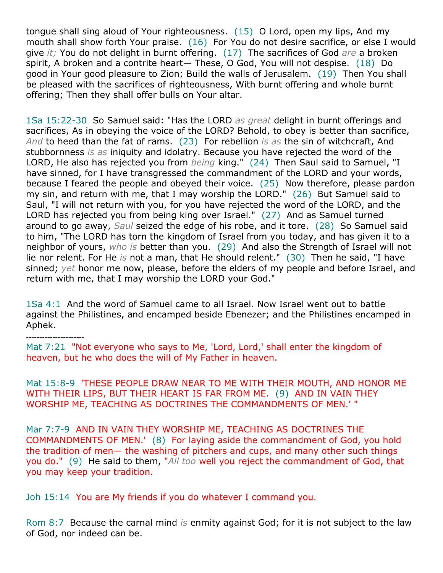tongue shall sing aloud of Your righteousness. (15) O Lord, open my lips, And my mouth shall show forth Your praise. (16) For You do not desire sacrifice, or else I would give *it;* You do not delight in burnt offering. (17) The sacrifices of God *are* a broken spirit, A broken and a contrite heart— These, O God, You will not despise. (18) Do good in Your good pleasure to Zion; Build the walls of Jerusalem. (19) Then You shall be pleased with the sacrifices of righteousness, With burnt offering and whole burnt offering; Then they shall offer bulls on Your altar.

1Sa 15:22-30 So Samuel said: "Has the LORD *as great* delight in burnt offerings and sacrifices, As in obeying the voice of the LORD? Behold, to obey is better than sacrifice, *And* to heed than the fat of rams. (23) For rebellion *is as* the sin of witchcraft, And stubbornness *is as* iniquity and idolatry. Because you have rejected the word of the LORD, He also has rejected you from *being* king." (24) Then Saul said to Samuel, "I have sinned, for I have transgressed the commandment of the LORD and your words, because I feared the people and obeyed their voice. (25) Now therefore, please pardon my sin, and return with me, that I may worship the LORD." (26) But Samuel said to Saul, "I will not return with you, for you have rejected the word of the LORD, and the LORD has rejected you from being king over Israel." (27) And as Samuel turned around to go away, *Saul* seized the edge of his robe, and it tore. (28) So Samuel said to him, "The LORD has torn the kingdom of Israel from you today, and has given it to a neighbor of yours, *who is* better than you. (29) And also the Strength of Israel will not lie nor relent. For He *is* not a man, that He should relent." (30) Then he said, "I have sinned; *yet* honor me now, please, before the elders of my people and before Israel, and return with me, that I may worship the LORD your God."

1Sa 4:1 And the word of Samuel came to all Israel. Now Israel went out to battle against the Philistines, and encamped beside Ebenezer; and the Philistines encamped in Aphek.

*----------------------*

Mat 7:21 "Not everyone who says to Me, 'Lord, Lord,' shall enter the kingdom of heaven, but he who does the will of My Father in heaven.

Mat 15:8-9 'THESE PEOPLE DRAW NEAR TO ME WITH THEIR MOUTH, AND HONOR ME WITH THEIR LIPS, BUT THEIR HEART IS FAR FROM ME. (9) AND IN VAIN THEY WORSHIP ME, TEACHING AS DOCTRINES THE COMMANDMENTS OF MEN.' "

Mar 7:7-9 AND IN VAIN THEY WORSHIP ME, TEACHING AS DOCTRINES THE COMMANDMENTS OF MEN.' (8) For laying aside the commandment of God, you hold the tradition of men— the washing of pitchers and cups, and many other such things you do." (9) He said to them, "*All too* well you reject the commandment of God, that you may keep your tradition.

Joh 15:14 You are My friends if you do whatever I command you.

Rom 8:7 Because the carnal mind *is* enmity against God; for it is not subject to the law of God, nor indeed can be.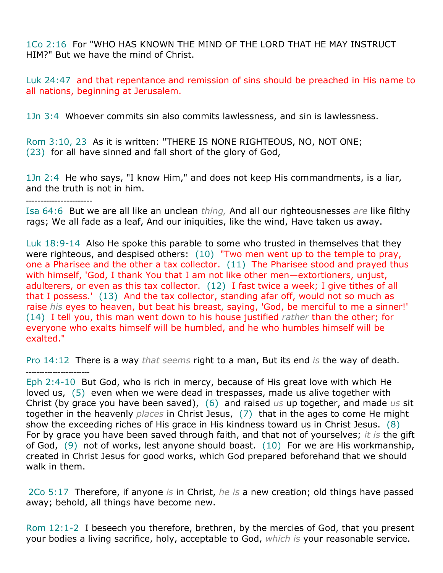1Co 2:16 For "WHO HAS KNOWN THE MIND OF THE LORD THAT HE MAY INSTRUCT HIM?" But we have the mind of Christ.

Luk 24:47 and that repentance and remission of sins should be preached in His name to all nations, beginning at Jerusalem.

1Jn 3:4 Whoever commits sin also commits lawlessness, and sin is lawlessness.

Rom 3:10, 23 As it is written: "THERE IS NONE RIGHTEOUS, NO, NOT ONE; (23) for all have sinned and fall short of the glory of God,

1Jn 2:4 He who says, "I know Him," and does not keep His commandments, is a liar, and the truth is not in him.

-----------------------

Isa 64:6 But we are all like an unclean *thing,* And all our righteousnesses *are* like filthy rags; We all fade as a leaf, And our iniquities, like the wind, Have taken us away.

Luk 18:9-14 Also He spoke this parable to some who trusted in themselves that they were righteous, and despised others: (10) "Two men went up to the temple to pray, one a Pharisee and the other a tax collector. (11) The Pharisee stood and prayed thus with himself, 'God, I thank You that I am not like other men-extortioners, unjust, adulterers, or even as this tax collector. (12) I fast twice a week; I give tithes of all that I possess.' (13) And the tax collector, standing afar off, would not so much as raise *his* eyes to heaven, but beat his breast, saying, 'God, be merciful to me a sinner!' (14) I tell you, this man went down to his house justified *rather* than the other; for everyone who exalts himself will be humbled, and he who humbles himself will be exalted."

Pro 14:12 There is a way *that seems* right to a man, But its end *is* the way of death. *------------------------*

Eph 2:4-10 But God, who is rich in mercy, because of His great love with which He loved us, (5) even when we were dead in trespasses, made us alive together with Christ (by grace you have been saved), (6) and raised *us* up together, and made *us* sit together in the heavenly *places* in Christ Jesus, (7) that in the ages to come He might show the exceeding riches of His grace in His kindness toward us in Christ Jesus. (8) For by grace you have been saved through faith, and that not of yourselves; *it is* the gift of God, (9) not of works, lest anyone should boast. (10) For we are His workmanship, created in Christ Jesus for good works, which God prepared beforehand that we should walk in them.

2Co 5:17 Therefore, if anyone *is* in Christ, *he is* a new creation; old things have passed away; behold, all things have become new.

Rom 12:1-2 I beseech you therefore, brethren, by the mercies of God, that you present your bodies a living sacrifice, holy, acceptable to God, *which is* your reasonable service.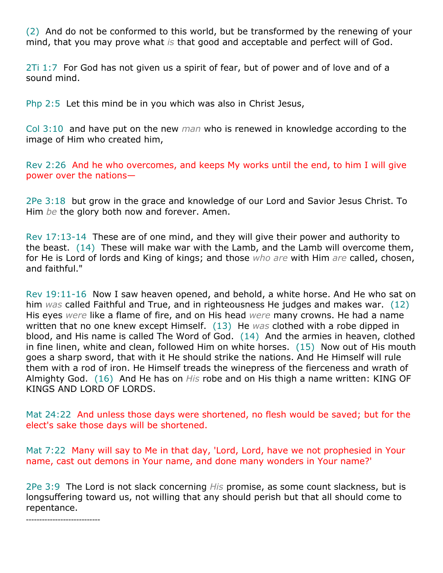(2) And do not be conformed to this world, but be transformed by the renewing of your mind, that you may prove what *is* that good and acceptable and perfect will of God.

2Ti 1:7 For God has not given us a spirit of fear, but of power and of love and of a sound mind.

Php 2:5 Let this mind be in you which was also in Christ Jesus,

Col 3:10 and have put on the new *man* who is renewed in knowledge according to the image of Him who created him,

Rev 2:26 And he who overcomes, and keeps My works until the end, to him I will give power over the nations—

2Pe 3:18 but grow in the grace and knowledge of our Lord and Savior Jesus Christ. To Him *be* the glory both now and forever. Amen.

Rev 17:13-14 These are of one mind, and they will give their power and authority to the beast. (14) These will make war with the Lamb, and the Lamb will overcome them, for He is Lord of lords and King of kings; and those *who are* with Him *are* called, chosen, and faithful."

Rev 19:11-16 Now I saw heaven opened, and behold, a white horse. And He who sat on him *was* called Faithful and True, and in righteousness He judges and makes war. (12) His eyes *were* like a flame of fire, and on His head *were* many crowns. He had a name written that no one knew except Himself. (13) He *was* clothed with a robe dipped in blood, and His name is called The Word of God. (14) And the armies in heaven, clothed in fine linen, white and clean, followed Him on white horses. (15) Now out of His mouth goes a sharp sword, that with it He should strike the nations. And He Himself will rule them with a rod of iron. He Himself treads the winepress of the fierceness and wrath of Almighty God. (16) And He has on *His* robe and on His thigh a name written: KING OF KINGS AND LORD OF LORDS.

Mat 24:22 And unless those days were shortened, no flesh would be saved; but for the elect's sake those days will be shortened.

Mat 7:22 Many will say to Me in that day, 'Lord, Lord, have we not prophesied in Your name, cast out demons in Your name, and done many wonders in Your name?'

2Pe 3:9 The Lord is not slack concerning *His* promise, as some count slackness, but is longsuffering toward us, not willing that any should perish but that all should come to repentance.

*----------------------------*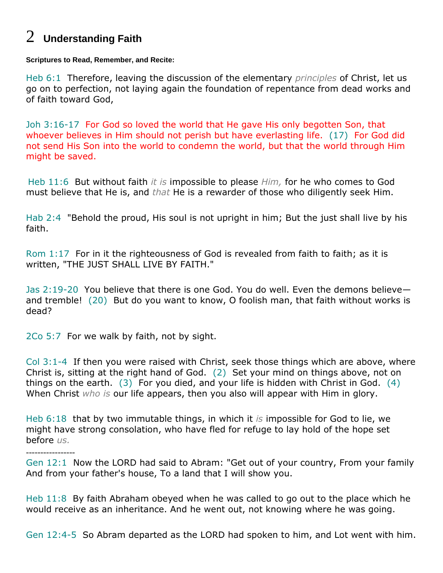## 2 **Understanding Faith**

**Scriptures to Read, Remember, and Recite:**

Heb 6:1 Therefore, leaving the discussion of the elementary *principles* of Christ, let us go on to perfection, not laying again the foundation of repentance from dead works and of faith toward God,

Joh 3:16-17 For God so loved the world that He gave His only begotten Son, that whoever believes in Him should not perish but have everlasting life. (17) For God did not send His Son into the world to condemn the world, but that the world through Him might be saved.

Heb 11:6 But without faith *it is* impossible to please *Him,* for he who comes to God must believe that He is, and *that* He is a rewarder of those who diligently seek Him.

Hab 2:4 "Behold the proud, His soul is not upright in him; But the just shall live by his faith.

Rom 1:17 For in it the righteousness of God is revealed from faith to faith; as it is written, "THE JUST SHALL LIVE BY FAITH."

Jas 2:19-20 You believe that there is one God. You do well. Even the demons believe and tremble! (20) But do you want to know, O foolish man, that faith without works is dead?

2Co 5:7 For we walk by faith, not by sight.

-----------------

Col 3:1-4 If then you were raised with Christ, seek those things which are above, where Christ is, sitting at the right hand of God. (2) Set your mind on things above, not on things on the earth. (3) For you died, and your life is hidden with Christ in God. (4) When Christ *who is* our life appears, then you also will appear with Him in glory.

Heb 6:18 that by two immutable things, in which it *is* impossible for God to lie, we might have strong consolation, who have fled for refuge to lay hold of the hope set before *us.*

Gen 12:1 Now the LORD had said to Abram: "Get out of your country, From your family And from your father's house, To a land that I will show you.

Heb 11:8 By faith Abraham obeyed when he was called to go out to the place which he would receive as an inheritance. And he went out, not knowing where he was going.

Gen 12:4-5 So Abram departed as the LORD had spoken to him, and Lot went with him.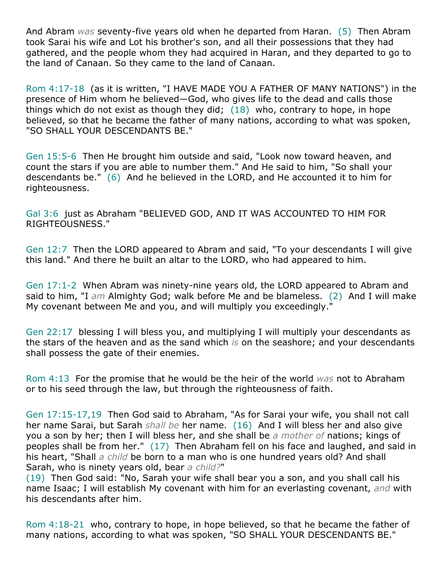And Abram *was* seventy-five years old when he departed from Haran. (5) Then Abram took Sarai his wife and Lot his brother's son, and all their possessions that they had gathered, and the people whom they had acquired in Haran, and they departed to go to the land of Canaan. So they came to the land of Canaan.

Rom 4:17-18 (as it is written, "I HAVE MADE YOU A FATHER OF MANY NATIONS") in the presence of Him whom he believed—God, who gives life to the dead and calls those things which do not exist as though they did;  $(18)$  who, contrary to hope, in hope believed, so that he became the father of many nations, according to what was spoken, "SO SHALL YOUR DESCENDANTS BE."

Gen 15:5-6 Then He brought him outside and said, "Look now toward heaven, and count the stars if you are able to number them." And He said to him, "So shall your descendants be." (6) And he believed in the LORD, and He accounted it to him for righteousness.

Gal 3:6 just as Abraham "BELIEVED GOD, AND IT WAS ACCOUNTED TO HIM FOR RIGHTEOUSNESS."

Gen 12:7 Then the LORD appeared to Abram and said, "To your descendants I will give this land." And there he built an altar to the LORD, who had appeared to him.

Gen 17:1-2 When Abram was ninety-nine years old, the LORD appeared to Abram and said to him, "I *am* Almighty God; walk before Me and be blameless. (2) And I will make My covenant between Me and you, and will multiply you exceedingly."

Gen 22:17 blessing I will bless you, and multiplying I will multiply your descendants as the stars of the heaven and as the sand which *is* on the seashore; and your descendants shall possess the gate of their enemies.

Rom 4:13 For the promise that he would be the heir of the world *was* not to Abraham or to his seed through the law, but through the righteousness of faith.

Gen 17:15-17,19 Then God said to Abraham, "As for Sarai your wife, you shall not call her name Sarai, but Sarah *shall be* her name. (16) And I will bless her and also give you a son by her; then I will bless her, and she shall be *a mother of* nations; kings of peoples shall be from her." (17) Then Abraham fell on his face and laughed, and said in his heart, "Shall *a child* be born to a man who is one hundred years old? And shall Sarah, who is ninety years old, bear *a child?*"

(19) Then God said: "No, Sarah your wife shall bear you a son, and you shall call his name Isaac; I will establish My covenant with him for an everlasting covenant, *and* with his descendants after him.

Rom 4:18-21 who, contrary to hope, in hope believed, so that he became the father of many nations, according to what was spoken, "SO SHALL YOUR DESCENDANTS BE."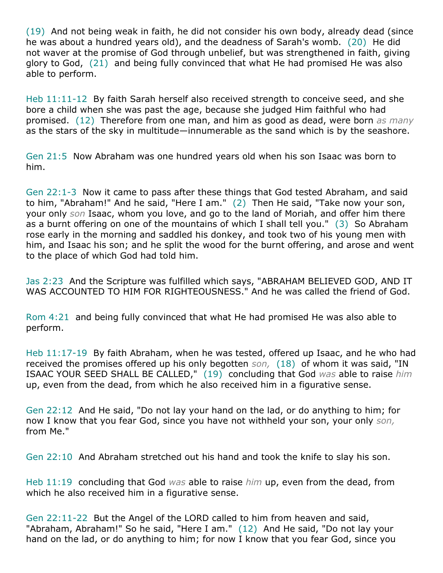(19) And not being weak in faith, he did not consider his own body, already dead (since he was about a hundred years old), and the deadness of Sarah's womb. (20) He did not waver at the promise of God through unbelief, but was strengthened in faith, giving glory to God, (21) and being fully convinced that what He had promised He was also able to perform.

Heb 11:11-12 By faith Sarah herself also received strength to conceive seed, and she bore a child when she was past the age, because she judged Him faithful who had promised. (12) Therefore from one man, and him as good as dead, were born *as many* as the stars of the sky in multitude—innumerable as the sand which is by the seashore.

Gen 21:5 Now Abraham was one hundred years old when his son Isaac was born to him.

Gen 22:1-3 Now it came to pass after these things that God tested Abraham, and said to him, "Abraham!" And he said, "Here I am." (2) Then He said, "Take now your son, your only *son* Isaac, whom you love, and go to the land of Moriah, and offer him there as a burnt offering on one of the mountains of which I shall tell you." (3) So Abraham rose early in the morning and saddled his donkey, and took two of his young men with him, and Isaac his son; and he split the wood for the burnt offering, and arose and went to the place of which God had told him.

Jas 2:23 And the Scripture was fulfilled which says, "ABRAHAM BELIEVED GOD, AND IT WAS ACCOUNTED TO HIM FOR RIGHTEOUSNESS." And he was called the friend of God.

Rom 4:21 and being fully convinced that what He had promised He was also able to perform.

Heb 11:17-19 By faith Abraham, when he was tested, offered up Isaac, and he who had received the promises offered up his only begotten *son,* (18) of whom it was said, "IN ISAAC YOUR SEED SHALL BE CALLED," (19) concluding that God *was* able to raise *him* up, even from the dead, from which he also received him in a figurative sense.

Gen 22:12 And He said, "Do not lay your hand on the lad, or do anything to him; for now I know that you fear God, since you have not withheld your son, your only *son,* from Me."

Gen 22:10 And Abraham stretched out his hand and took the knife to slay his son.

Heb 11:19 concluding that God *was* able to raise *him* up, even from the dead, from which he also received him in a figurative sense.

Gen 22:11-22 But the Angel of the LORD called to him from heaven and said, "Abraham, Abraham!" So he said, "Here I am." (12) And He said, "Do not lay your hand on the lad, or do anything to him; for now I know that you fear God, since you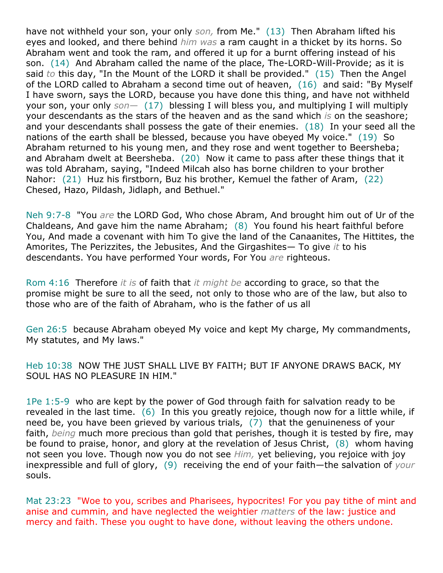have not withheld your son, your only *son,* from Me." (13) Then Abraham lifted his eyes and looked, and there behind *him was* a ram caught in a thicket by its horns. So Abraham went and took the ram, and offered it up for a burnt offering instead of his son. (14) And Abraham called the name of the place, The-LORD-Will-Provide; as it is said *to* this day, "In the Mount of the LORD it shall be provided." (15) Then the Angel of the LORD called to Abraham a second time out of heaven, (16) and said: "By Myself I have sworn, says the LORD, because you have done this thing, and have not withheld your son, your only *son—* (17) blessing I will bless you, and multiplying I will multiply your descendants as the stars of the heaven and as the sand which *is* on the seashore; and your descendants shall possess the gate of their enemies. (18) In your seed all the nations of the earth shall be blessed, because you have obeyed My voice." (19) So Abraham returned to his young men, and they rose and went together to Beersheba; and Abraham dwelt at Beersheba. (20) Now it came to pass after these things that it was told Abraham, saying, "Indeed Milcah also has borne children to your brother Nahor: (21) Huz his firstborn, Buz his brother, Kemuel the father of Aram, (22) Chesed, Hazo, Pildash, Jidlaph, and Bethuel."

Neh 9:7-8 "You *are* the LORD God, Who chose Abram, And brought him out of Ur of the Chaldeans, And gave him the name Abraham; (8) You found his heart faithful before You, And made a covenant with him To give the land of the Canaanites, The Hittites, the Amorites, The Perizzites, the Jebusites, And the Girgashites— To give *it* to his descendants. You have performed Your words, For You *are* righteous.

Rom 4:16 Therefore *it is* of faith that *it might be* according to grace, so that the promise might be sure to all the seed, not only to those who are of the law, but also to those who are of the faith of Abraham, who is the father of us all

Gen 26:5 because Abraham obeyed My voice and kept My charge, My commandments, My statutes, and My laws."

Heb 10:38 NOW THE JUST SHALL LIVE BY FAITH; BUT IF ANYONE DRAWS BACK, MY SOUL HAS NO PLEASURE IN HIM."

1Pe 1:5-9 who are kept by the power of God through faith for salvation ready to be revealed in the last time. (6) In this you greatly rejoice, though now for a little while, if need be, you have been grieved by various trials, (7) that the genuineness of your faith, *being* much more precious than gold that perishes, though it is tested by fire, may be found to praise, honor, and glory at the revelation of Jesus Christ, (8) whom having not seen you love. Though now you do not see *Him,* yet believing, you rejoice with joy inexpressible and full of glory, (9) receiving the end of your faith—the salvation of *your* souls.

Mat 23:23 "Woe to you, scribes and Pharisees, hypocrites! For you pay tithe of mint and anise and cummin, and have neglected the weightier *matters* of the law: justice and mercy and faith. These you ought to have done, without leaving the others undone.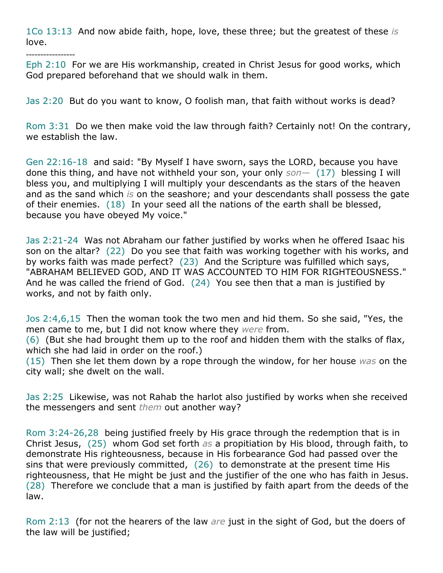1Co 13:13 And now abide faith, hope, love, these three; but the greatest of these *is* love.

-----------------

Eph 2:10 For we are His workmanship, created in Christ Jesus for good works, which God prepared beforehand that we should walk in them.

Jas 2:20 But do you want to know, O foolish man, that faith without works is dead?

Rom 3:31 Do we then make void the law through faith? Certainly not! On the contrary, we establish the law.

Gen 22:16-18 and said: "By Myself I have sworn, says the LORD, because you have done this thing, and have not withheld your son, your only *son—* (17) blessing I will bless you, and multiplying I will multiply your descendants as the stars of the heaven and as the sand which *is* on the seashore; and your descendants shall possess the gate of their enemies. (18) In your seed all the nations of the earth shall be blessed, because you have obeyed My voice."

Jas 2:21-24 Was not Abraham our father justified by works when he offered Isaac his son on the altar? (22) Do you see that faith was working together with his works, and by works faith was made perfect? (23) And the Scripture was fulfilled which says, "ABRAHAM BELIEVED GOD, AND IT WAS ACCOUNTED TO HIM FOR RIGHTEOUSNESS." And he was called the friend of God. (24) You see then that a man is justified by works, and not by faith only.

Jos 2:4,6,15 Then the woman took the two men and hid them. So she said, "Yes, the men came to me, but I did not know where they *were* from.

(6) (But she had brought them up to the roof and hidden them with the stalks of flax, which she had laid in order on the roof.)

(15) Then she let them down by a rope through the window, for her house *was* on the city wall; she dwelt on the wall.

Jas 2:25 Likewise, was not Rahab the harlot also justified by works when she received the messengers and sent *them* out another way?

Rom 3:24-26,28 being justified freely by His grace through the redemption that is in Christ Jesus, (25) whom God set forth *as* a propitiation by His blood, through faith, to demonstrate His righteousness, because in His forbearance God had passed over the sins that were previously committed,  $(26)$  to demonstrate at the present time His righteousness, that He might be just and the justifier of the one who has faith in Jesus. (28) Therefore we conclude that a man is justified by faith apart from the deeds of the law.

Rom 2:13 (for not the hearers of the law *are* just in the sight of God, but the doers of the law will be justified;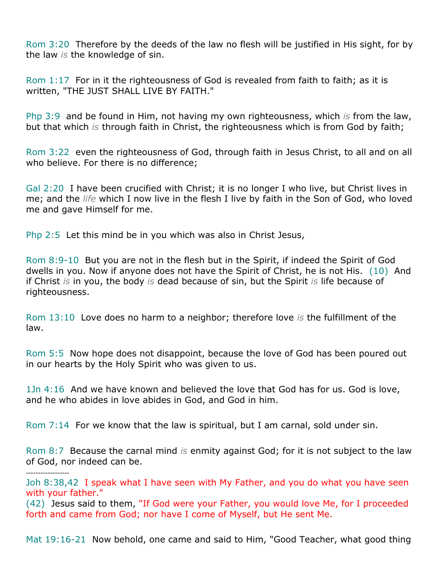Rom 3:20 Therefore by the deeds of the law no flesh will be justified in His sight, for by the law *is* the knowledge of sin.

Rom 1:17 For in it the righteousness of God is revealed from faith to faith; as it is written, "THE JUST SHALL LIVE BY FAITH."

Php 3:9 and be found in Him, not having my own righteousness, which *is* from the law, but that which *is* through faith in Christ, the righteousness which is from God by faith;

Rom 3:22 even the righteousness of God, through faith in Jesus Christ, to all and on all who believe. For there is no difference;

Gal 2:20 I have been crucified with Christ; it is no longer I who live, but Christ lives in me; and the *life* which I now live in the flesh I live by faith in the Son of God, who loved me and gave Himself for me.

Php 2:5 Let this mind be in you which was also in Christ Jesus,

Rom 8:9-10 But you are not in the flesh but in the Spirit, if indeed the Spirit of God dwells in you. Now if anyone does not have the Spirit of Christ, he is not His. (10) And if Christ *is* in you, the body *is* dead because of sin, but the Spirit *is* life because of righteousness.

Rom 13:10 Love does no harm to a neighbor; therefore love *is* the fulfillment of the law.

Rom 5:5 Now hope does not disappoint, because the love of God has been poured out in our hearts by the Holy Spirit who was given to us.

1Jn 4:16 And we have known and believed the love that God has for us. God is love, and he who abides in love abides in God, and God in him.

Rom 7:14 For we know that the law is spiritual, but I am carnal, sold under sin.

Rom 8:7 Because the carnal mind *is* enmity against God; for it is not subject to the law of God, nor indeed can be.

*------------------*

Joh 8:38,42 I speak what I have seen with My Father, and you do what you have seen with your father."

(42) Jesus said to them, "If God were your Father, you would love Me, for I proceeded forth and came from God; nor have I come of Myself, but He sent Me.

Mat 19:16-21 Now behold, one came and said to Him, "Good Teacher, what good thing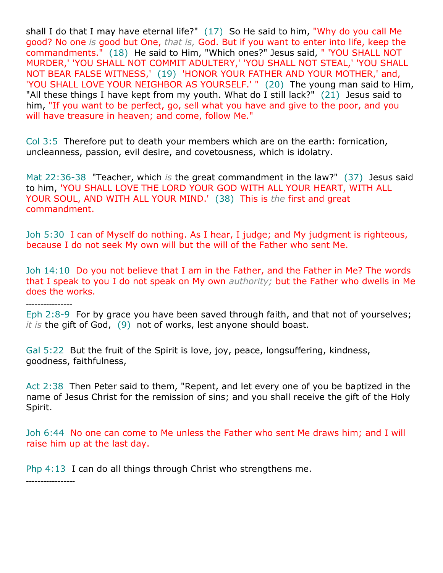shall I do that I may have eternal life?" (17) So He said to him, "Why do you call Me good? No one *is* good but One, *that is,* God. But if you want to enter into life, keep the commandments." (18) He said to Him, "Which ones?" Jesus said, " 'YOU SHALL NOT MURDER,' 'YOU SHALL NOT COMMIT ADULTERY,' 'YOU SHALL NOT STEAL,' 'YOU SHALL NOT BEAR FALSE WITNESS,' (19) 'HONOR YOUR FATHER AND YOUR MOTHER,' and, 'YOU SHALL LOVE YOUR NEIGHBOR AS YOURSELF.' " (20) The young man said to Him, "All these things I have kept from my youth. What do I still lack?" (21) Jesus said to him, "If you want to be perfect, go, sell what you have and give to the poor, and you will have treasure in heaven; and come, follow Me."

Col 3:5 Therefore put to death your members which are on the earth: fornication, uncleanness, passion, evil desire, and covetousness, which is idolatry.

Mat 22:36-38 "Teacher, which *is* the great commandment in the law?" (37) Jesus said to him, 'YOU SHALL LOVE THE LORD YOUR GOD WITH ALL YOUR HEART, WITH ALL YOUR SOUL, AND WITH ALL YOUR MIND.' (38) This is *the* first and great commandment.

Joh 5:30 I can of Myself do nothing. As I hear, I judge; and My judgment is righteous, because I do not seek My own will but the will of the Father who sent Me.

Joh 14:10 Do you not believe that I am in the Father, and the Father in Me? The words that I speak to you I do not speak on My own *authority;* but the Father who dwells in Me does the works.

----------------

Eph 2:8-9 For by grace you have been saved through faith, and that not of yourselves; *it is* the gift of God, (9) not of works, lest anyone should boast.

Gal 5:22 But the fruit of the Spirit is love, joy, peace, longsuffering, kindness, goodness, faithfulness,

Act 2:38 Then Peter said to them, "Repent, and let every one of you be baptized in the name of Jesus Christ for the remission of sins; and you shall receive the gift of the Holy Spirit.

Joh 6:44 No one can come to Me unless the Father who sent Me draws him; and I will raise him up at the last day.

Php 4:13 I can do all things through Christ who strengthens me.

-----------------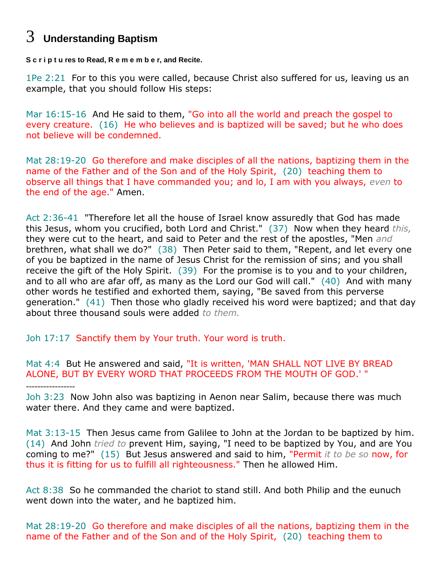### 3 **Understanding Baptism**

**S c r i p t u res to Read, R e m e m b e r, and Recite.**

1Pe 2:21 For to this you were called, because Christ also suffered for us, leaving us an example, that you should follow His steps:

Mar 16:15-16 And He said to them, "Go into all the world and preach the gospel to every creature. (16) He who believes and is baptized will be saved; but he who does not believe will be condemned.

Mat 28:19-20 Go therefore and make disciples of all the nations, baptizing them in the name of the Father and of the Son and of the Holy Spirit, (20) teaching them to observe all things that I have commanded you; and lo, I am with you always, *even* to the end of the age." Amen.

Act 2:36-41 "Therefore let all the house of Israel know assuredly that God has made this Jesus, whom you crucified, both Lord and Christ." (37) Now when they heard *this,* they were cut to the heart, and said to Peter and the rest of the apostles, "Men *and* brethren, what shall we do?" (38) Then Peter said to them, "Repent, and let every one of you be baptized in the name of Jesus Christ for the remission of sins; and you shall receive the gift of the Holy Spirit. (39) For the promise is to you and to your children, and to all who are afar off, as many as the Lord our God will call." (40) And with many other words he testified and exhorted them, saying, "Be saved from this perverse generation." (41) Then those who gladly received his word were baptized; and that day about three thousand souls were added *to them.*

Joh 17:17 Sanctify them by Your truth. Your word is truth.

Mat 4:4 But He answered and said, "It is written, 'MAN SHALL NOT LIVE BY BREAD ALONE, BUT BY EVERY WORD THAT PROCEEDS FROM THE MOUTH OF GOD.' " -----------------

Joh 3:23 Now John also was baptizing in Aenon near Salim, because there was much water there. And they came and were baptized.

Mat 3:13-15 Then Jesus came from Galilee to John at the Jordan to be baptized by him. (14) And John *tried to* prevent Him, saying, "I need to be baptized by You, and are You coming to me?" (15) But Jesus answered and said to him, "Permit *it to be so* now, for thus it is fitting for us to fulfill all righteousness." Then he allowed Him.

Act 8:38 So he commanded the chariot to stand still. And both Philip and the eunuch went down into the water, and he baptized him.

Mat 28:19-20 Go therefore and make disciples of all the nations, baptizing them in the name of the Father and of the Son and of the Holy Spirit, (20) teaching them to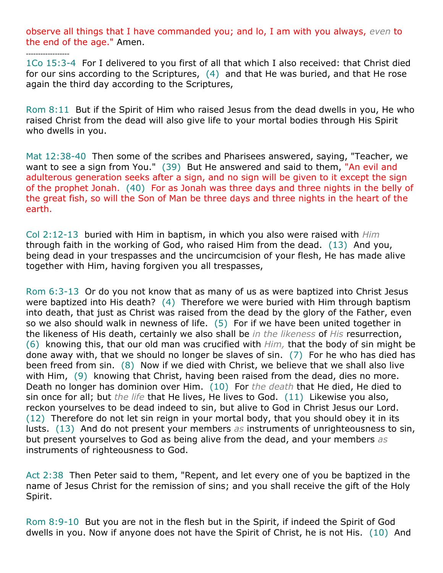observe all things that I have commanded you; and lo, I am with you always, *even* to the end of the age." Amen.

*------------------*

1Co 15:3-4 For I delivered to you first of all that which I also received: that Christ died for our sins according to the Scriptures, (4) and that He was buried, and that He rose again the third day according to the Scriptures,

Rom 8:11 But if the Spirit of Him who raised Jesus from the dead dwells in you, He who raised Christ from the dead will also give life to your mortal bodies through His Spirit who dwells in you.

Mat 12:38-40 Then some of the scribes and Pharisees answered, saying, "Teacher, we want to see a sign from You." (39) But He answered and said to them, "An evil and adulterous generation seeks after a sign, and no sign will be given to it except the sign of the prophet Jonah. (40) For as Jonah was three days and three nights in the belly of the great fish, so will the Son of Man be three days and three nights in the heart of the earth.

Col 2:12-13 buried with Him in baptism, in which you also were raised with *Him* through faith in the working of God, who raised Him from the dead. (13) And you, being dead in your trespasses and the uncircumcision of your flesh, He has made alive together with Him, having forgiven you all trespasses,

Rom 6:3-13 Or do you not know that as many of us as were baptized into Christ Jesus were baptized into His death? (4) Therefore we were buried with Him through baptism into death, that just as Christ was raised from the dead by the glory of the Father, even so we also should walk in newness of life. (5) For if we have been united together in the likeness of His death, certainly we also shall be *in the likeness* of *His* resurrection, (6) knowing this, that our old man was crucified with *Him,* that the body of sin might be done away with, that we should no longer be slaves of sin. (7) For he who has died has been freed from sin. (8) Now if we died with Christ, we believe that we shall also live with Him, (9) knowing that Christ, having been raised from the dead, dies no more. Death no longer has dominion over Him. (10) For *the death* that He died, He died to sin once for all; but *the life* that He lives, He lives to God. (11) Likewise you also, reckon yourselves to be dead indeed to sin, but alive to God in Christ Jesus our Lord. (12) Therefore do not let sin reign in your mortal body, that you should obey it in its lusts. (13) And do not present your members *as* instruments of unrighteousness to sin, but present yourselves to God as being alive from the dead, and your members *as* instruments of righteousness to God.

Act 2:38 Then Peter said to them, "Repent, and let every one of you be baptized in the name of Jesus Christ for the remission of sins; and you shall receive the gift of the Holy Spirit.

Rom 8:9-10 But you are not in the flesh but in the Spirit, if indeed the Spirit of God dwells in you. Now if anyone does not have the Spirit of Christ, he is not His. (10) And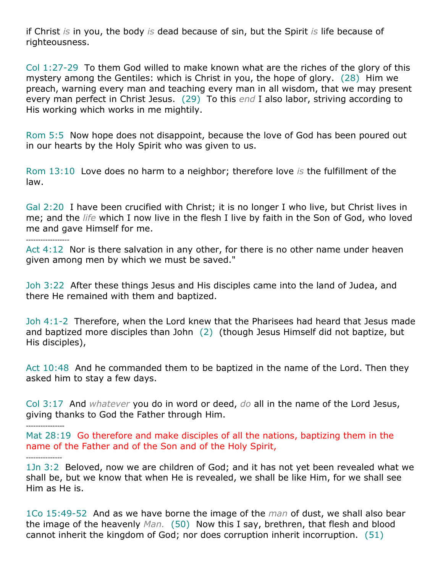if Christ *is* in you, the body *is* dead because of sin, but the Spirit *is* life because of righteousness.

Col 1:27-29 To them God willed to make known what are the riches of the glory of this mystery among the Gentiles: which is Christ in you, the hope of glory. (28) Him we preach, warning every man and teaching every man in all wisdom, that we may present every man perfect in Christ Jesus. (29) To this *end* I also labor, striving according to His working which works in me mightily.

Rom 5:5 Now hope does not disappoint, because the love of God has been poured out in our hearts by the Holy Spirit who was given to us.

Rom 13:10 Love does no harm to a neighbor; therefore love *is* the fulfillment of the law.

Gal 2:20 I have been crucified with Christ; it is no longer I who live, but Christ lives in me; and the *life* which I now live in the flesh I live by faith in the Son of God, who loved me and gave Himself for me.

*------------------*

Act 4:12 Nor is there salvation in any other, for there is no other name under heaven given among men by which we must be saved."

Joh 3:22 After these things Jesus and His disciples came into the land of Judea, and there He remained with them and baptized.

Joh 4:1-2 Therefore, when the Lord knew that the Pharisees had heard that Jesus made and baptized more disciples than John (2) (though Jesus Himself did not baptize, but His disciples),

Act 10:48 And he commanded them to be baptized in the name of the Lord. Then they asked him to stay a few days.

Col 3:17 And *whatever* you do in word or deed, *do* all in the name of the Lord Jesus, giving thanks to God the Father through Him.

*----------------*

Mat 28:19 Go therefore and make disciples of all the nations, baptizing them in the name of the Father and of the Son and of the Holy Spirit,

*---------------*

1Jn 3:2 Beloved, now we are children of God; and it has not yet been revealed what we shall be, but we know that when He is revealed, we shall be like Him, for we shall see Him as He is.

1Co 15:49-52 And as we have borne the image of the *man* of dust, we shall also bear the image of the heavenly *Man.* (50) Now this I say, brethren, that flesh and blood cannot inherit the kingdom of God; nor does corruption inherit incorruption. (51)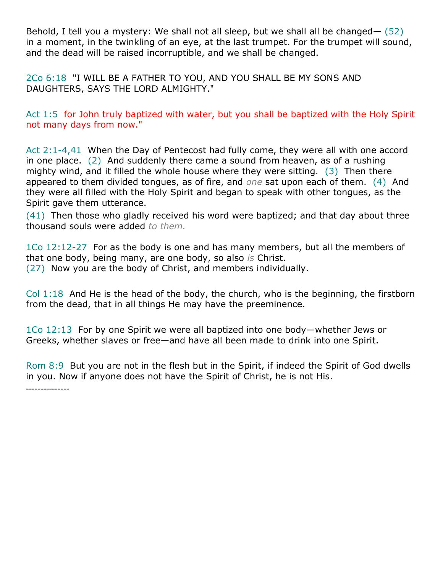Behold, I tell you a mystery: We shall not all sleep, but we shall all be changed— (52) in a moment, in the twinkling of an eye, at the last trumpet. For the trumpet will sound, and the dead will be raised incorruptible, and we shall be changed.

2Co 6:18 "I WILL BE A FATHER TO YOU, AND YOU SHALL BE MY SONS AND DAUGHTERS, SAYS THE LORD ALMIGHTY."

Act 1:5 for John truly baptized with water, but you shall be baptized with the Holy Spirit not many days from now."

Act 2:1-4,41 When the Day of Pentecost had fully come, they were all with one accord in one place. (2) And suddenly there came a sound from heaven, as of a rushing mighty wind, and it filled the whole house where they were sitting. (3) Then there appeared to them divided tongues, as of fire, and *one* sat upon each of them. (4) And they were all filled with the Holy Spirit and began to speak with other tongues, as the Spirit gave them utterance.

(41) Then those who gladly received his word were baptized; and that day about three thousand souls were added *to them.*

1Co 12:12-27 For as the body is one and has many members, but all the members of that one body, being many, are one body, so also *is* Christ. (27) Now you are the body of Christ, and members individually.

Col 1:18 And He is the head of the body, the church, who is the beginning, the firstborn from the dead, that in all things He may have the preeminence.

1Co 12:13 For by one Spirit we were all baptized into one body—whether Jews or Greeks, whether slaves or free—and have all been made to drink into one Spirit.

Rom 8:9 But you are not in the flesh but in the Spirit, if indeed the Spirit of God dwells in you. Now if anyone does not have the Spirit of Christ, he is not His.

---------------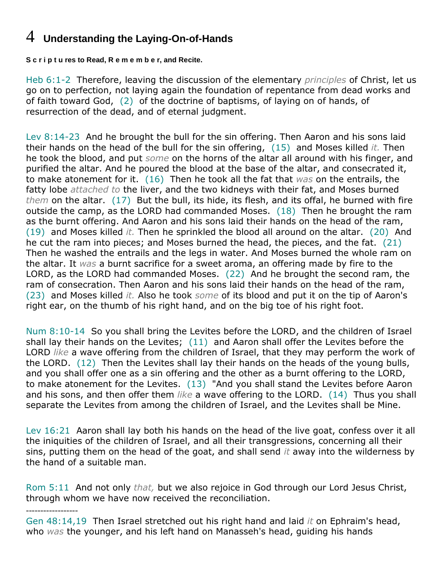### 4 **Understanding the Laying-On-of-Hands**

**S c r i p t u res to Read, R e m e m b e r, and Recite.**

Heb 6:1-2 Therefore, leaving the discussion of the elementary *principles* of Christ, let us go on to perfection, not laying again the foundation of repentance from dead works and of faith toward God, (2) of the doctrine of baptisms, of laying on of hands, of resurrection of the dead, and of eternal judgment.

Lev 8:14-23 And he brought the bull for the sin offering. Then Aaron and his sons laid their hands on the head of the bull for the sin offering, (15) and Moses killed *it.* Then he took the blood, and put *some* on the horns of the altar all around with his finger, and purified the altar. And he poured the blood at the base of the altar, and consecrated it, to make atonement for it. (16) Then he took all the fat that *was* on the entrails, the fatty lobe *attached to* the liver, and the two kidneys with their fat, and Moses burned *them* on the altar. (17) But the bull, its hide, its flesh, and its offal, he burned with fire outside the camp, as the LORD had commanded Moses. (18) Then he brought the ram as the burnt offering. And Aaron and his sons laid their hands on the head of the ram, (19) and Moses killed *it.* Then he sprinkled the blood all around on the altar. (20) And he cut the ram into pieces; and Moses burned the head, the pieces, and the fat. (21) Then he washed the entrails and the legs in water. And Moses burned the whole ram on the altar. It *was* a burnt sacrifice for a sweet aroma, an offering made by fire to the LORD, as the LORD had commanded Moses. (22) And he brought the second ram, the ram of consecration. Then Aaron and his sons laid their hands on the head of the ram, (23) and Moses killed *it.* Also he took *some* of its blood and put it on the tip of Aaron's right ear, on the thumb of his right hand, and on the big toe of his right foot.

Num 8:10-14 So you shall bring the Levites before the LORD, and the children of Israel shall lay their hands on the Levites; (11) and Aaron shall offer the Levites before the LORD *like* a wave offering from the children of Israel, that they may perform the work of the LORD. (12) Then the Levites shall lay their hands on the heads of the young bulls, and you shall offer one as a sin offering and the other as a burnt offering to the LORD, to make atonement for the Levites. (13) "And you shall stand the Levites before Aaron and his sons, and then offer them *like* a wave offering to the LORD. (14) Thus you shall separate the Levites from among the children of Israel, and the Levites shall be Mine.

Lev 16:21 Aaron shall lay both his hands on the head of the live goat, confess over it all the iniquities of the children of Israel, and all their transgressions, concerning all their sins, putting them on the head of the goat, and shall send *it* away into the wilderness by the hand of a suitable man.

Rom 5:11 And not only *that,* but we also rejoice in God through our Lord Jesus Christ, through whom we have now received the reconciliation.

*------------------*

Gen 48:14,19 Then Israel stretched out his right hand and laid *it* on Ephraim's head, who *was* the younger, and his left hand on Manasseh's head, guiding his hands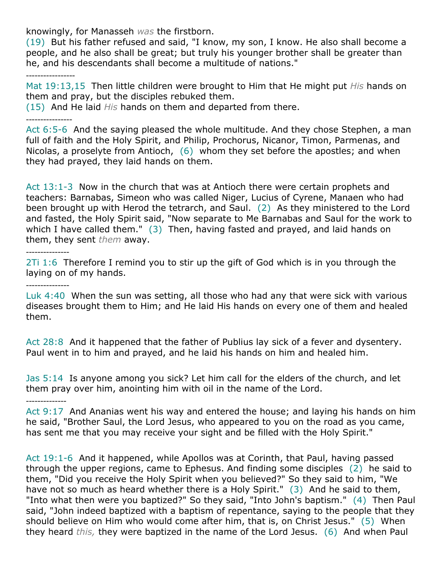knowingly, for Manasseh *was* the firstborn.

(19) But his father refused and said, "I know, my son, I know. He also shall become a people, and he also shall be great; but truly his younger brother shall be greater than he, and his descendants shall become a multitude of nations."

*-----------------*

Mat 19:13,15 Then little children were brought to Him that He might put *His* hands on them and pray, but the disciples rebuked them.

(15) And He laid *His* hands on them and departed from there.

*----------------*

Act 6:5-6 And the saying pleased the whole multitude. And they chose Stephen, a man full of faith and the Holy Spirit, and Philip, Prochorus, Nicanor, Timon, Parmenas, and Nicolas, a proselyte from Antioch, (6) whom they set before the apostles; and when they had prayed, they laid hands on them.

Act 13:1-3 Now in the church that was at Antioch there were certain prophets and teachers: Barnabas, Simeon who was called Niger, Lucius of Cyrene, Manaen who had been brought up with Herod the tetrarch, and Saul. (2) As they ministered to the Lord and fasted, the Holy Spirit said, "Now separate to Me Barnabas and Saul for the work to which I have called them." (3) Then, having fasted and prayed, and laid hands on them, they sent *them* away.

#### *---------------*

*---------------*

2Ti 1:6 Therefore I remind you to stir up the gift of God which is in you through the laying on of my hands.

Luk 4:40 When the sun was setting, all those who had any that were sick with various diseases brought them to Him; and He laid His hands on every one of them and healed them.

Act 28:8 And it happened that the father of Publius lay sick of a fever and dysentery. Paul went in to him and prayed, and he laid his hands on him and healed him.

Jas 5:14 Is anyone among you sick? Let him call for the elders of the church, and let them pray over him, anointing him with oil in the name of the Lord.

*--------------*

Act 9:17 And Ananias went his way and entered the house; and laying his hands on him he said, "Brother Saul, the Lord Jesus, who appeared to you on the road as you came, has sent me that you may receive your sight and be filled with the Holy Spirit."

Act 19:1-6 And it happened, while Apollos was at Corinth, that Paul, having passed through the upper regions, came to Ephesus. And finding some disciples (2) he said to them, "Did you receive the Holy Spirit when you believed?" So they said to him, "We have not so much as heard whether there is a Holy Spirit." (3) And he said to them, "Into what then were you baptized?" So they said, "Into John's baptism." (4) Then Paul said, "John indeed baptized with a baptism of repentance, saying to the people that they should believe on Him who would come after him, that is, on Christ Jesus." (5) When they heard *this,* they were baptized in the name of the Lord Jesus. (6) And when Paul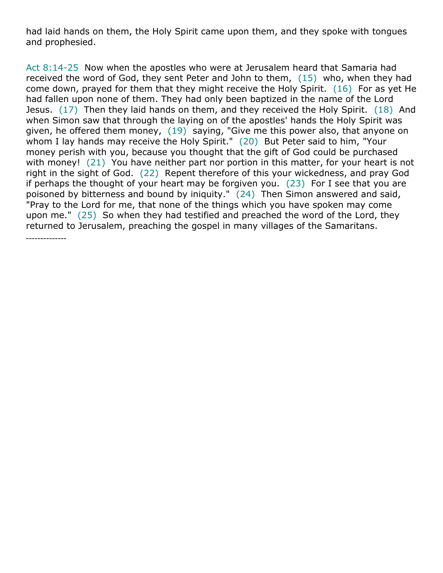had laid hands on them, the Holy Spirit came upon them, and they spoke with tongues and prophesied.

Act 8:14-25 Now when the apostles who were at Jerusalem heard that Samaria had received the word of God, they sent Peter and John to them, (15) who, when they had come down, prayed for them that they might receive the Holy Spirit. (16) For as yet He had fallen upon none of them. They had only been baptized in the name of the Lord Jesus. (17) Then they laid hands on them, and they received the Holy Spirit. (18) And when Simon saw that through the laying on of the apostles' hands the Holy Spirit was given, he offered them money, (19) saying, "Give me this power also, that anyone on whom I lay hands may receive the Holy Spirit." (20) But Peter said to him, "Your money perish with you, because you thought that the gift of God could be purchased with money! (21) You have neither part nor portion in this matter, for your heart is not right in the sight of God. (22) Repent therefore of this your wickedness, and pray God if perhaps the thought of your heart may be forgiven you.  $(23)$  For I see that you are poisoned by bitterness and bound by iniquity." (24) Then Simon answered and said, "Pray to the Lord for me, that none of the things which you have spoken may come upon me." (25) So when they had testified and preached the word of the Lord, they returned to Jerusalem, preaching the gospel in many villages of the Samaritans.

--------------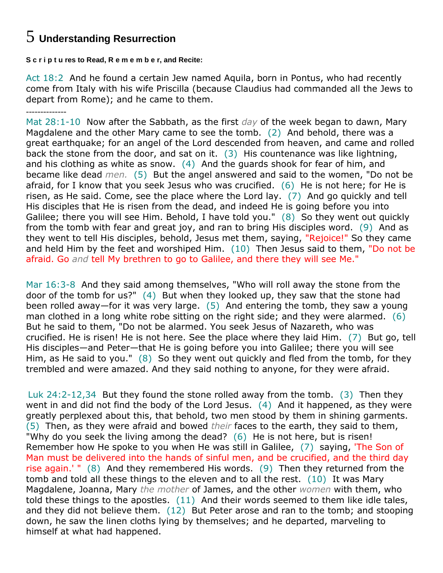## 5 **Understanding Resurrection**

**S c r i p t u res to Read, R e m e m b e r, and Recite:**

Act 18:2 And he found a certain Jew named Aquila, born in Pontus, who had recently come from Italy with his wife Priscilla (because Claudius had commanded all the Jews to depart from Rome); and he came to them.

-------------- Mat 28:1-10 Now after the Sabbath, as the first *day* of the week began to dawn, Mary Magdalene and the other Mary came to see the tomb. (2) And behold, there was a great earthquake; for an angel of the Lord descended from heaven, and came and rolled back the stone from the door, and sat on it.  $(3)$  His countenance was like lightning, and his clothing as white as snow. (4) And the guards shook for fear of him, and became like dead *men.* (5) But the angel answered and said to the women, "Do not be afraid, for I know that you seek Jesus who was crucified.  $(6)$  He is not here; for He is risen, as He said. Come, see the place where the Lord lay. (7) And go quickly and tell His disciples that He is risen from the dead, and indeed He is going before you into Galilee; there you will see Him. Behold, I have told you." (8) So they went out quickly from the tomb with fear and great joy, and ran to bring His disciples word. (9) And as they went to tell His disciples, behold, Jesus met them, saying, "Rejoice!" So they came and held Him by the feet and worshiped Him. (10) Then Jesus said to them, "Do not be afraid. Go *and* tell My brethren to go to Galilee, and there they will see Me."

Mar 16:3-8 And they said among themselves, "Who will roll away the stone from the door of the tomb for us?" (4) But when they looked up, they saw that the stone had been rolled away—for it was very large. (5) And entering the tomb, they saw a young man clothed in a long white robe sitting on the right side; and they were alarmed. (6) But he said to them, "Do not be alarmed. You seek Jesus of Nazareth, who was crucified. He is risen! He is not here. See the place where they laid Him. (7) But go, tell His disciples—and Peter—that He is going before you into Galilee; there you will see Him, as He said to you."  $(8)$  So they went out quickly and fled from the tomb, for they trembled and were amazed. And they said nothing to anyone, for they were afraid.

Luk 24:2-12,34 But they found the stone rolled away from the tomb. (3) Then they went in and did not find the body of the Lord Jesus.  $(4)$  And it happened, as they were greatly perplexed about this, that behold, two men stood by them in shining garments. (5) Then, as they were afraid and bowed *their* faces to the earth, they said to them, "Why do you seek the living among the dead? (6) He is not here, but is risen! Remember how He spoke to you when He was still in Galilee, (7) saying, 'The Son of Man must be delivered into the hands of sinful men, and be crucified, and the third day rise again.' " (8) And they remembered His words. (9) Then they returned from the tomb and told all these things to the eleven and to all the rest. (10) It was Mary Magdalene, Joanna, Mary *the mother* of James, and the other *women* with them, who told these things to the apostles. (11) And their words seemed to them like idle tales, and they did not believe them.  $(12)$  But Peter arose and ran to the tomb; and stooping down, he saw the linen cloths lying by themselves; and he departed, marveling to himself at what had happened.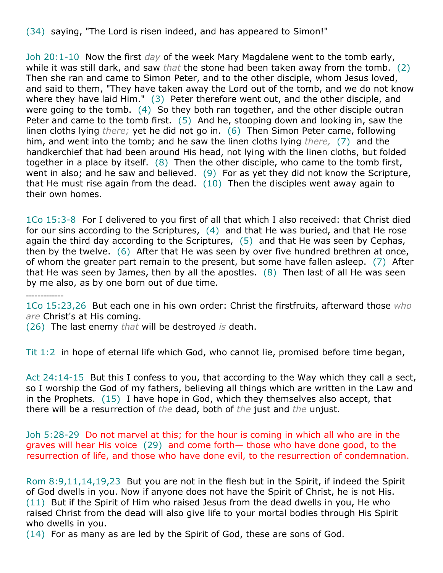(34) saying, "The Lord is risen indeed, and has appeared to Simon!"

Joh 20:1-10 Now the first *day* of the week Mary Magdalene went to the tomb early, while it was still dark, and saw *that* the stone had been taken away from the tomb. (2) Then she ran and came to Simon Peter, and to the other disciple, whom Jesus loved, and said to them, "They have taken away the Lord out of the tomb, and we do not know where they have laid Him." (3) Peter therefore went out, and the other disciple, and were going to the tomb. (4) So they both ran together, and the other disciple outran Peter and came to the tomb first. (5) And he, stooping down and looking in, saw the linen cloths lying *there;* yet he did not go in. (6) Then Simon Peter came, following him, and went into the tomb; and he saw the linen cloths lying *there,* (7) and the handkerchief that had been around His head, not lying with the linen cloths, but folded together in a place by itself. (8) Then the other disciple, who came to the tomb first, went in also; and he saw and believed. (9) For as yet they did not know the Scripture, that He must rise again from the dead.  $(10)$  Then the disciples went away again to their own homes.

1Co 15:3-8 For I delivered to you first of all that which I also received: that Christ died for our sins according to the Scriptures,  $(4)$  and that He was buried, and that He rose again the third day according to the Scriptures, (5) and that He was seen by Cephas, then by the twelve. (6) After that He was seen by over five hundred brethren at once, of whom the greater part remain to the present, but some have fallen asleep. (7) After that He was seen by James, then by all the apostles.  $(8)$  Then last of all He was seen by me also, as by one born out of due time.

1Co 15:23,26 But each one in his own order: Christ the firstfruits, afterward those *who are* Christ's at His coming.

(26) The last enemy *that* will be destroyed *is* death.

-------------

Tit 1:2 in hope of eternal life which God, who cannot lie, promised before time began,

Act 24:14-15 But this I confess to you, that according to the Way which they call a sect, so I worship the God of my fathers, believing all things which are written in the Law and in the Prophets. (15) I have hope in God, which they themselves also accept, that there will be a resurrection of *the* dead, both of *the* just and *the* unjust.

Joh 5:28-29 Do not marvel at this; for the hour is coming in which all who are in the graves will hear His voice (29) and come forth— those who have done good, to the resurrection of life, and those who have done evil, to the resurrection of condemnation.

Rom 8:9,11,14,19,23 But you are not in the flesh but in the Spirit, if indeed the Spirit of God dwells in you. Now if anyone does not have the Spirit of Christ, he is not His. (11) But if the Spirit of Him who raised Jesus from the dead dwells in you, He who raised Christ from the dead will also give life to your mortal bodies through His Spirit who dwells in you.

(14) For as many as are led by the Spirit of God, these are sons of God.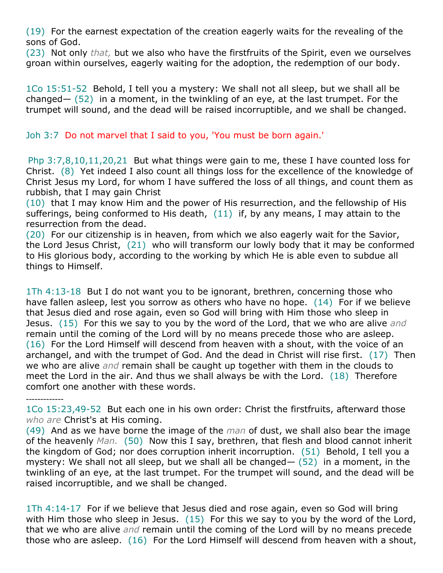(19) For the earnest expectation of the creation eagerly waits for the revealing of the sons of God.

(23) Not only *that,* but we also who have the firstfruits of the Spirit, even we ourselves groan within ourselves, eagerly waiting for the adoption, the redemption of our body.

1Co 15:51-52 Behold, I tell you a mystery: We shall not all sleep, but we shall all be changed— (52) in a moment, in the twinkling of an eye, at the last trumpet. For the trumpet will sound, and the dead will be raised incorruptible, and we shall be changed.

Joh 3:7 Do not marvel that I said to you, 'You must be born again.'

Php 3:7,8,10,11,20,21 But what things were gain to me, these I have counted loss for Christ. (8) Yet indeed I also count all things loss for the excellence of the knowledge of Christ Jesus my Lord, for whom I have suffered the loss of all things, and count them as rubbish, that I may gain Christ

(10) that I may know Him and the power of His resurrection, and the fellowship of His sufferings, being conformed to His death, (11) if, by any means, I may attain to the resurrection from the dead.

(20) For our citizenship is in heaven, from which we also eagerly wait for the Savior, the Lord Jesus Christ, (21) who will transform our lowly body that it may be conformed to His glorious body, according to the working by which He is able even to subdue all things to Himself.

1Th 4:13-18 But I do not want you to be ignorant, brethren, concerning those who have fallen asleep, lest you sorrow as others who have no hope. (14) For if we believe that Jesus died and rose again, even so God will bring with Him those who sleep in Jesus. (15) For this we say to you by the word of the Lord, that we who are alive *and* remain until the coming of the Lord will by no means precede those who are asleep. (16) For the Lord Himself will descend from heaven with a shout, with the voice of an archangel, and with the trumpet of God. And the dead in Christ will rise first. (17) Then we who are alive *and* remain shall be caught up together with them in the clouds to meet the Lord in the air. And thus we shall always be with the Lord. (18) Therefore comfort one another with these words.

1Co 15:23,49-52 But each one in his own order: Christ the firstfruits, afterward those *who are* Christ's at His coming.

-------------

(49) And as we have borne the image of the *man* of dust, we shall also bear the image of the heavenly *Man.* (50) Now this I say, brethren, that flesh and blood cannot inherit the kingdom of God; nor does corruption inherit incorruption. (51) Behold, I tell you a mystery: We shall not all sleep, but we shall all be changed  $-$  (52) in a moment, in the twinkling of an eye, at the last trumpet. For the trumpet will sound, and the dead will be raised incorruptible, and we shall be changed.

1Th 4:14-17 For if we believe that Jesus died and rose again, even so God will bring with Him those who sleep in Jesus. (15) For this we say to you by the word of the Lord, that we who are alive *and* remain until the coming of the Lord will by no means precede those who are asleep. (16) For the Lord Himself will descend from heaven with a shout,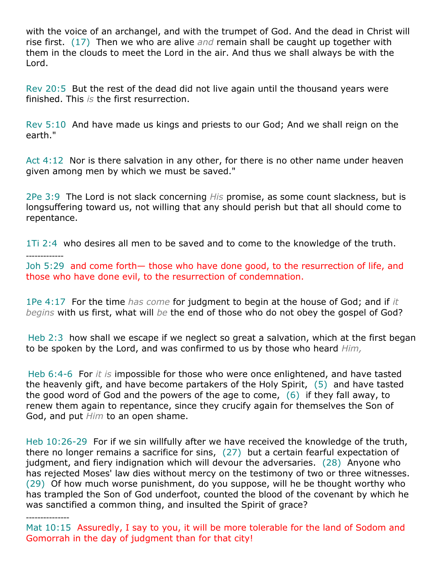with the voice of an archangel, and with the trumpet of God. And the dead in Christ will rise first. (17) Then we who are alive *and* remain shall be caught up together with them in the clouds to meet the Lord in the air. And thus we shall always be with the Lord.

Rev 20:5 But the rest of the dead did not live again until the thousand years were finished. This *is* the first resurrection.

Rev 5:10 And have made us kings and priests to our God; And we shall reign on the earth."

Act 4:12 Nor is there salvation in any other, for there is no other name under heaven given among men by which we must be saved."

2Pe 3:9 The Lord is not slack concerning *His* promise, as some count slackness, but is longsuffering toward us, not willing that any should perish but that all should come to repentance.

1Ti 2:4 who desires all men to be saved and to come to the knowledge of the truth. -------------

Joh 5:29 and come forth— those who have done good, to the resurrection of life, and those who have done evil, to the resurrection of condemnation.

1Pe 4:17 For the time *has come* for judgment to begin at the house of God; and if *it begins* with us first, what will *be* the end of those who do not obey the gospel of God?

Heb 2:3 how shall we escape if we neglect so great a salvation, which at the first began to be spoken by the Lord, and was confirmed to us by those who heard *Him,*

Heb 6:4-6 For *it is* impossible for those who were once enlightened, and have tasted the heavenly gift, and have become partakers of the Holy Spirit, (5) and have tasted the good word of God and the powers of the age to come,  $(6)$  if they fall away, to renew them again to repentance, since they crucify again for themselves the Son of God, and put *Him* to an open shame.

Heb 10:26-29 For if we sin willfully after we have received the knowledge of the truth, there no longer remains a sacrifice for sins, (27) but a certain fearful expectation of judgment, and fiery indignation which will devour the adversaries. (28) Anyone who has rejected Moses' law dies without mercy on the testimony of two or three witnesses. (29) Of how much worse punishment, do you suppose, will he be thought worthy who has trampled the Son of God underfoot, counted the blood of the covenant by which he was sanctified a common thing, and insulted the Spirit of grace?

---------------

Mat 10:15 Assuredly, I say to you, it will be more tolerable for the land of Sodom and Gomorrah in the day of judgment than for that city!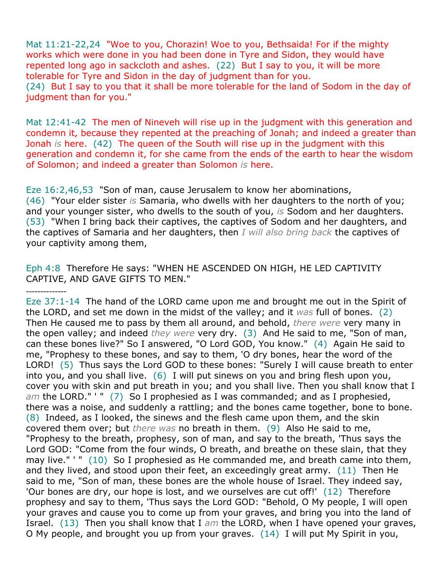Mat 11:21-22,24 "Woe to you, Chorazin! Woe to you, Bethsaida! For if the mighty works which were done in you had been done in Tyre and Sidon, they would have repented long ago in sackcloth and ashes. (22) But I say to you, it will be more tolerable for Tyre and Sidon in the day of judgment than for you. (24) But I say to you that it shall be more tolerable for the land of Sodom in the day of judgment than for you."

Mat 12:41-42 The men of Nineveh will rise up in the judgment with this generation and condemn it, because they repented at the preaching of Jonah; and indeed a greater than Jonah *is* here. (42) The queen of the South will rise up in the judgment with this generation and condemn it, for she came from the ends of the earth to hear the wisdom of Solomon; and indeed a greater than Solomon *is* here.

Eze 16:2,46,53 "Son of man, cause Jerusalem to know her abominations, (46) "Your elder sister *is* Samaria, who dwells with her daughters to the north of you; and your younger sister, who dwells to the south of you, *is* Sodom and her daughters. (53) "When I bring back their captives, the captives of Sodom and her daughters, and the captives of Samaria and her daughters, then *I will also bring back* the captives of your captivity among them,

Eph 4:8 Therefore He says: "WHEN HE ASCENDED ON HIGH, HE LED CAPTIVITY CAPTIVE, AND GAVE GIFTS TO MEN."

--------------

Eze 37:1-14 The hand of the LORD came upon me and brought me out in the Spirit of the LORD, and set me down in the midst of the valley; and it *was* full of bones. (2) Then He caused me to pass by them all around, and behold, *there were* very many in the open valley; and indeed *they were* very dry. (3) And He said to me, "Son of man, can these bones live?" So I answered, "O Lord GOD, You know." (4) Again He said to me, "Prophesy to these bones, and say to them, 'O dry bones, hear the word of the LORD! (5) Thus says the Lord GOD to these bones: "Surely I will cause breath to enter into you, and you shall live. (6) I will put sinews on you and bring flesh upon you, cover you with skin and put breath in you; and you shall live. Then you shall know that I *am* the LORD." ' " (7) So I prophesied as I was commanded; and as I prophesied, there was a noise, and suddenly a rattling; and the bones came together, bone to bone. (8) Indeed, as I looked, the sinews and the flesh came upon them, and the skin covered them over; but *there was* no breath in them. (9) Also He said to me, "Prophesy to the breath, prophesy, son of man, and say to the breath, 'Thus says the Lord GOD: "Come from the four winds, O breath, and breathe on these slain, that they may live." ' " (10) So I prophesied as He commanded me, and breath came into them, and they lived, and stood upon their feet, an exceedingly great army. (11) Then He said to me, "Son of man, these bones are the whole house of Israel. They indeed say, 'Our bones are dry, our hope is lost, and we ourselves are cut off!' (12) Therefore prophesy and say to them, 'Thus says the Lord GOD: "Behold, O My people, I will open your graves and cause you to come up from your graves, and bring you into the land of Israel. (13) Then you shall know that I *am* the LORD, when I have opened your graves, O My people, and brought you up from your graves. (14) I will put My Spirit in you,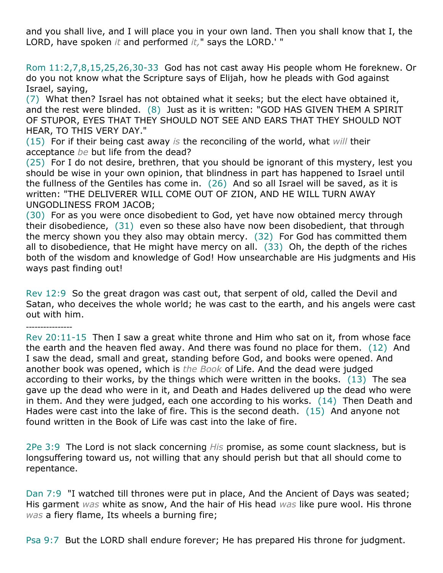and you shall live, and I will place you in your own land. Then you shall know that I, the LORD, have spoken *it* and performed *it,*" says the LORD.' "

Rom 11:2,7,8,15,25,26,30-33 God has not cast away His people whom He foreknew. Or do you not know what the Scripture says of Elijah, how he pleads with God against Israel, saying,

(7) What then? Israel has not obtained what it seeks; but the elect have obtained it, and the rest were blinded. (8) Just as it is written: "GOD HAS GIVEN THEM A SPIRIT OF STUPOR, EYES THAT THEY SHOULD NOT SEE AND EARS THAT THEY SHOULD NOT HEAR, TO THIS VERY DAY."

(15) For if their being cast away *is* the reconciling of the world, what *will* their acceptance *be* but life from the dead?

(25) For I do not desire, brethren, that you should be ignorant of this mystery, lest you should be wise in your own opinion, that blindness in part has happened to Israel until the fullness of the Gentiles has come in. (26) And so all Israel will be saved, as it is written: "THE DELIVERER WILL COME OUT OF ZION, AND HE WILL TURN AWAY UNGODLINESS FROM JACOB;

(30) For as you were once disobedient to God, yet have now obtained mercy through their disobedience, (31) even so these also have now been disobedient, that through the mercy shown you they also may obtain mercy. (32) For God has committed them all to disobedience, that He might have mercy on all. (33) Oh, the depth of the riches both of the wisdom and knowledge of God! How unsearchable are His judgments and His ways past finding out!

Rev 12:9 So the great dragon was cast out, that serpent of old, called the Devil and Satan, who deceives the whole world; he was cast to the earth, and his angels were cast out with him.

----------------

Rev 20:11-15 Then I saw a great white throne and Him who sat on it, from whose face the earth and the heaven fled away. And there was found no place for them. (12) And I saw the dead, small and great, standing before God, and books were opened. And another book was opened, which is *the Book* of Life. And the dead were judged according to their works, by the things which were written in the books. (13) The sea gave up the dead who were in it, and Death and Hades delivered up the dead who were in them. And they were judged, each one according to his works.  $(14)$  Then Death and Hades were cast into the lake of fire. This is the second death. (15) And anyone not found written in the Book of Life was cast into the lake of fire.

2Pe 3:9 The Lord is not slack concerning *His* promise, as some count slackness, but is longsuffering toward us, not willing that any should perish but that all should come to repentance.

Dan 7:9 "I watched till thrones were put in place, And the Ancient of Days was seated; His garment *was* white as snow, And the hair of His head *was* like pure wool. His throne *was* a fiery flame, Its wheels a burning fire;

Psa 9:7 But the LORD shall endure forever; He has prepared His throne for judgment.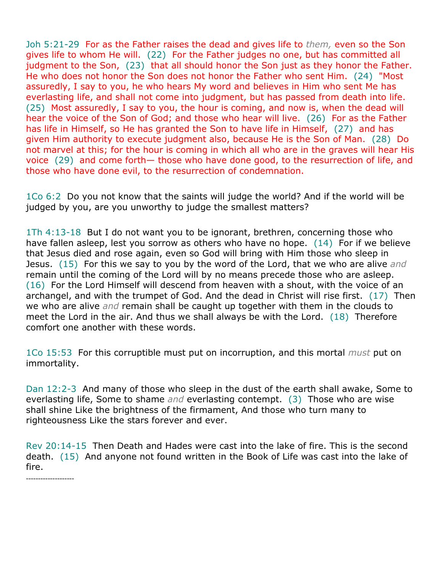Joh 5:21-29 For as the Father raises the dead and gives life to *them,* even so the Son gives life to whom He will. (22) For the Father judges no one, but has committed all judgment to the Son, (23) that all should honor the Son just as they honor the Father. He who does not honor the Son does not honor the Father who sent Him. (24) "Most assuredly, I say to you, he who hears My word and believes in Him who sent Me has everlasting life, and shall not come into judgment, but has passed from death into life. (25) Most assuredly, I say to you, the hour is coming, and now is, when the dead will hear the voice of the Son of God; and those who hear will live. (26) For as the Father has life in Himself, so He has granted the Son to have life in Himself, (27) and has given Him authority to execute judgment also, because He is the Son of Man. (28) Do not marvel at this; for the hour is coming in which all who are in the graves will hear His voice (29) and come forth— those who have done good, to the resurrection of life, and those who have done evil, to the resurrection of condemnation.

1Co 6:2 Do you not know that the saints will judge the world? And if the world will be judged by you, are you unworthy to judge the smallest matters?

1Th 4:13-18 But I do not want you to be ignorant, brethren, concerning those who have fallen asleep, lest you sorrow as others who have no hope. (14) For if we believe that Jesus died and rose again, even so God will bring with Him those who sleep in Jesus. (15) For this we say to you by the word of the Lord, that we who are alive *and* remain until the coming of the Lord will by no means precede those who are asleep. (16) For the Lord Himself will descend from heaven with a shout, with the voice of an archangel, and with the trumpet of God. And the dead in Christ will rise first. (17) Then we who are alive *and* remain shall be caught up together with them in the clouds to meet the Lord in the air. And thus we shall always be with the Lord. (18) Therefore comfort one another with these words.

1Co 15:53 For this corruptible must put on incorruption, and this mortal *must* put on immortality.

Dan 12:2-3 And many of those who sleep in the dust of the earth shall awake, Some to everlasting life, Some to shame *and* everlasting contempt. (3) Those who are wise shall shine Like the brightness of the firmament, And those who turn many to righteousness Like the stars forever and ever.

Rev 20:14-15 Then Death and Hades were cast into the lake of fire. This is the second death. (15) And anyone not found written in the Book of Life was cast into the lake of fire.

*--------------------*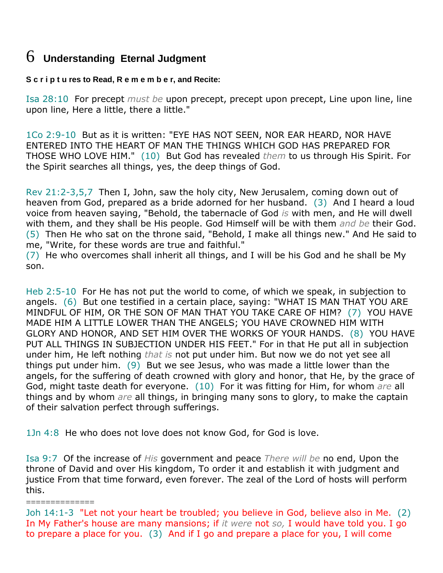### 6 **Understanding Eternal Judgment**

**S c r i p t u res to Read, R e m e m b e r, and Recite:**

Isa 28:10 For precept *must be* upon precept, precept upon precept, Line upon line, line upon line, Here a little, there a little."

1Co 2:9-10 But as it is written: "EYE HAS NOT SEEN, NOR EAR HEARD, NOR HAVE ENTERED INTO THE HEART OF MAN THE THINGS WHICH GOD HAS PREPARED FOR THOSE WHO LOVE HIM." (10) But God has revealed *them* to us through His Spirit. For the Spirit searches all things, yes, the deep things of God.

Rev 21:2-3,5,7 Then I, John, saw the holy city, New Jerusalem, coming down out of heaven from God, prepared as a bride adorned for her husband. (3) And I heard a loud voice from heaven saying, "Behold, the tabernacle of God *is* with men, and He will dwell with them, and they shall be His people. God Himself will be with them *and be* their God. (5) Then He who sat on the throne said, "Behold, I make all things new." And He said to me, "Write, for these words are true and faithful."

(7) He who overcomes shall inherit all things, and I will be his God and he shall be My son.

Heb 2:5-10 For He has not put the world to come, of which we speak, in subjection to angels. (6) But one testified in a certain place, saying: "WHAT IS MAN THAT YOU ARE MINDFUL OF HIM, OR THE SON OF MAN THAT YOU TAKE CARE OF HIM? (7) YOU HAVE MADE HIM A LITTLE LOWER THAN THE ANGELS; YOU HAVE CROWNED HIM WITH GLORY AND HONOR, AND SET HIM OVER THE WORKS OF YOUR HANDS. (8) YOU HAVE PUT ALL THINGS IN SUBJECTION UNDER HIS FEET." For in that He put all in subjection under him, He left nothing *that is* not put under him. But now we do not yet see all things put under him. (9) But we see Jesus, who was made a little lower than the angels, for the suffering of death crowned with glory and honor, that He, by the grace of God, might taste death for everyone. (10) For it was fitting for Him, for whom *are* all things and by whom *are* all things, in bringing many sons to glory, to make the captain of their salvation perfect through sufferings.

1Jn 4:8 He who does not love does not know God, for God is love.

Isa 9:7 Of the increase of *His* government and peace *There will be* no end, Upon the throne of David and over His kingdom, To order it and establish it with judgment and justice From that time forward, even forever. The zeal of the Lord of hosts will perform this.

==============

Joh 14:1-3 "Let not your heart be troubled; you believe in God, believe also in Me. (2) In My Father's house are many mansions; if *it were* not *so,* I would have told you. I go to prepare a place for you. (3) And if I go and prepare a place for you, I will come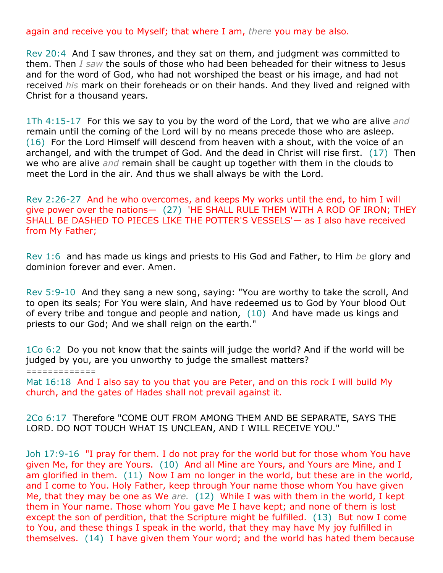again and receive you to Myself; that where I am, *there* you may be also.

Rev 20:4 And I saw thrones, and they sat on them, and judgment was committed to them. Then *I saw* the souls of those who had been beheaded for their witness to Jesus and for the word of God, who had not worshiped the beast or his image, and had not received *his* mark on their foreheads or on their hands. And they lived and reigned with Christ for a thousand years.

1Th 4:15-17 For this we say to you by the word of the Lord, that we who are alive *and* remain until the coming of the Lord will by no means precede those who are asleep. (16) For the Lord Himself will descend from heaven with a shout, with the voice of an archangel, and with the trumpet of God. And the dead in Christ will rise first. (17) Then we who are alive *and* remain shall be caught up together with them in the clouds to meet the Lord in the air. And thus we shall always be with the Lord.

Rev 2:26-27 And he who overcomes, and keeps My works until the end, to him I will give power over the nations— (27) 'HE SHALL RULE THEM WITH A ROD OF IRON; THEY SHALL BE DASHED TO PIECES LIKE THE POTTER'S VESSELS'— as I also have received from My Father;

Rev 1:6 and has made us kings and priests to His God and Father, to Him *be* glory and dominion forever and ever. Amen.

Rev 5:9-10 And they sang a new song, saying: "You are worthy to take the scroll, And to open its seals; For You were slain, And have redeemed us to God by Your blood Out of every tribe and tongue and people and nation, (10) And have made us kings and priests to our God; And we shall reign on the earth."

1Co 6:2 Do you not know that the saints will judge the world? And if the world will be judged by you, are you unworthy to judge the smallest matters?

*=============*

Mat 16:18 And I also say to you that you are Peter, and on this rock I will build My church, and the gates of Hades shall not prevail against it.

2Co 6:17 Therefore "COME OUT FROM AMONG THEM AND BE SEPARATE, SAYS THE LORD. DO NOT TOUCH WHAT IS UNCLEAN, AND I WILL RECEIVE YOU."

Joh 17:9-16 "I pray for them. I do not pray for the world but for those whom You have given Me, for they are Yours. (10) And all Mine are Yours, and Yours are Mine, and I am glorified in them. (11) Now I am no longer in the world, but these are in the world, and I come to You. Holy Father, keep through Your name those whom You have given Me, that they may be one as We *are.* (12) While I was with them in the world, I kept them in Your name. Those whom You gave Me I have kept; and none of them is lost except the son of perdition, that the Scripture might be fulfilled. (13) But now I come to You, and these things I speak in the world, that they may have My joy fulfilled in themselves. (14) I have given them Your word; and the world has hated them because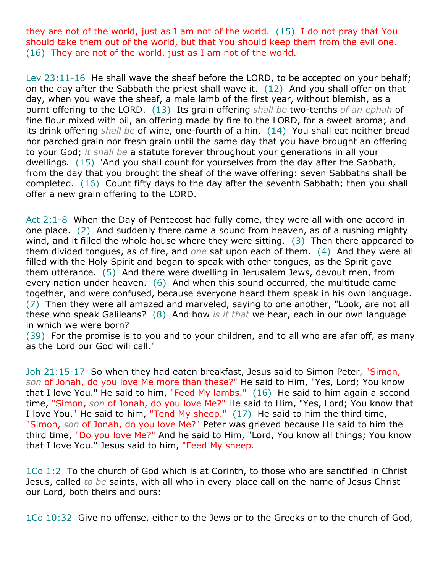they are not of the world, just as I am not of the world. (15) I do not pray that You should take them out of the world, but that You should keep them from the evil one. (16) They are not of the world, just as I am not of the world.

Lev 23:11-16 He shall wave the sheaf before the LORD, to be accepted on your behalf; on the day after the Sabbath the priest shall wave it. (12) And you shall offer on that day, when you wave the sheaf, a male lamb of the first year, without blemish, as a burnt offering to the LORD. (13) Its grain offering *shall be* two-tenths *of an ephah* of fine flour mixed with oil, an offering made by fire to the LORD, for a sweet aroma; and its drink offering *shall be* of wine, one-fourth of a hin. (14) You shall eat neither bread nor parched grain nor fresh grain until the same day that you have brought an offering to your God; *it shall be* a statute forever throughout your generations in all your dwellings. (15) 'And you shall count for yourselves from the day after the Sabbath, from the day that you brought the sheaf of the wave offering: seven Sabbaths shall be completed. (16) Count fifty days to the day after the seventh Sabbath; then you shall offer a new grain offering to the LORD.

Act 2:1-8 When the Day of Pentecost had fully come, they were all with one accord in one place. (2) And suddenly there came a sound from heaven, as of a rushing mighty wind, and it filled the whole house where they were sitting. (3) Then there appeared to them divided tongues, as of fire, and *one* sat upon each of them. (4) And they were all filled with the Holy Spirit and began to speak with other tongues, as the Spirit gave them utterance. (5) And there were dwelling in Jerusalem Jews, devout men, from every nation under heaven. (6) And when this sound occurred, the multitude came together, and were confused, because everyone heard them speak in his own language. (7) Then they were all amazed and marveled, saying to one another, "Look, are not all these who speak Galileans? (8) And how *is it that* we hear, each in our own language in which we were born?

(39) For the promise is to you and to your children, and to all who are afar off, as many as the Lord our God will call."

Joh 21:15-17 So when they had eaten breakfast, Jesus said to Simon Peter, "Simon, *son* of Jonah, do you love Me more than these?" He said to Him, "Yes, Lord; You know that I love You." He said to him, "Feed My lambs." (16) He said to him again a second time, "Simon, *son* of Jonah, do you love Me?" He said to Him, "Yes, Lord; You know that I love You." He said to him, "Tend My sheep." (17) He said to him the third time, "Simon, *son* of Jonah, do you love Me?" Peter was grieved because He said to him the third time, "Do you love Me?" And he said to Him, "Lord, You know all things; You know that I love You." Jesus said to him, "Feed My sheep.

1Co 1:2 To the church of God which is at Corinth, to those who are sanctified in Christ Jesus, called *to be* saints, with all who in every place call on the name of Jesus Christ our Lord, both theirs and ours:

1Co 10:32 Give no offense, either to the Jews or to the Greeks or to the church of God,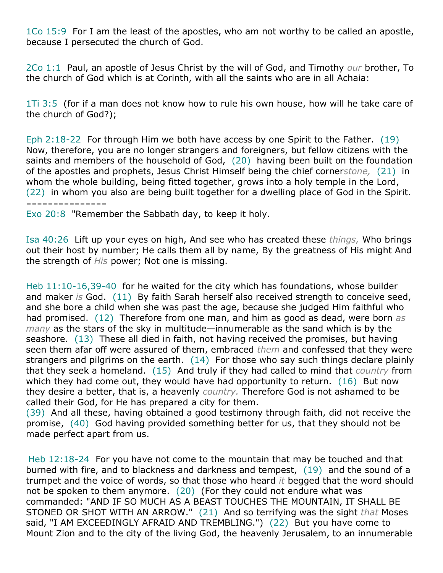1Co 15:9 For I am the least of the apostles, who am not worthy to be called an apostle, because I persecuted the church of God.

2Co 1:1 Paul, an apostle of Jesus Christ by the will of God, and Timothy *our* brother, To the church of God which is at Corinth, with all the saints who are in all Achaia:

1Ti 3:5 (for if a man does not know how to rule his own house, how will he take care of the church of God?);

Eph 2:18-22 For through Him we both have access by one Spirit to the Father. (19) Now, therefore, you are no longer strangers and foreigners, but fellow citizens with the saints and members of the household of God, (20) having been built on the foundation of the apostles and prophets, Jesus Christ Himself being the chief corner*stone,* (21) in whom the whole building, being fitted together, grows into a holy temple in the Lord, (22) in whom you also are being built together for a dwelling place of God in the Spirit. *===============*

Exo 20:8 "Remember the Sabbath day, to keep it holy.

Isa 40:26 Lift up your eyes on high, And see who has created these *things,* Who brings out their host by number; He calls them all by name, By the greatness of His might And the strength of *His* power; Not one is missing.

Heb 11:10-16,39-40 for he waited for the city which has foundations, whose builder and maker *is* God. (11) By faith Sarah herself also received strength to conceive seed, and she bore a child when she was past the age, because she judged Him faithful who had promised. (12) Therefore from one man, and him as good as dead, were born *as many* as the stars of the sky in multitude—innumerable as the sand which is by the seashore. (13) These all died in faith, not having received the promises, but having seen them afar off were assured of them, embraced *them* and confessed that they were strangers and pilgrims on the earth. (14) For those who say such things declare plainly that they seek a homeland. (15) And truly if they had called to mind that *country* from which they had come out, they would have had opportunity to return. (16) But now they desire a better, that is, a heavenly *country.* Therefore God is not ashamed to be called their God, for He has prepared a city for them.

(39) And all these, having obtained a good testimony through faith, did not receive the promise, (40) God having provided something better for us, that they should not be made perfect apart from us.

Heb 12:18-24 For you have not come to the mountain that may be touched and that burned with fire, and to blackness and darkness and tempest, (19) and the sound of a trumpet and the voice of words, so that those who heard *it* begged that the word should not be spoken to them anymore. (20) (For they could not endure what was commanded: "AND IF SO MUCH AS A BEAST TOUCHES THE MOUNTAIN, IT SHALL BE STONED OR SHOT WITH AN ARROW." (21) And so terrifying was the sight *that* Moses said, "I AM EXCEEDINGLY AFRAID AND TREMBLING.") (22) But you have come to Mount Zion and to the city of the living God, the heavenly Jerusalem, to an innumerable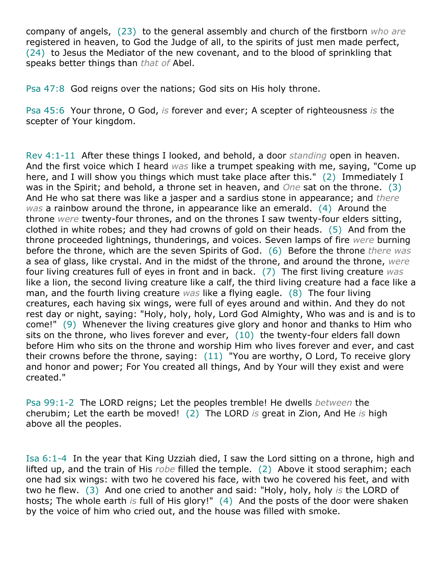company of angels, (23) to the general assembly and church of the firstborn *who are* registered in heaven, to God the Judge of all, to the spirits of just men made perfect, (24) to Jesus the Mediator of the new covenant, and to the blood of sprinkling that speaks better things than *that of* Abel.

Psa 47:8 God reigns over the nations; God sits on His holy throne.

Psa 45:6 Your throne, O God, *is* forever and ever; A scepter of righteousness *is* the scepter of Your kingdom.

Rev 4:1-11 After these things I looked, and behold, a door *standing* open in heaven. And the first voice which I heard *was* like a trumpet speaking with me, saying, "Come up here, and I will show you things which must take place after this." (2) Immediately I was in the Spirit; and behold, a throne set in heaven, and *One* sat on the throne. (3) And He who sat there was like a jasper and a sardius stone in appearance; and *there was* a rainbow around the throne, in appearance like an emerald. (4) Around the throne *were* twenty-four thrones, and on the thrones I saw twenty-four elders sitting, clothed in white robes; and they had crowns of gold on their heads. (5) And from the throne proceeded lightnings, thunderings, and voices. Seven lamps of fire *were* burning before the throne, which are the seven Spirits of God. (6) Before the throne *there was* a sea of glass, like crystal. And in the midst of the throne, and around the throne, *were* four living creatures full of eyes in front and in back. (7) The first living creature *was* like a lion, the second living creature like a calf, the third living creature had a face like a man, and the fourth living creature *was* like a flying eagle. (8) The four living creatures, each having six wings, were full of eyes around and within. And they do not rest day or night, saying: "Holy, holy, holy, Lord God Almighty, Who was and is and is to come!" (9) Whenever the living creatures give glory and honor and thanks to Him who sits on the throne, who lives forever and ever,  $(10)$  the twenty-four elders fall down before Him who sits on the throne and worship Him who lives forever and ever, and cast their crowns before the throne, saying: (11) "You are worthy, O Lord, To receive glory and honor and power; For You created all things, And by Your will they exist and were created."

Psa 99:1-2 The LORD reigns; Let the peoples tremble! He dwells *between* the cherubim; Let the earth be moved! (2) The LORD *is* great in Zion, And He *is* high above all the peoples.

Isa 6:1-4 In the year that King Uzziah died, I saw the Lord sitting on a throne, high and lifted up, and the train of His *robe* filled the temple. (2) Above it stood seraphim; each one had six wings: with two he covered his face, with two he covered his feet, and with two he flew. (3) And one cried to another and said: "Holy, holy, holy *is* the LORD of hosts; The whole earth *is* full of His glory!" (4) And the posts of the door were shaken by the voice of him who cried out, and the house was filled with smoke.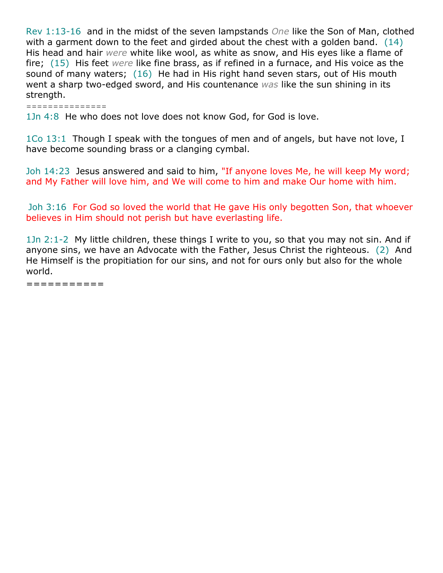Rev 1:13-16 and in the midst of the seven lampstands *One* like the Son of Man, clothed with a garment down to the feet and girded about the chest with a golden band. (14) His head and hair *were* white like wool, as white as snow, and His eyes like a flame of fire; (15) His feet *were* like fine brass, as if refined in a furnace, and His voice as the sound of many waters; (16) He had in His right hand seven stars, out of His mouth went a sharp two-edged sword, and His countenance *was* like the sun shining in its strength.

*===============*

1Jn 4:8 He who does not love does not know God, for God is love.

1Co 13:1 Though I speak with the tongues of men and of angels, but have not love, I have become sounding brass or a clanging cymbal.

Joh 14:23 Jesus answered and said to him, "If anyone loves Me, he will keep My word; and My Father will love him, and We will come to him and make Our home with him.

Joh 3:16 For God so loved the world that He gave His only begotten Son, that whoever believes in Him should not perish but have everlasting life.

1Jn 2:1-2 My little children, these things I write to you, so that you may not sin. And if anyone sins, we have an Advocate with the Father, Jesus Christ the righteous. (2) And He Himself is the propitiation for our sins, and not for ours only but also for the whole world.

===========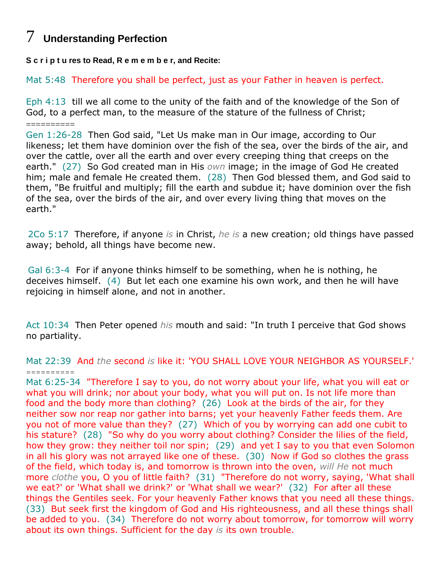## 7 **Understanding Perfection**

**S c r i p t u res to Read, R e m e m b e r, and Recite:**

Mat 5:48 Therefore you shall be perfect, just as your Father in heaven is perfect.

Eph 4:13 till we all come to the unity of the faith and of the knowledge of the Son of God, to a perfect man, to the measure of the stature of the fullness of Christ; ==========

Gen 1:26-28 Then God said, "Let Us make man in Our image, according to Our likeness; let them have dominion over the fish of the sea, over the birds of the air, and over the cattle, over all the earth and over every creeping thing that creeps on the earth." (27) So God created man in His *own* image; in the image of God He created him; male and female He created them. (28) Then God blessed them, and God said to them, "Be fruitful and multiply; fill the earth and subdue it; have dominion over the fish of the sea, over the birds of the air, and over every living thing that moves on the earth."

2Co 5:17 Therefore, if anyone *is* in Christ, *he is* a new creation; old things have passed away; behold, all things have become new.

Gal 6:3-4 For if anyone thinks himself to be something, when he is nothing, he deceives himself. (4) But let each one examine his own work, and then he will have rejoicing in himself alone, and not in another.

Act 10:34 Then Peter opened *his* mouth and said: "In truth I perceive that God shows no partiality.

Mat 22:39 And *the* second *is* like it: 'YOU SHALL LOVE YOUR NEIGHBOR AS YOURSELF.' *==========*

Mat 6:25-34 "Therefore I say to you, do not worry about your life, what you will eat or what you will drink; nor about your body, what you will put on. Is not life more than food and the body more than clothing? (26) Look at the birds of the air, for they neither sow nor reap nor gather into barns; yet your heavenly Father feeds them. Are you not of more value than they? (27) Which of you by worrying can add one cubit to his stature? (28) "So why do you worry about clothing? Consider the lilies of the field, how they grow: they neither toil nor spin; (29) and yet I say to you that even Solomon in all his glory was not arrayed like one of these. (30) Now if God so clothes the grass of the field, which today is, and tomorrow is thrown into the oven, *will He* not much more *clothe* you, O you of little faith? (31) "Therefore do not worry, saying, 'What shall we eat?' or 'What shall we drink?' or 'What shall we wear?' (32) For after all these things the Gentiles seek. For your heavenly Father knows that you need all these things. (33) But seek first the kingdom of God and His righteousness, and all these things shall be added to you. (34) Therefore do not worry about tomorrow, for tomorrow will worry about its own things. Sufficient for the day *is* its own trouble.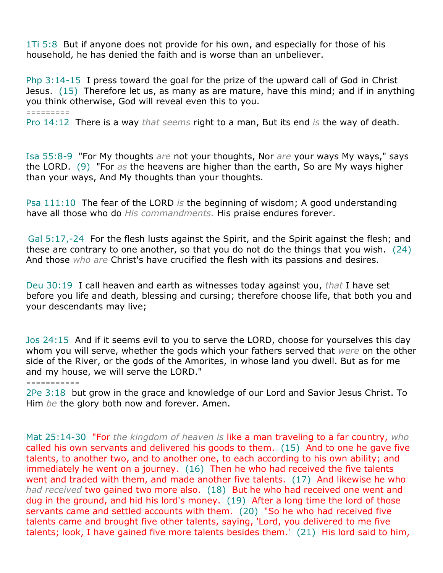1Ti 5:8 But if anyone does not provide for his own, and especially for those of his household, he has denied the faith and is worse than an unbeliever.

Php 3:14-15 I press toward the goal for the prize of the upward call of God in Christ Jesus. (15) Therefore let us, as many as are mature, have this mind; and if in anything you think otherwise, God will reveal even this to you.

#### *=========*

Pro 14:12 There is a way *that seems* right to a man, But its end *is* the way of death.

Isa 55:8-9 "For My thoughts *are* not your thoughts, Nor *are* your ways My ways," says the LORD. (9) "For *as* the heavens are higher than the earth, So are My ways higher than your ways, And My thoughts than your thoughts.

Psa 111:10 The fear of the LORD *is* the beginning of wisdom; A good understanding have all those who do *His commandments.* His praise endures forever.

Gal 5:17,-24 For the flesh lusts against the Spirit, and the Spirit against the flesh; and these are contrary to one another, so that you do not do the things that you wish. (24) And those *who are* Christ's have crucified the flesh with its passions and desires.

Deu 30:19 I call heaven and earth as witnesses today against you, *that* I have set before you life and death, blessing and cursing; therefore choose life, that both you and your descendants may live;

Jos 24:15 And if it seems evil to you to serve the LORD, choose for yourselves this day whom you will serve, whether the gods which your fathers served that *were* on the other side of the River, or the gods of the Amorites, in whose land you dwell. But as for me and my house, we will serve the LORD."

*===========*

2Pe 3:18 but grow in the grace and knowledge of our Lord and Savior Jesus Christ. To Him *be* the glory both now and forever. Amen.

Mat 25:14-30 "For *the kingdom of heaven is* like a man traveling to a far country, *who* called his own servants and delivered his goods to them. (15) And to one he gave five talents, to another two, and to another one, to each according to his own ability; and immediately he went on a journey. (16) Then he who had received the five talents went and traded with them, and made another five talents. (17) And likewise he who *had received* two gained two more also. (18) But he who had received one went and dug in the ground, and hid his lord's money. (19) After a long time the lord of those servants came and settled accounts with them. (20) "So he who had received five talents came and brought five other talents, saying, 'Lord, you delivered to me five talents; look, I have gained five more talents besides them.' (21) His lord said to him,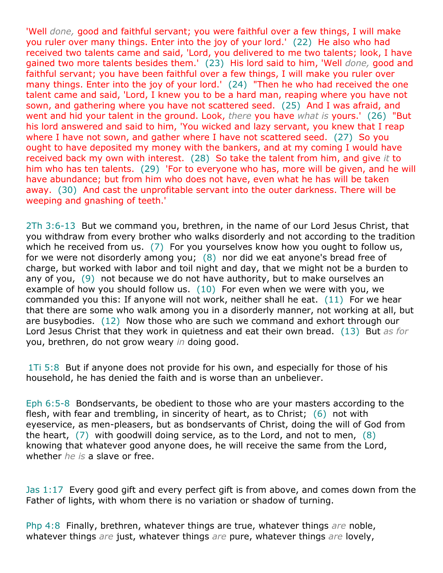'Well *done,* good and faithful servant; you were faithful over a few things, I will make you ruler over many things. Enter into the joy of your lord.' (22) He also who had received two talents came and said, 'Lord, you delivered to me two talents; look, I have gained two more talents besides them.' (23) His lord said to him, 'Well *done,* good and faithful servant; you have been faithful over a few things, I will make you ruler over many things. Enter into the joy of your lord.' (24) "Then he who had received the one talent came and said, 'Lord, I knew you to be a hard man, reaping where you have not sown, and gathering where you have not scattered seed. (25) And I was afraid, and went and hid your talent in the ground. Look, *there* you have *what is* yours.' (26) "But his lord answered and said to him, 'You wicked and lazy servant, you knew that I reap where I have not sown, and gather where I have not scattered seed. (27) So you ought to have deposited my money with the bankers, and at my coming I would have received back my own with interest. (28) So take the talent from him, and give *it* to him who has ten talents. (29) 'For to everyone who has, more will be given, and he will have abundance; but from him who does not have, even what he has will be taken away. (30) And cast the unprofitable servant into the outer darkness. There will be weeping and gnashing of teeth.'

2Th 3:6-13 But we command you, brethren, in the name of our Lord Jesus Christ, that you withdraw from every brother who walks disorderly and not according to the tradition which he received from us. (7) For you yourselves know how you ought to follow us, for we were not disorderly among you; (8) nor did we eat anyone's bread free of charge, but worked with labor and toil night and day, that we might not be a burden to any of you, (9) not because we do not have authority, but to make ourselves an example of how you should follow us.  $(10)$  For even when we were with you, we commanded you this: If anyone will not work, neither shall he eat. (11) For we hear that there are some who walk among you in a disorderly manner, not working at all, but are busybodies. (12) Now those who are such we command and exhort through our Lord Jesus Christ that they work in quietness and eat their own bread. (13) But *as for* you, brethren, do not grow weary *in* doing good.

1Ti 5:8 But if anyone does not provide for his own, and especially for those of his household, he has denied the faith and is worse than an unbeliever.

Eph 6:5-8 Bondservants, be obedient to those who are your masters according to the flesh, with fear and trembling, in sincerity of heart, as to Christ; (6) not with eyeservice, as men-pleasers, but as bondservants of Christ, doing the will of God from the heart,  $(7)$  with goodwill doing service, as to the Lord, and not to men,  $(8)$ knowing that whatever good anyone does, he will receive the same from the Lord, whether *he is* a slave or free.

Jas 1:17 Every good gift and every perfect gift is from above, and comes down from the Father of lights, with whom there is no variation or shadow of turning.

Php 4:8 Finally, brethren, whatever things are true, whatever things *are* noble, whatever things *are* just, whatever things *are* pure, whatever things *are* lovely,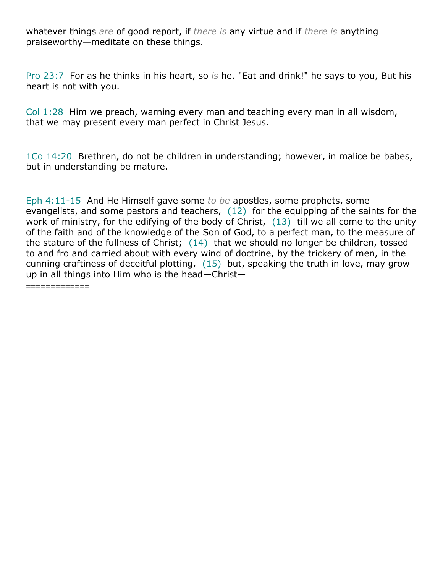whatever things *are* of good report, if *there is* any virtue and if *there is* anything praiseworthy—meditate on these things.

Pro 23:7 For as he thinks in his heart, so *is* he. "Eat and drink!" he says to you, But his heart is not with you.

Col 1:28 Him we preach, warning every man and teaching every man in all wisdom, that we may present every man perfect in Christ Jesus.

1Co 14:20 Brethren, do not be children in understanding; however, in malice be babes, but in understanding be mature.

Eph 4:11-15 And He Himself gave some *to be* apostles, some prophets, some evangelists, and some pastors and teachers, (12) for the equipping of the saints for the work of ministry, for the edifying of the body of Christ, (13) till we all come to the unity of the faith and of the knowledge of the Son of God, to a perfect man, to the measure of the stature of the fullness of Christ; (14) that we should no longer be children, tossed to and fro and carried about with every wind of doctrine, by the trickery of men, in the cunning craftiness of deceitful plotting,  $(15)$  but, speaking the truth in love, may grow up in all things into Him who is the head—Christ—

=============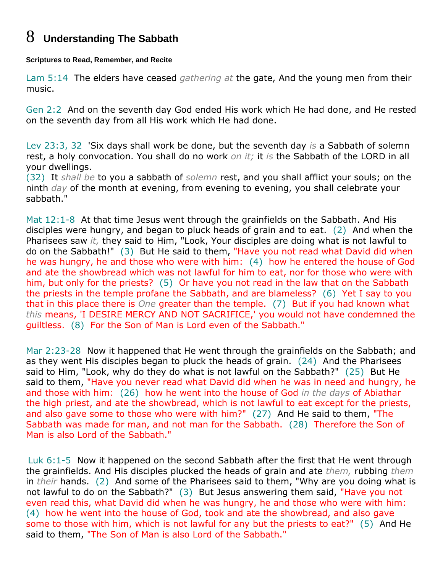## 8 **Understanding The Sabbath**

#### **Scriptures to Read, Remember, and Recite**

Lam 5:14 The elders have ceased *gathering at* the gate, And the young men from their music.

Gen 2:2 And on the seventh day God ended His work which He had done, and He rested on the seventh day from all His work which He had done.

Lev 23:3, 32 'Six days shall work be done, but the seventh day *is* a Sabbath of solemn rest, a holy convocation. You shall do no work *on it;* it *is* the Sabbath of the LORD in all your dwellings.

(32) It *shall be* to you a sabbath of *solemn* rest, and you shall afflict your souls; on the ninth *day* of the month at evening, from evening to evening, you shall celebrate your sabbath."

Mat 12:1-8 At that time Jesus went through the grainfields on the Sabbath. And His disciples were hungry, and began to pluck heads of grain and to eat. (2) And when the Pharisees saw *it,* they said to Him, "Look, Your disciples are doing what is not lawful to do on the Sabbath!" (3) But He said to them, "Have you not read what David did when he was hungry, he and those who were with him: (4) how he entered the house of God and ate the showbread which was not lawful for him to eat, nor for those who were with him, but only for the priests? (5) Or have you not read in the law that on the Sabbath the priests in the temple profane the Sabbath, and are blameless? (6) Yet I say to you that in this place there is *One* greater than the temple. (7) But if you had known what *this* means, 'I DESIRE MERCY AND NOT SACRIFICE,' you would not have condemned the guiltless. (8) For the Son of Man is Lord even of the Sabbath."

Mar 2:23-28 Now it happened that He went through the grainfields on the Sabbath; and as they went His disciples began to pluck the heads of grain. (24) And the Pharisees said to Him, "Look, why do they do what is not lawful on the Sabbath?" (25) But He said to them, "Have you never read what David did when he was in need and hungry, he and those with him: (26) how he went into the house of God *in the days* of Abiathar the high priest, and ate the showbread, which is not lawful to eat except for the priests, and also gave some to those who were with him?" (27) And He said to them, "The Sabbath was made for man, and not man for the Sabbath. (28) Therefore the Son of Man is also Lord of the Sabbath."

Luk 6:1-5 Now it happened on the second Sabbath after the first that He went through the grainfields. And His disciples plucked the heads of grain and ate *them,* rubbing *them* in *their* hands. (2) And some of the Pharisees said to them, "Why are you doing what is not lawful to do on the Sabbath?" (3) But Jesus answering them said, "Have you not even read this, what David did when he was hungry, he and those who were with him: (4) how he went into the house of God, took and ate the showbread, and also gave some to those with him, which is not lawful for any but the priests to eat?" (5) And He said to them, "The Son of Man is also Lord of the Sabbath."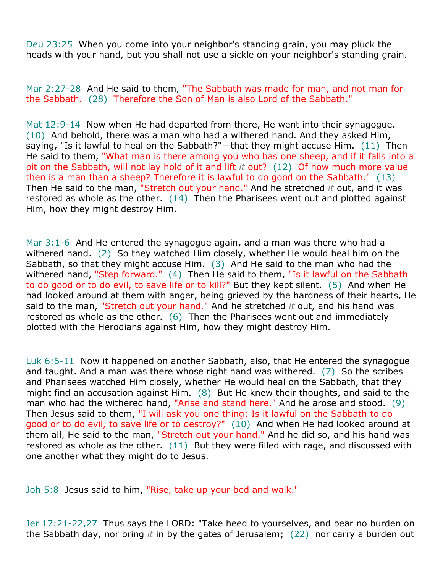Deu 23:25 When you come into your neighbor's standing grain, you may pluck the heads with your hand, but you shall not use a sickle on your neighbor's standing grain.

Mar 2:27-28 And He said to them, "The Sabbath was made for man, and not man for the Sabbath. (28) Therefore the Son of Man is also Lord of the Sabbath."

Mat 12:9-14 Now when He had departed from there, He went into their synagogue. (10) And behold, there was a man who had a withered hand. And they asked Him, saying, "Is it lawful to heal on the Sabbath?"—that they might accuse Him. (11) Then He said to them, "What man is there among you who has one sheep, and if it falls into a pit on the Sabbath, will not lay hold of it and lift *it* out? (12) Of how much more value then is a man than a sheep? Therefore it is lawful to do good on the Sabbath." (13) Then He said to the man, "Stretch out your hand." And he stretched *it* out, and it was restored as whole as the other.  $(14)$  Then the Pharisees went out and plotted against Him, how they might destroy Him.

Mar 3:1-6 And He entered the synagogue again, and a man was there who had a withered hand. (2) So they watched Him closely, whether He would heal him on the Sabbath, so that they might accuse Him. (3) And He said to the man who had the withered hand, "Step forward." (4) Then He said to them, "Is it lawful on the Sabbath to do good or to do evil, to save life or to kill?" But they kept silent. (5) And when He had looked around at them with anger, being grieved by the hardness of their hearts, He said to the man, "Stretch out your hand." And he stretched *it* out, and his hand was restored as whole as the other.  $(6)$  Then the Pharisees went out and immediately plotted with the Herodians against Him, how they might destroy Him.

Luk 6:6-11 Now it happened on another Sabbath, also, that He entered the synagogue and taught. And a man was there whose right hand was withered. (7) So the scribes and Pharisees watched Him closely, whether He would heal on the Sabbath, that they might find an accusation against Him.  $(8)$  But He knew their thoughts, and said to the man who had the withered hand, "Arise and stand here." And he arose and stood. (9) Then Jesus said to them, "I will ask you one thing: Is it lawful on the Sabbath to do good or to do evil, to save life or to destroy?" (10) And when He had looked around at them all, He said to the man, "Stretch out your hand." And he did so, and his hand was restored as whole as the other.  $(11)$  But they were filled with rage, and discussed with one another what they might do to Jesus.

Joh 5:8 Jesus said to him, "Rise, take up your bed and walk."

Jer 17:21-22,27 Thus says the LORD: "Take heed to yourselves, and bear no burden on the Sabbath day, nor bring *it* in by the gates of Jerusalem; (22) nor carry a burden out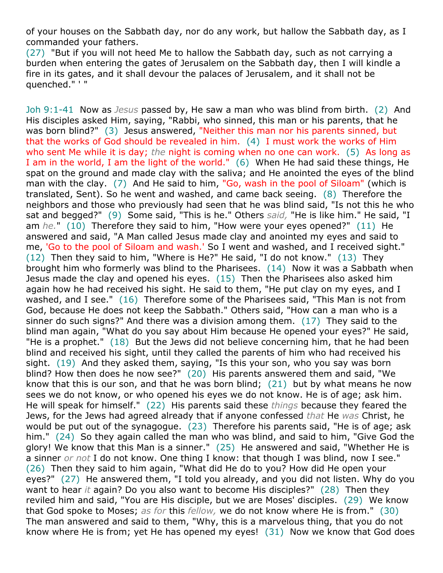of your houses on the Sabbath day, nor do any work, but hallow the Sabbath day, as I commanded your fathers.

(27) "But if you will not heed Me to hallow the Sabbath day, such as not carrying a burden when entering the gates of Jerusalem on the Sabbath day, then I will kindle a fire in its gates, and it shall devour the palaces of Jerusalem, and it shall not be quenched." ' "

Joh 9:1-41 Now as *Jesus* passed by, He saw a man who was blind from birth. (2) And His disciples asked Him, saying, "Rabbi, who sinned, this man or his parents, that he was born blind?" (3) Jesus answered, "Neither this man nor his parents sinned, but that the works of God should be revealed in him. (4) I must work the works of Him who sent Me while it is day; *the* night is coming when no one can work. (5) As long as I am in the world, I am the light of the world." (6) When He had said these things, He spat on the ground and made clay with the saliva; and He anointed the eyes of the blind man with the clay. (7) And He said to him, "Go, wash in the pool of Siloam" (which is translated, Sent). So he went and washed, and came back seeing. (8) Therefore the neighbors and those who previously had seen that he was blind said, "Is not this he who sat and begged?" (9) Some said, "This is he." Others *said,* "He is like him." He said, "I am *he.*" (10) Therefore they said to him, "How were your eyes opened?" (11) He answered and said, "A Man called Jesus made clay and anointed my eyes and said to me, 'Go to the pool of Siloam and wash.' So I went and washed, and I received sight." (12) Then they said to him, "Where is He?" He said, "I do not know." (13) They brought him who formerly was blind to the Pharisees. (14) Now it was a Sabbath when Jesus made the clay and opened his eyes. (15) Then the Pharisees also asked him again how he had received his sight. He said to them, "He put clay on my eyes, and I washed, and I see." (16) Therefore some of the Pharisees said, "This Man is not from God, because He does not keep the Sabbath." Others said, "How can a man who is a sinner do such signs?" And there was a division among them. (17) They said to the blind man again, "What do you say about Him because He opened your eyes?" He said, "He is a prophet." (18) But the Jews did not believe concerning him, that he had been blind and received his sight, until they called the parents of him who had received his sight. (19) And they asked them, saying, "Is this your son, who you say was born blind? How then does he now see?" (20) His parents answered them and said, "We know that this is our son, and that he was born blind; (21) but by what means he now sees we do not know, or who opened his eyes we do not know. He is of age; ask him. He will speak for himself." (22) His parents said these *things* because they feared the Jews, for the Jews had agreed already that if anyone confessed *that* He *was* Christ, he would be put out of the synagogue. (23) Therefore his parents said, "He is of age; ask him." (24) So they again called the man who was blind, and said to him, "Give God the glory! We know that this Man is a sinner." (25) He answered and said, "Whether He is a sinner *or not* I do not know. One thing I know: that though I was blind, now I see." (26) Then they said to him again, "What did He do to you? How did He open your eyes?" (27) He answered them, "I told you already, and you did not listen. Why do you want to hear *it* again? Do you also want to become His disciples?" (28) Then they reviled him and said, "You are His disciple, but we are Moses' disciples. (29) We know that God spoke to Moses; *as for* this *fellow,* we do not know where He is from." (30) The man answered and said to them, "Why, this is a marvelous thing, that you do not know where He is from; yet He has opened my eyes! (31) Now we know that God does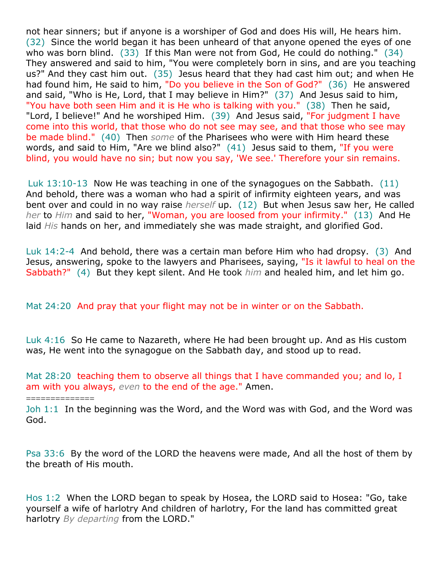not hear sinners; but if anyone is a worshiper of God and does His will, He hears him. (32) Since the world began it has been unheard of that anyone opened the eyes of one who was born blind. (33) If this Man were not from God, He could do nothing." (34) They answered and said to him, "You were completely born in sins, and are you teaching us?" And they cast him out. (35) Jesus heard that they had cast him out; and when He had found him, He said to him, "Do you believe in the Son of God?" (36) He answered and said, "Who is He, Lord, that I may believe in Him?" (37) And Jesus said to him, "You have both seen Him and it is He who is talking with you." (38) Then he said, "Lord, I believe!" And he worshiped Him. (39) And Jesus said, "For judgment I have come into this world, that those who do not see may see, and that those who see may be made blind." (40) Then *some* of the Pharisees who were with Him heard these words, and said to Him, "Are we blind also?"  $(41)$  Jesus said to them, "If you were blind, you would have no sin; but now you say, 'We see.' Therefore your sin remains.

Luk 13:10-13 Now He was teaching in one of the synagogues on the Sabbath. (11) And behold, there was a woman who had a spirit of infirmity eighteen years, and was bent over and could in no way raise *herself* up. (12) But when Jesus saw her, He called *her* to *Him* and said to her, "Woman, you are loosed from your infirmity." (13) And He laid *His* hands on her, and immediately she was made straight, and glorified God.

Luk 14:2-4 And behold, there was a certain man before Him who had dropsy. (3) And Jesus, answering, spoke to the lawyers and Pharisees, saying, "Is it lawful to heal on the Sabbath?" (4) But they kept silent. And He took *him* and healed him, and let him go.

### Mat 24:20 And pray that your flight may not be in winter or on the Sabbath.

==============

Luk 4:16 So He came to Nazareth, where He had been brought up. And as His custom was, He went into the synagogue on the Sabbath day, and stood up to read.

Mat 28:20 teaching them to observe all things that I have commanded you; and lo, I am with you always, *even* to the end of the age." Amen.

Joh 1:1 In the beginning was the Word, and the Word was with God, and the Word was God.

Psa 33:6 By the word of the LORD the heavens were made, And all the host of them by the breath of His mouth.

Hos 1:2 When the LORD began to speak by Hosea, the LORD said to Hosea: "Go, take yourself a wife of harlotry And children of harlotry, For the land has committed great harlotry *By departing* from the LORD."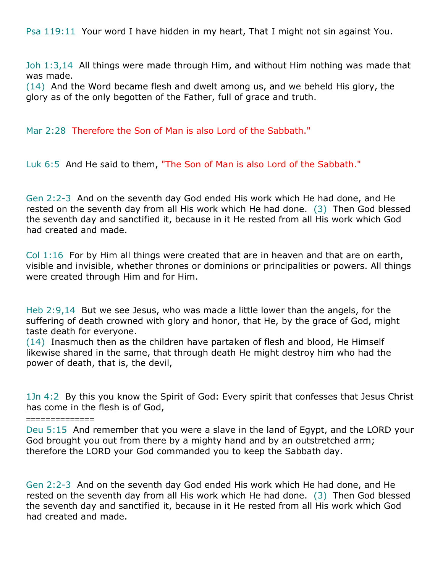Psa 119:11 Your word I have hidden in my heart, That I might not sin against You.

Joh 1:3,14 All things were made through Him, and without Him nothing was made that was made.

(14) And the Word became flesh and dwelt among us, and we beheld His glory, the glory as of the only begotten of the Father, full of grace and truth.

Mar 2:28 Therefore the Son of Man is also Lord of the Sabbath."

Luk 6:5 And He said to them, "The Son of Man is also Lord of the Sabbath."

Gen 2:2-3 And on the seventh day God ended His work which He had done, and He rested on the seventh day from all His work which He had done. (3) Then God blessed the seventh day and sanctified it, because in it He rested from all His work which God had created and made.

Col 1:16 For by Him all things were created that are in heaven and that are on earth, visible and invisible, whether thrones or dominions or principalities or powers. All things were created through Him and for Him.

Heb 2:9,14 But we see Jesus, who was made a little lower than the angels, for the suffering of death crowned with glory and honor, that He, by the grace of God, might taste death for everyone.

(14) Inasmuch then as the children have partaken of flesh and blood, He Himself likewise shared in the same, that through death He might destroy him who had the power of death, that is, the devil,

==============

1Jn 4:2 By this you know the Spirit of God: Every spirit that confesses that Jesus Christ has come in the flesh is of God,

Deu 5:15 And remember that you were a slave in the land of Egypt, and the LORD your God brought you out from there by a mighty hand and by an outstretched arm; therefore the LORD your God commanded you to keep the Sabbath day.

Gen 2:2-3 And on the seventh day God ended His work which He had done, and He rested on the seventh day from all His work which He had done. (3) Then God blessed the seventh day and sanctified it, because in it He rested from all His work which God had created and made.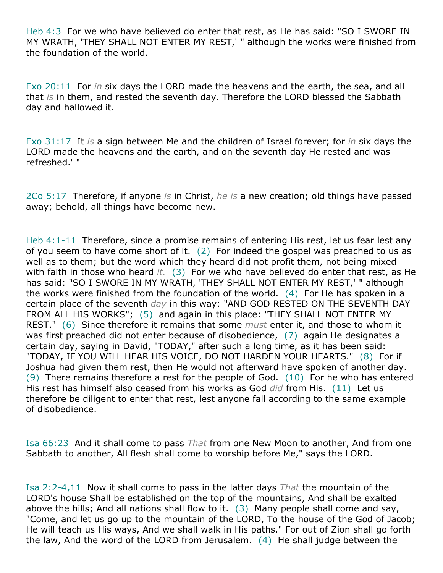Heb 4:3 For we who have believed do enter that rest, as He has said: "SO I SWORE IN MY WRATH, 'THEY SHALL NOT ENTER MY REST,' " although the works were finished from the foundation of the world.

Exo 20:11 For *in* six days the LORD made the heavens and the earth, the sea, and all that *is* in them, and rested the seventh day. Therefore the LORD blessed the Sabbath day and hallowed it.

Exo 31:17 It *is* a sign between Me and the children of Israel forever; for *in* six days the LORD made the heavens and the earth, and on the seventh day He rested and was refreshed.' "

2Co 5:17 Therefore, if anyone *is* in Christ, *he is* a new creation; old things have passed away; behold, all things have become new.

Heb 4:1-11 Therefore, since a promise remains of entering His rest, let us fear lest any of you seem to have come short of it. (2) For indeed the gospel was preached to us as well as to them; but the word which they heard did not profit them, not being mixed with faith in those who heard *it.* (3) For we who have believed do enter that rest, as He has said: "SO I SWORE IN MY WRATH, 'THEY SHALL NOT ENTER MY REST,' " although the works were finished from the foundation of the world. (4) For He has spoken in a certain place of the seventh *day* in this way: "AND GOD RESTED ON THE SEVENTH DAY FROM ALL HIS WORKS"; (5) and again in this place: "THEY SHALL NOT ENTER MY REST." (6) Since therefore it remains that some *must* enter it, and those to whom it was first preached did not enter because of disobedience, (7) again He designates a certain day, saying in David, "TODAY," after such a long time, as it has been said: "TODAY, IF YOU WILL HEAR HIS VOICE, DO NOT HARDEN YOUR HEARTS." (8) For if Joshua had given them rest, then He would not afterward have spoken of another day.  $(9)$  There remains therefore a rest for the people of God.  $(10)$  For he who has entered His rest has himself also ceased from his works as God *did* from His. (11) Let us therefore be diligent to enter that rest, lest anyone fall according to the same example of disobedience.

Isa 66:23 And it shall come to pass *That* from one New Moon to another, And from one Sabbath to another, All flesh shall come to worship before Me," says the LORD.

Isa 2:2-4,11 Now it shall come to pass in the latter days *That* the mountain of the LORD's house Shall be established on the top of the mountains, And shall be exalted above the hills; And all nations shall flow to it.  $(3)$  Many people shall come and say, "Come, and let us go up to the mountain of the LORD, To the house of the God of Jacob; He will teach us His ways, And we shall walk in His paths." For out of Zion shall go forth the law, And the word of the LORD from Jerusalem. (4) He shall judge between the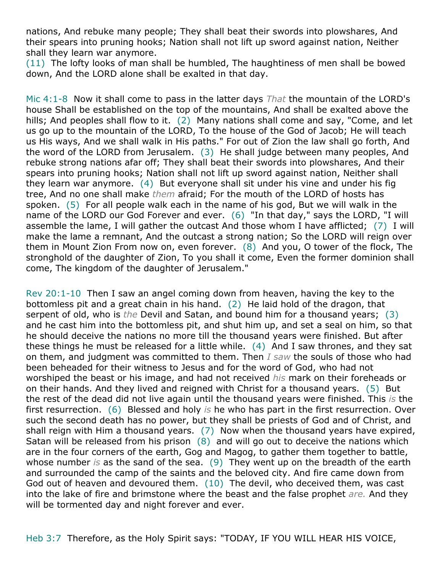nations, And rebuke many people; They shall beat their swords into plowshares, And their spears into pruning hooks; Nation shall not lift up sword against nation, Neither shall they learn war anymore.

(11) The lofty looks of man shall be humbled, The haughtiness of men shall be bowed down, And the LORD alone shall be exalted in that day.

Mic 4:1-8 Now it shall come to pass in the latter days *That* the mountain of the LORD's house Shall be established on the top of the mountains, And shall be exalted above the hills; And peoples shall flow to it. (2) Many nations shall come and say, "Come, and let us go up to the mountain of the LORD, To the house of the God of Jacob; He will teach us His ways, And we shall walk in His paths." For out of Zion the law shall go forth, And the word of the LORD from Jerusalem. (3) He shall judge between many peoples, And rebuke strong nations afar off; They shall beat their swords into plowshares, And their spears into pruning hooks; Nation shall not lift up sword against nation, Neither shall they learn war anymore. (4) But everyone shall sit under his vine and under his fig tree, And no one shall make *them* afraid; For the mouth of the LORD of hosts has spoken. (5) For all people walk each in the name of his god, But we will walk in the name of the LORD our God Forever and ever. (6) "In that day," says the LORD, "I will assemble the lame, I will gather the outcast And those whom I have afflicted; (7) I will make the lame a remnant, And the outcast a strong nation; So the LORD will reign over them in Mount Zion From now on, even forever. (8) And you, O tower of the flock, The stronghold of the daughter of Zion, To you shall it come, Even the former dominion shall come, The kingdom of the daughter of Jerusalem."

Rev 20:1-10 Then I saw an angel coming down from heaven, having the key to the bottomless pit and a great chain in his hand. (2) He laid hold of the dragon, that serpent of old, who is *the* Devil and Satan, and bound him for a thousand years; (3) and he cast him into the bottomless pit, and shut him up, and set a seal on him, so that he should deceive the nations no more till the thousand years were finished. But after these things he must be released for a little while.  $(4)$  And I saw thrones, and they sat on them, and judgment was committed to them. Then *I saw* the souls of those who had been beheaded for their witness to Jesus and for the word of God, who had not worshiped the beast or his image, and had not received *his* mark on their foreheads or on their hands. And they lived and reigned with Christ for a thousand years. (5) But the rest of the dead did not live again until the thousand years were finished. This *is* the first resurrection. (6) Blessed and holy *is* he who has part in the first resurrection. Over such the second death has no power, but they shall be priests of God and of Christ, and shall reign with Him a thousand years. (7) Now when the thousand years have expired, Satan will be released from his prison  $(8)$  and will go out to deceive the nations which are in the four corners of the earth, Gog and Magog, to gather them together to battle, whose number *is* as the sand of the sea. (9) They went up on the breadth of the earth and surrounded the camp of the saints and the beloved city. And fire came down from God out of heaven and devoured them. (10) The devil, who deceived them, was cast into the lake of fire and brimstone where the beast and the false prophet *are.* And they will be tormented day and night forever and ever.

Heb 3:7 Therefore, as the Holy Spirit says: "TODAY, IF YOU WILL HEAR HIS VOICE,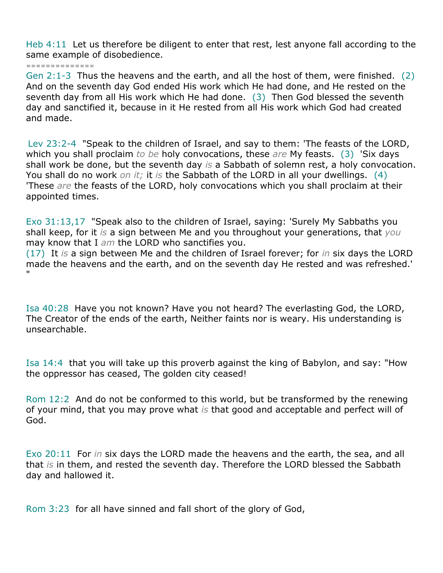Heb 4:11 Let us therefore be diligent to enter that rest, lest anyone fall according to the same example of disobedience.

*==============*

Gen 2:1-3 Thus the heavens and the earth, and all the host of them, were finished. (2) And on the seventh day God ended His work which He had done, and He rested on the seventh day from all His work which He had done. (3) Then God blessed the seventh day and sanctified it, because in it He rested from all His work which God had created and made.

Lev 23:2-4 "Speak to the children of Israel, and say to them: 'The feasts of the LORD, which you shall proclaim *to be* holy convocations, these *are* My feasts. (3) 'Six days shall work be done, but the seventh day *is* a Sabbath of solemn rest, a holy convocation. You shall do no work *on it;* it *is* the Sabbath of the LORD in all your dwellings. (4) 'These *are* the feasts of the LORD, holy convocations which you shall proclaim at their appointed times.

Exo 31:13,17 "Speak also to the children of Israel, saying: 'Surely My Sabbaths you shall keep, for it *is* a sign between Me and you throughout your generations, that *you* may know that I *am* the LORD who sanctifies you.

(17) It *is* a sign between Me and the children of Israel forever; for *in* six days the LORD made the heavens and the earth, and on the seventh day He rested and was refreshed.' "

Isa 40:28 Have you not known? Have you not heard? The everlasting God, the LORD, The Creator of the ends of the earth, Neither faints nor is weary. His understanding is unsearchable.

Isa 14:4 that you will take up this proverb against the king of Babylon, and say: "How the oppressor has ceased, The golden city ceased!

Rom 12:2 And do not be conformed to this world, but be transformed by the renewing of your mind, that you may prove what *is* that good and acceptable and perfect will of God.

Exo 20:11 For *in* six days the LORD made the heavens and the earth, the sea, and all that *is* in them, and rested the seventh day. Therefore the LORD blessed the Sabbath day and hallowed it.

Rom 3:23 for all have sinned and fall short of the glory of God,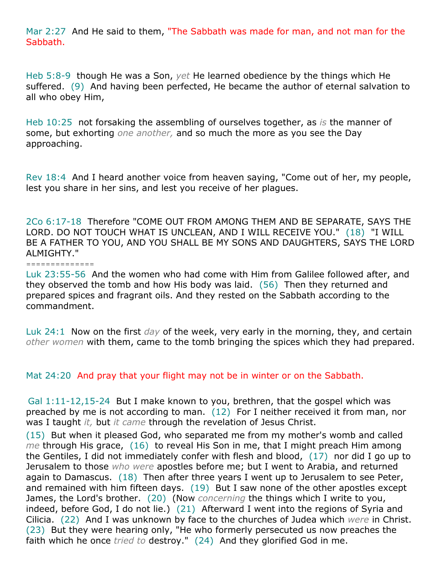Mar 2:27 And He said to them, "The Sabbath was made for man, and not man for the Sabbath.

Heb 5:8-9 though He was a Son, *yet* He learned obedience by the things which He suffered. (9) And having been perfected, He became the author of eternal salvation to all who obey Him,

Heb 10:25 not forsaking the assembling of ourselves together, as *is* the manner of some, but exhorting *one another,* and so much the more as you see the Day approaching.

Rev 18:4 And I heard another voice from heaven saying, "Come out of her, my people, lest you share in her sins, and lest you receive of her plagues.

2Co 6:17-18 Therefore "COME OUT FROM AMONG THEM AND BE SEPARATE, SAYS THE LORD. DO NOT TOUCH WHAT IS UNCLEAN, AND I WILL RECEIVE YOU." (18) "I WILL BE A FATHER TO YOU, AND YOU SHALL BE MY SONS AND DAUGHTERS, SAYS THE LORD ALMIGHTY."

*==============*

Luk 23:55-56 And the women who had come with Him from Galilee followed after, and they observed the tomb and how His body was laid. (56) Then they returned and prepared spices and fragrant oils. And they rested on the Sabbath according to the commandment.

Luk 24:1 Now on the first *day* of the week, very early in the morning, they, and certain *other women* with them, came to the tomb bringing the spices which they had prepared.

Mat 24:20 And pray that your flight may not be in winter or on the Sabbath.

Gal 1:11-12,15-24 But I make known to you, brethren, that the gospel which was preached by me is not according to man. (12) For I neither received it from man, nor was I taught *it,* but *it came* through the revelation of Jesus Christ.

(15) But when it pleased God, who separated me from my mother's womb and called *me* through His grace, (16) to reveal His Son in me, that I might preach Him among the Gentiles, I did not immediately confer with flesh and blood, (17) nor did I go up to Jerusalem to those *who were* apostles before me; but I went to Arabia, and returned again to Damascus. (18) Then after three years I went up to Jerusalem to see Peter, and remained with him fifteen days. (19) But I saw none of the other apostles except James, the Lord's brother. (20) (Now *concerning* the things which I write to you, indeed, before God, I do not lie.) (21) Afterward I went into the regions of Syria and Cilicia. (22) And I was unknown by face to the churches of Judea which *were* in Christ. (23) But they were hearing only, "He who formerly persecuted us now preaches the faith which he once *tried to* destroy." (24) And they glorified God in me.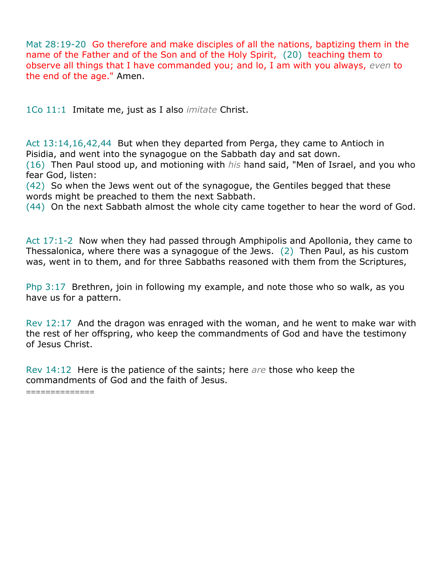Mat 28:19-20 Go therefore and make disciples of all the nations, baptizing them in the name of the Father and of the Son and of the Holy Spirit, (20) teaching them to observe all things that I have commanded you; and lo, I am with you always, *even* to the end of the age." Amen.

1Co 11:1 Imitate me, just as I also *imitate* Christ.

Act 13:14,16,42,44 But when they departed from Perga, they came to Antioch in Pisidia, and went into the synagogue on the Sabbath day and sat down.

(16) Then Paul stood up, and motioning with *his* hand said, "Men of Israel, and you who fear God, listen:

(42) So when the Jews went out of the synagogue, the Gentiles begged that these words might be preached to them the next Sabbath.

(44) On the next Sabbath almost the whole city came together to hear the word of God.

Act 17:1-2 Now when they had passed through Amphipolis and Apollonia, they came to Thessalonica, where there was a synagogue of the Jews. (2) Then Paul, as his custom was, went in to them, and for three Sabbaths reasoned with them from the Scriptures,

Php 3:17 Brethren, join in following my example, and note those who so walk, as you have us for a pattern.

Rev 12:17 And the dragon was enraged with the woman, and he went to make war with the rest of her offspring, who keep the commandments of God and have the testimony of Jesus Christ.

Rev 14:12 Here is the patience of the saints; here *are* those who keep the commandments of God and the faith of Jesus.

=============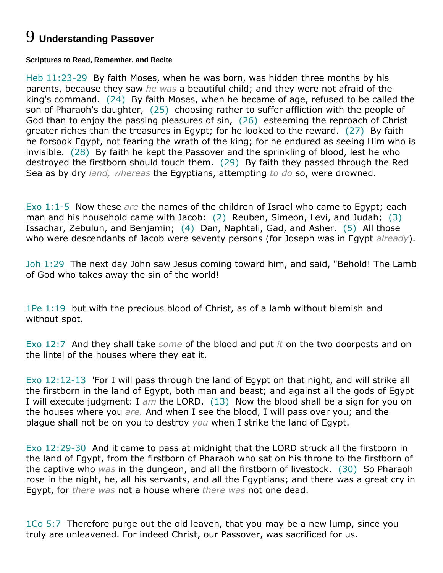# 9 **Understanding Passover**

#### **Scriptures to Read, Remember, and Recite**

Heb 11:23-29 By faith Moses, when he was born, was hidden three months by his parents, because they saw *he was* a beautiful child; and they were not afraid of the king's command. (24) By faith Moses, when he became of age, refused to be called the son of Pharaoh's daughter, (25) choosing rather to suffer affliction with the people of God than to enjoy the passing pleasures of sin, (26) esteeming the reproach of Christ greater riches than the treasures in Egypt; for he looked to the reward. (27) By faith he forsook Egypt, not fearing the wrath of the king; for he endured as seeing Him who is invisible. (28) By faith he kept the Passover and the sprinkling of blood, lest he who destroyed the firstborn should touch them. (29) By faith they passed through the Red Sea as by dry *land, whereas* the Egyptians, attempting *to do* so, were drowned.

Exo 1:1-5 Now these *are* the names of the children of Israel who came to Egypt; each man and his household came with Jacob: (2) Reuben, Simeon, Levi, and Judah; (3) Issachar, Zebulun, and Benjamin; (4) Dan, Naphtali, Gad, and Asher. (5) All those who were descendants of Jacob were seventy persons (for Joseph was in Egypt *already*).

Joh 1:29 The next day John saw Jesus coming toward him, and said, "Behold! The Lamb of God who takes away the sin of the world!

1Pe 1:19 but with the precious blood of Christ, as of a lamb without blemish and without spot.

Exo 12:7 And they shall take *some* of the blood and put *it* on the two doorposts and on the lintel of the houses where they eat it.

Exo 12:12-13 'For I will pass through the land of Egypt on that night, and will strike all the firstborn in the land of Egypt, both man and beast; and against all the gods of Egypt I will execute judgment: I *am* the LORD. (13) Now the blood shall be a sign for you on the houses where you *are.* And when I see the blood, I will pass over you; and the plague shall not be on you to destroy *you* when I strike the land of Egypt.

Exo 12:29-30 And it came to pass at midnight that the LORD struck all the firstborn in the land of Egypt, from the firstborn of Pharaoh who sat on his throne to the firstborn of the captive who *was* in the dungeon, and all the firstborn of livestock. (30) So Pharaoh rose in the night, he, all his servants, and all the Egyptians; and there was a great cry in Egypt, for *there was* not a house where *there was* not one dead.

1Co 5:7 Therefore purge out the old leaven, that you may be a new lump, since you truly are unleavened. For indeed Christ, our Passover, was sacrificed for us.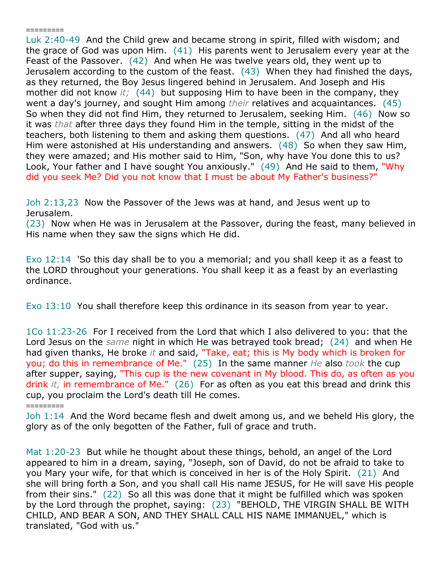Luk 2:40-49 And the Child grew and became strong in spirit, filled with wisdom; and the grace of God was upon Him. (41) His parents went to Jerusalem every year at the Feast of the Passover. (42) And when He was twelve years old, they went up to Jerusalem according to the custom of the feast. (43) When they had finished the days, as they returned, the Boy Jesus lingered behind in Jerusalem. And Joseph and His mother did not know *it;* (44) but supposing Him to have been in the company, they went a day's journey, and sought Him among *their* relatives and acquaintances. (45) So when they did not find Him, they returned to Jerusalem, seeking Him. (46) Now so it was *that* after three days they found Him in the temple, sitting in the midst of the teachers, both listening to them and asking them questions. (47) And all who heard Him were astonished at His understanding and answers. (48) So when they saw Him, they were amazed; and His mother said to Him, "Son, why have You done this to us? Look, Your father and I have sought You anxiously." (49) And He said to them, "Why did you seek Me? Did you not know that I must be about My Father's business?"

Joh 2:13,23 Now the Passover of the Jews was at hand, and Jesus went up to Jerusalem.

*=========*

*=========*

(23) Now when He was in Jerusalem at the Passover, during the feast, many believed in His name when they saw the signs which He did.

Exo 12:14 'So this day shall be to you a memorial; and you shall keep it as a feast to the LORD throughout your generations. You shall keep it as a feast by an everlasting ordinance.

Exo 13:10 You shall therefore keep this ordinance in its season from year to year.

1Co 11:23-26 For I received from the Lord that which I also delivered to you: that the Lord Jesus on the *same* night in which He was betrayed took bread; (24) and when He had given thanks, He broke *it* and said, "Take, eat; this is My body which is broken for you; do this in remembrance of Me." (25) In the same manner *He* also *took* the cup after supper, saying, "This cup is the new covenant in My blood. This do, as often as you drink *it,* in remembrance of Me." (26) For as often as you eat this bread and drink this cup, you proclaim the Lord's death till He comes.

Joh 1:14 And the Word became flesh and dwelt among us, and we beheld His glory, the glory as of the only begotten of the Father, full of grace and truth.

Mat 1:20-23 But while he thought about these things, behold, an angel of the Lord appeared to him in a dream, saying, "Joseph, son of David, do not be afraid to take to you Mary your wife, for that which is conceived in her is of the Holy Spirit. (21) And she will bring forth a Son, and you shall call His name JESUS, for He will save His people from their sins." (22) So all this was done that it might be fulfilled which was spoken by the Lord through the prophet, saying: (23) "BEHOLD, THE VIRGIN SHALL BE WITH CHILD, AND BEAR A SON, AND THEY SHALL CALL HIS NAME IMMANUEL," which is translated, "God with us."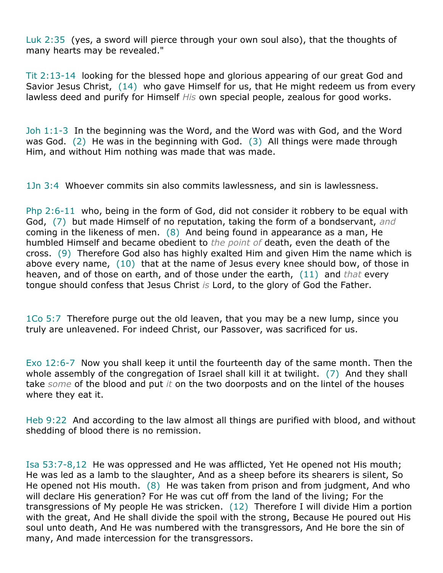Luk 2:35 (yes, a sword will pierce through your own soul also), that the thoughts of many hearts may be revealed."

Tit 2:13-14 looking for the blessed hope and glorious appearing of our great God and Savior Jesus Christ, (14) who gave Himself for us, that He might redeem us from every lawless deed and purify for Himself *His* own special people, zealous for good works.

Joh 1:1-3 In the beginning was the Word, and the Word was with God, and the Word was God. (2) He was in the beginning with God. (3) All things were made through Him, and without Him nothing was made that was made.

1Jn 3:4 Whoever commits sin also commits lawlessness, and sin is lawlessness.

Php 2:6-11 who, being in the form of God, did not consider it robbery to be equal with God, (7) but made Himself of no reputation, taking the form of a bondservant, *and* coming in the likeness of men. (8) And being found in appearance as a man, He humbled Himself and became obedient to *the point of* death, even the death of the cross. (9) Therefore God also has highly exalted Him and given Him the name which is above every name, (10) that at the name of Jesus every knee should bow, of those in heaven, and of those on earth, and of those under the earth, (11) and *that* every tongue should confess that Jesus Christ *is* Lord, to the glory of God the Father.

1Co 5:7 Therefore purge out the old leaven, that you may be a new lump, since you truly are unleavened. For indeed Christ, our Passover, was sacrificed for us.

Exo 12:6-7 Now you shall keep it until the fourteenth day of the same month. Then the whole assembly of the congregation of Israel shall kill it at twilight. (7) And they shall take *some* of the blood and put *it* on the two doorposts and on the lintel of the houses where they eat it.

Heb 9:22 And according to the law almost all things are purified with blood, and without shedding of blood there is no remission.

Isa 53:7-8,12 He was oppressed and He was afflicted, Yet He opened not His mouth; He was led as a lamb to the slaughter, And as a sheep before its shearers is silent, So He opened not His mouth. (8) He was taken from prison and from judgment, And who will declare His generation? For He was cut off from the land of the living; For the transgressions of My people He was stricken. (12) Therefore I will divide Him a portion with the great, And He shall divide the spoil with the strong, Because He poured out His soul unto death, And He was numbered with the transgressors, And He bore the sin of many, And made intercession for the transgressors.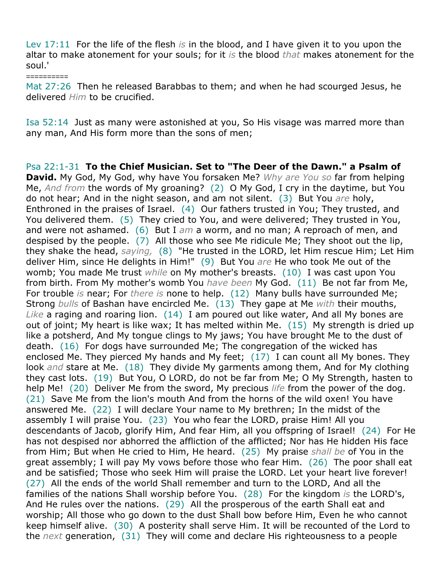Lev 17:11 For the life of the flesh *is* in the blood, and I have given it to you upon the altar to make atonement for your souls; for it *is* the blood *that* makes atonement for the soul.'

Mat 27:26 Then he released Barabbas to them; and when he had scourged Jesus, he delivered *Him* to be crucified.

*==========*

Isa 52:14 Just as many were astonished at you, So His visage was marred more than any man, And His form more than the sons of men;

Psa 22:1-31 **To the Chief Musician. Set to "The Deer of the Dawn." a Psalm of David.** My God, My God, why have You forsaken Me? *Why are You so* far from helping Me, *And from* the words of My groaning? (2) O My God, I cry in the daytime, but You do not hear; And in the night season, and am not silent. (3) But You *are* holy, Enthroned in the praises of Israel. (4) Our fathers trusted in You; They trusted, and You delivered them. (5) They cried to You, and were delivered; They trusted in You, and were not ashamed. (6) But I *am* a worm, and no man; A reproach of men, and despised by the people. (7) All those who see Me ridicule Me; They shoot out the lip, they shake the head, *saying,* (8) "He trusted in the LORD, let Him rescue Him; Let Him deliver Him, since He delights in Him!" (9) But You *are* He who took Me out of the womb; You made Me trust *while* on My mother's breasts. (10) I was cast upon You from birth. From My mother's womb You *have been* My God. (11) Be not far from Me, For trouble *is* near; For *there is* none to help. (12) Many bulls have surrounded Me; Strong *bulls* of Bashan have encircled Me. (13) They gape at Me *with* their mouths, *Like* a raging and roaring lion. (14) I am poured out like water, And all My bones are out of joint; My heart is like wax; It has melted within Me. (15) My strength is dried up like a potsherd, And My tongue clings to My jaws; You have brought Me to the dust of death. (16) For dogs have surrounded Me; The congregation of the wicked has enclosed Me. They pierced My hands and My feet; (17) I can count all My bones. They look *and* stare at Me. (18) They divide My garments among them, And for My clothing they cast lots. (19) But You, O LORD, do not be far from Me; O My Strength, hasten to help Me! (20) Deliver Me from the sword, My precious *life* from the power of the dog. (21) Save Me from the lion's mouth And from the horns of the wild oxen! You have answered Me. (22) I will declare Your name to My brethren; In the midst of the assembly I will praise You. (23) You who fear the LORD, praise Him! All you descendants of Jacob, glorify Him, And fear Him, all you offspring of Israel! (24) For He has not despised nor abhorred the affliction of the afflicted; Nor has He hidden His face from Him; But when He cried to Him, He heard. (25) My praise *shall be* of You in the great assembly; I will pay My vows before those who fear Him. (26) The poor shall eat and be satisfied; Those who seek Him will praise the LORD. Let your heart live forever! (27) All the ends of the world Shall remember and turn to the LORD, And all the families of the nations Shall worship before You. (28) For the kingdom *is* the LORD's, And He rules over the nations. (29) All the prosperous of the earth Shall eat and worship; All those who go down to the dust Shall bow before Him, Even he who cannot keep himself alive. (30) A posterity shall serve Him. It will be recounted of the Lord to the *next* generation, (31) They will come and declare His righteousness to a people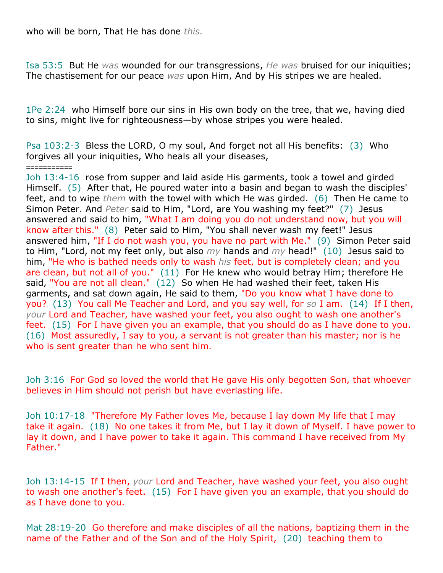who will be born, That He has done *this.*

Isa 53:5 But He *was* wounded for our transgressions, *He was* bruised for our iniquities; The chastisement for our peace *was* upon Him, And by His stripes we are healed.

1Pe 2:24 who Himself bore our sins in His own body on the tree, that we, having died to sins, might live for righteousness—by whose stripes you were healed.

Psa 103:2-3 Bless the LORD, O my soul, And forget not all His benefits: (3) Who forgives all your iniquities, Who heals all your diseases,

*===========* Joh 13:4-16 rose from supper and laid aside His garments, took a towel and girded Himself. (5) After that, He poured water into a basin and began to wash the disciples' feet, and to wipe *them* with the towel with which He was girded. (6) Then He came to Simon Peter. And *Peter* said to Him, "Lord, are You washing my feet?" (7) Jesus answered and said to him, "What I am doing you do not understand now, but you will know after this." (8) Peter said to Him, "You shall never wash my feet!" Jesus answered him, "If I do not wash you, you have no part with Me." (9) Simon Peter said to Him, "Lord, not my feet only, but also *my* hands and *my* head!" (10) Jesus said to him, "He who is bathed needs only to wash *his* feet, but is completely clean; and you are clean, but not all of you." (11) For He knew who would betray Him; therefore He said, "You are not all clean."  $(12)$  So when He had washed their feet, taken His garments, and sat down again, He said to them, "Do you know what I have done to you? (13) You call Me Teacher and Lord, and you say well, for *so* I am. (14) If I then, *your* Lord and Teacher, have washed your feet, you also ought to wash one another's feet. (15) For I have given you an example, that you should do as I have done to you. (16) Most assuredly, I say to you, a servant is not greater than his master; nor is he who is sent greater than he who sent him.

Joh 3:16 For God so loved the world that He gave His only begotten Son, that whoever believes in Him should not perish but have everlasting life.

Joh 10:17-18 "Therefore My Father loves Me, because I lay down My life that I may take it again. (18) No one takes it from Me, but I lay it down of Myself. I have power to lay it down, and I have power to take it again. This command I have received from My Father."

Joh 13:14-15 If I then, *your* Lord and Teacher, have washed your feet, you also ought to wash one another's feet. (15) For I have given you an example, that you should do as I have done to you.

Mat 28:19-20 Go therefore and make disciples of all the nations, baptizing them in the name of the Father and of the Son and of the Holy Spirit, (20) teaching them to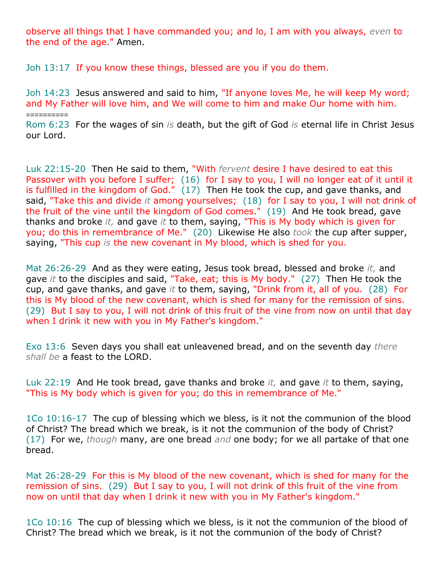observe all things that I have commanded you; and lo, I am with you always, *even* to the end of the age." Amen.

Joh 13:17 If you know these things, blessed are you if you do them.

*==========*

Joh 14:23 Jesus answered and said to him, "If anyone loves Me, he will keep My word; and My Father will love him, and We will come to him and make Our home with him.

Rom 6:23 For the wages of sin *is* death, but the gift of God *is* eternal life in Christ Jesus our Lord.

Luk 22:15-20 Then He said to them, "With *fervent* desire I have desired to eat this Passover with you before I suffer; (16) for I say to you, I will no longer eat of it until it is fulfilled in the kingdom of God." (17) Then He took the cup, and gave thanks, and said, "Take this and divide *it* among yourselves; (18) for I say to you, I will not drink of the fruit of the vine until the kingdom of God comes." (19) And He took bread, gave thanks and broke *it,* and gave *it* to them, saying, "This is My body which is given for you; do this in remembrance of Me." (20) Likewise He also *took* the cup after supper, saying, "This cup *is* the new covenant in My blood, which is shed for you.

Mat 26:26-29 And as they were eating, Jesus took bread, blessed and broke *it,* and gave *it* to the disciples and said, "Take, eat; this is My body." (27) Then He took the cup, and gave thanks, and gave *it* to them, saying, "Drink from it, all of you. (28) For this is My blood of the new covenant, which is shed for many for the remission of sins. (29) But I say to you, I will not drink of this fruit of the vine from now on until that day when I drink it new with you in My Father's kingdom."

Exo 13:6 Seven days you shall eat unleavened bread, and on the seventh day *there shall be* a feast to the LORD.

Luk 22:19 And He took bread, gave thanks and broke *it,* and gave *it* to them, saying, "This is My body which is given for you; do this in remembrance of Me."

1Co 10:16-17 The cup of blessing which we bless, is it not the communion of the blood of Christ? The bread which we break, is it not the communion of the body of Christ? (17) For we, *though* many, are one bread *and* one body; for we all partake of that one bread.

Mat 26:28-29 For this is My blood of the new covenant, which is shed for many for the remission of sins. (29) But I say to you, I will not drink of this fruit of the vine from now on until that day when I drink it new with you in My Father's kingdom."

1Co 10:16 The cup of blessing which we bless, is it not the communion of the blood of Christ? The bread which we break, is it not the communion of the body of Christ?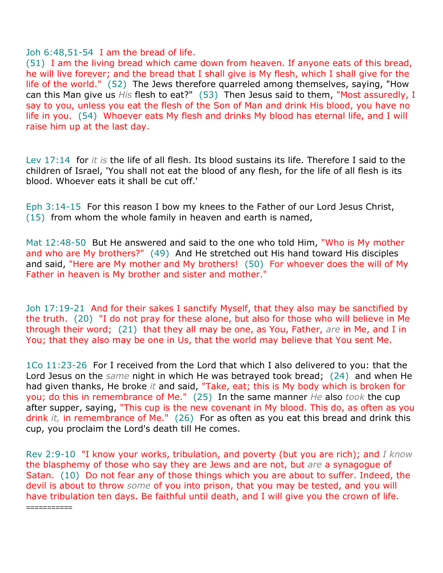### Joh 6:48,51-54 I am the bread of life.

*===========*

(51) I am the living bread which came down from heaven. If anyone eats of this bread, he will live forever; and the bread that I shall give is My flesh, which I shall give for the life of the world." (52) The Jews therefore quarreled among themselves, saying, "How can this Man give us *His* flesh to eat?" (53) Then Jesus said to them, "Most assuredly, I say to you, unless you eat the flesh of the Son of Man and drink His blood, you have no life in you. (54) Whoever eats My flesh and drinks My blood has eternal life, and I will raise him up at the last day.

Lev 17:14 for *it is* the life of all flesh. Its blood sustains its life. Therefore I said to the children of Israel, 'You shall not eat the blood of any flesh, for the life of all flesh is its blood. Whoever eats it shall be cut off.'

Eph 3:14-15 For this reason I bow my knees to the Father of our Lord Jesus Christ, (15) from whom the whole family in heaven and earth is named,

Mat 12:48-50 But He answered and said to the one who told Him, "Who is My mother and who are My brothers?" (49) And He stretched out His hand toward His disciples and said, "Here are My mother and My brothers! (50) For whoever does the will of My Father in heaven is My brother and sister and mother."

Joh 17:19-21 And for their sakes I sanctify Myself, that they also may be sanctified by the truth. (20) "I do not pray for these alone, but also for those who will believe in Me through their word; (21) that they all may be one, as You, Father, *are* in Me, and I in You; that they also may be one in Us, that the world may believe that You sent Me.

1Co 11:23-26 For I received from the Lord that which I also delivered to you: that the Lord Jesus on the *same* night in which He was betrayed took bread; (24) and when He had given thanks, He broke *it* and said, "Take, eat; this is My body which is broken for you; do this in remembrance of Me." (25) In the same manner *He* also *took* the cup after supper, saying, "This cup is the new covenant in My blood. This do, as often as you drink *it,* in remembrance of Me." (26) For as often as you eat this bread and drink this cup, you proclaim the Lord's death till He comes.

Rev 2:9-10 "I know your works, tribulation, and poverty (but you are rich); and *I know* the blasphemy of those who say they are Jews and are not, but *are* a synagogue of Satan. (10) Do not fear any of those things which you are about to suffer. Indeed, the devil is about to throw *some* of you into prison, that you may be tested, and you will have tribulation ten days. Be faithful until death, and I will give you the crown of life.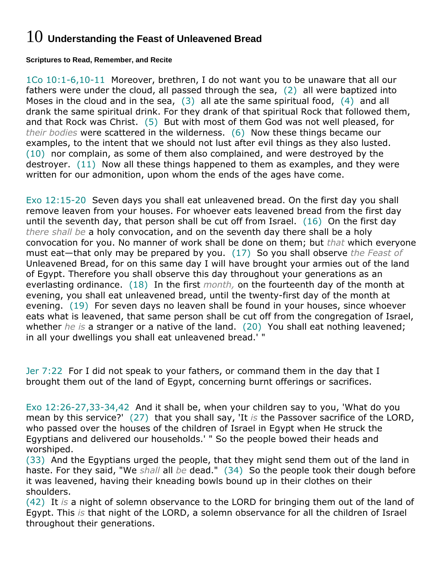## 10 **Understanding the Feast of Unleavened Bread**

**Scriptures to Read, Remember, and Recite**

1Co 10:1-6,10-11 Moreover, brethren, I do not want you to be unaware that all our fathers were under the cloud, all passed through the sea, (2) all were baptized into Moses in the cloud and in the sea, (3) all ate the same spiritual food, (4) and all drank the same spiritual drink. For they drank of that spiritual Rock that followed them, and that Rock was Christ. (5) But with most of them God was not well pleased, for *their bodies* were scattered in the wilderness. (6) Now these things became our examples, to the intent that we should not lust after evil things as they also lusted. (10) nor complain, as some of them also complained, and were destroyed by the destroyer. (11) Now all these things happened to them as examples, and they were written for our admonition, upon whom the ends of the ages have come.

Exo 12:15-20 Seven days you shall eat unleavened bread. On the first day you shall remove leaven from your houses. For whoever eats leavened bread from the first day until the seventh day, that person shall be cut off from Israel. (16) On the first day *there shall be* a holy convocation, and on the seventh day there shall be a holy convocation for you. No manner of work shall be done on them; but *that* which everyone must eat—that only may be prepared by you. (17) So you shall observe *the Feast of* Unleavened Bread, for on this same day I will have brought your armies out of the land of Egypt. Therefore you shall observe this day throughout your generations as an everlasting ordinance. (18) In the first *month,* on the fourteenth day of the month at evening, you shall eat unleavened bread, until the twenty-first day of the month at evening. (19) For seven days no leaven shall be found in your houses, since whoever eats what is leavened, that same person shall be cut off from the congregation of Israel, whether *he is* a stranger or a native of the land. (20) You shall eat nothing leavened; in all your dwellings you shall eat unleavened bread.' "

Jer 7:22 For I did not speak to your fathers, or command them in the day that I brought them out of the land of Egypt, concerning burnt offerings or sacrifices.

Exo 12:26-27,33-34,42 And it shall be, when your children say to you, 'What do you mean by this service?' (27) that you shall say, 'It *is* the Passover sacrifice of the LORD, who passed over the houses of the children of Israel in Egypt when He struck the Egyptians and delivered our households.' " So the people bowed their heads and worshiped.

(33) And the Egyptians urged the people, that they might send them out of the land in haste. For they said, "We *shall* all *be* dead." (34) So the people took their dough before it was leavened, having their kneading bowls bound up in their clothes on their shoulders.

(42) It *is* a night of solemn observance to the LORD for bringing them out of the land of Egypt. This *is* that night of the LORD, a solemn observance for all the children of Israel throughout their generations.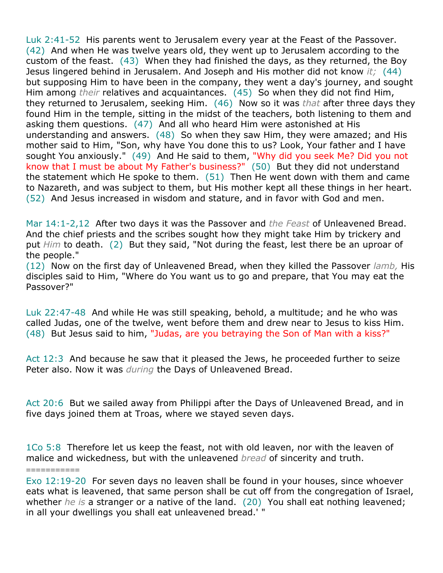Luk 2:41-52 His parents went to Jerusalem every year at the Feast of the Passover. (42) And when He was twelve years old, they went up to Jerusalem according to the custom of the feast. (43) When they had finished the days, as they returned, the Boy Jesus lingered behind in Jerusalem. And Joseph and His mother did not know *it;* (44) but supposing Him to have been in the company, they went a day's journey, and sought Him among *their* relatives and acquaintances. (45) So when they did not find Him, they returned to Jerusalem, seeking Him. (46) Now so it was *that* after three days they found Him in the temple, sitting in the midst of the teachers, both listening to them and asking them questions. (47) And all who heard Him were astonished at His understanding and answers. (48) So when they saw Him, they were amazed; and His mother said to Him, "Son, why have You done this to us? Look, Your father and I have sought You anxiously." (49) And He said to them, "Why did you seek Me? Did you not know that I must be about My Father's business?" (50) But they did not understand the statement which He spoke to them. (51) Then He went down with them and came to Nazareth, and was subject to them, but His mother kept all these things in her heart. (52) And Jesus increased in wisdom and stature, and in favor with God and men.

Mar 14:1-2,12 After two days it was the Passover and *the Feast* of Unleavened Bread. And the chief priests and the scribes sought how they might take Him by trickery and put *Him* to death. (2) But they said, "Not during the feast, lest there be an uproar of the people."

(12) Now on the first day of Unleavened Bread, when they killed the Passover *lamb,* His disciples said to Him, "Where do You want us to go and prepare, that You may eat the Passover?"

Luk 22:47-48 And while He was still speaking, behold, a multitude; and he who was called Judas, one of the twelve, went before them and drew near to Jesus to kiss Him. (48) But Jesus said to him, "Judas, are you betraying the Son of Man with a kiss?"

Act 12:3 And because he saw that it pleased the Jews, he proceeded further to seize Peter also. Now it was *during* the Days of Unleavened Bread.

Act 20:6 But we sailed away from Philippi after the Days of Unleavened Bread, and in five days joined them at Troas, where we stayed seven days.

1Co 5:8 Therefore let us keep the feast, not with old leaven, nor with the leaven of malice and wickedness, but with the unleavened *bread* of sincerity and truth.

=========== Exo 12:19-20 For seven days no leaven shall be found in your houses, since whoever eats what is leavened, that same person shall be cut off from the congregation of Israel, whether *he is* a stranger or a native of the land. (20) You shall eat nothing leavened; in all your dwellings you shall eat unleavened bread.' "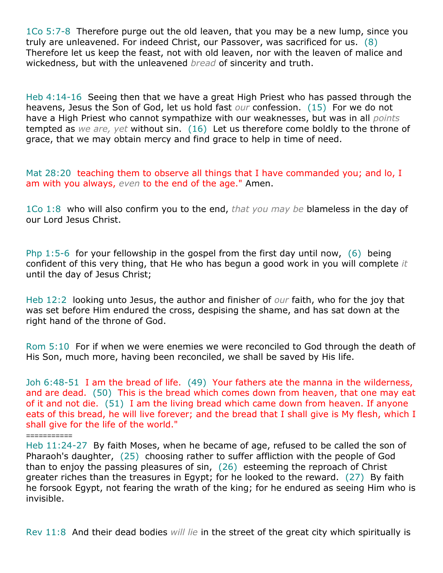1Co 5:7-8 Therefore purge out the old leaven, that you may be a new lump, since you truly are unleavened. For indeed Christ, our Passover, was sacrificed for us. (8) Therefore let us keep the feast, not with old leaven, nor with the leaven of malice and wickedness, but with the unleavened *bread* of sincerity and truth.

Heb 4:14-16 Seeing then that we have a great High Priest who has passed through the heavens, Jesus the Son of God, let us hold fast *our* confession. (15) For we do not have a High Priest who cannot sympathize with our weaknesses, but was in all *points* tempted as *we are, yet* without sin. (16) Let us therefore come boldly to the throne of grace, that we may obtain mercy and find grace to help in time of need.

Mat 28:20 teaching them to observe all things that I have commanded you; and lo, I am with you always, *even* to the end of the age." Amen.

1Co 1:8 who will also confirm you to the end, *that you may be* blameless in the day of our Lord Jesus Christ.

Php 1:5-6 for your fellowship in the gospel from the first day until now,  $(6)$  being confident of this very thing, that He who has begun a good work in you will complete *it* until the day of Jesus Christ;

Heb 12:2 looking unto Jesus, the author and finisher of *our* faith, who for the joy that was set before Him endured the cross, despising the shame, and has sat down at the right hand of the throne of God.

Rom 5:10 For if when we were enemies we were reconciled to God through the death of His Son, much more, having been reconciled, we shall be saved by His life.

Joh 6:48-51 I am the bread of life. (49) Your fathers ate the manna in the wilderness, and are dead. (50) This is the bread which comes down from heaven, that one may eat of it and not die. (51) I am the living bread which came down from heaven. If anyone eats of this bread, he will live forever; and the bread that I shall give is My flesh, which I shall give for the life of the world."

*===========*

Rev 11:8 And their dead bodies *will lie* in the street of the great city which spiritually is

Heb 11:24-27 By faith Moses, when he became of age, refused to be called the son of Pharaoh's daughter, (25) choosing rather to suffer affliction with the people of God than to enjoy the passing pleasures of sin, (26) esteeming the reproach of Christ greater riches than the treasures in Egypt; for he looked to the reward. (27) By faith he forsook Egypt, not fearing the wrath of the king; for he endured as seeing Him who is invisible.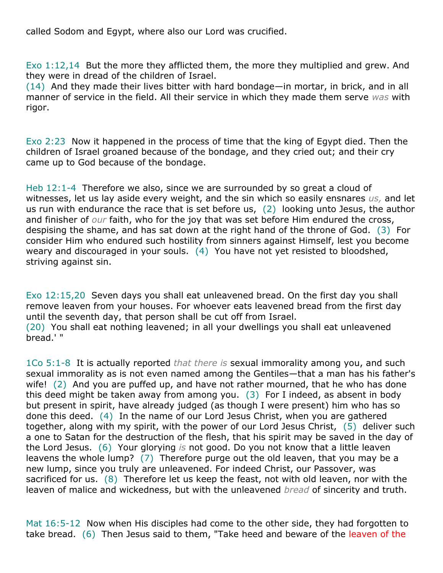called Sodom and Egypt, where also our Lord was crucified.

Exo 1:12,14 But the more they afflicted them, the more they multiplied and grew. And they were in dread of the children of Israel.

(14) And they made their lives bitter with hard bondage—in mortar, in brick, and in all manner of service in the field. All their service in which they made them serve *was* with rigor.

Exo 2:23 Now it happened in the process of time that the king of Egypt died. Then the children of Israel groaned because of the bondage, and they cried out; and their cry came up to God because of the bondage.

Heb 12:1-4 Therefore we also, since we are surrounded by so great a cloud of witnesses, let us lay aside every weight, and the sin which so easily ensnares *us,* and let us run with endurance the race that is set before us, (2) looking unto Jesus, the author and finisher of *our* faith, who for the joy that was set before Him endured the cross, despising the shame, and has sat down at the right hand of the throne of God. (3) For consider Him who endured such hostility from sinners against Himself, lest you become weary and discouraged in your souls. (4) You have not yet resisted to bloodshed, striving against sin.

Exo 12:15,20 Seven days you shall eat unleavened bread. On the first day you shall remove leaven from your houses. For whoever eats leavened bread from the first day until the seventh day, that person shall be cut off from Israel.

(20) You shall eat nothing leavened; in all your dwellings you shall eat unleavened bread.' "

1Co 5:1-8 It is actually reported *that there is* sexual immorality among you, and such sexual immorality as is not even named among the Gentiles—that a man has his father's wife! (2) And you are puffed up, and have not rather mourned, that he who has done this deed might be taken away from among you. (3) For I indeed, as absent in body but present in spirit, have already judged (as though I were present) him who has so done this deed. (4) In the name of our Lord Jesus Christ, when you are gathered together, along with my spirit, with the power of our Lord Jesus Christ, (5) deliver such a one to Satan for the destruction of the flesh, that his spirit may be saved in the day of the Lord Jesus. (6) Your glorying *is* not good. Do you not know that a little leaven leavens the whole lump? (7) Therefore purge out the old leaven, that you may be a new lump, since you truly are unleavened. For indeed Christ, our Passover, was sacrificed for us. (8) Therefore let us keep the feast, not with old leaven, nor with the leaven of malice and wickedness, but with the unleavened *bread* of sincerity and truth.

Mat 16:5-12 Now when His disciples had come to the other side, they had forgotten to take bread. (6) Then Jesus said to them, "Take heed and beware of the leaven of the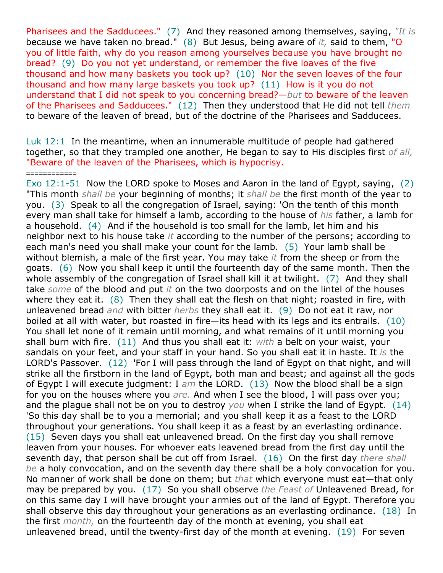Pharisees and the Sadducees." (7) And they reasoned among themselves, saying, *"It is* because we have taken no bread." (8) But Jesus, being aware of *it,* said to them, "O you of little faith, why do you reason among yourselves because you have brought no bread? (9) Do you not yet understand, or remember the five loaves of the five thousand and how many baskets you took up? (10) Nor the seven loaves of the four thousand and how many large baskets you took up? (11) How is it you do not understand that I did not speak to you concerning bread?—*but* to beware of the leaven of the Pharisees and Sadducees." (12) Then they understood that He did not tell *them* to beware of the leaven of bread, but of the doctrine of the Pharisees and Sadducees.

Luk 12:1 In the meantime, when an innumerable multitude of people had gathered together, so that they trampled one another, He began to say to His disciples first *of all,* "Beware of the leaven of the Pharisees, which is hypocrisy.

*============*

Exo 12:1-51 Now the LORD spoke to Moses and Aaron in the land of Egypt, saying, (2) "This month *shall be* your beginning of months; it *shall be* the first month of the year to you. (3) Speak to all the congregation of Israel, saying: 'On the tenth of this month every man shall take for himself a lamb, according to the house of *his* father, a lamb for a household. (4) And if the household is too small for the lamb, let him and his neighbor next to his house take *it* according to the number of the persons; according to each man's need you shall make your count for the lamb. (5) Your lamb shall be without blemish, a male of the first year. You may take *it* from the sheep or from the goats. (6) Now you shall keep it until the fourteenth day of the same month. Then the whole assembly of the congregation of Israel shall kill it at twilight. (7) And they shall take *some* of the blood and put *it* on the two doorposts and on the lintel of the houses where they eat it.  $(8)$  Then they shall eat the flesh on that night; roasted in fire, with unleavened bread *and* with bitter *herbs* they shall eat it. (9) Do not eat it raw, nor boiled at all with water, but roasted in fire—its head with its legs and its entrails. (10) You shall let none of it remain until morning, and what remains of it until morning you shall burn with fire. (11) And thus you shall eat it: *with* a belt on your waist, your sandals on your feet, and your staff in your hand. So you shall eat it in haste. It *is* the LORD's Passover. (12) 'For I will pass through the land of Egypt on that night, and will strike all the firstborn in the land of Egypt, both man and beast; and against all the gods of Egypt I will execute judgment: I *am* the LORD. (13) Now the blood shall be a sign for you on the houses where you *are.* And when I see the blood, I will pass over you; and the plague shall not be on you to destroy *you* when I strike the land of Egypt. (14) 'So this day shall be to you a memorial; and you shall keep it as a feast to the LORD throughout your generations. You shall keep it as a feast by an everlasting ordinance. (15) Seven days you shall eat unleavened bread. On the first day you shall remove leaven from your houses. For whoever eats leavened bread from the first day until the seventh day, that person shall be cut off from Israel. (16) On the first day *there shall be* a holy convocation, and on the seventh day there shall be a holy convocation for you. No manner of work shall be done on them; but *that* which everyone must eat—that only may be prepared by you. (17) So you shall observe *the Feast of* Unleavened Bread, for on this same day I will have brought your armies out of the land of Egypt. Therefore you shall observe this day throughout your generations as an everlasting ordinance. (18) In the first *month,* on the fourteenth day of the month at evening, you shall eat unleavened bread, until the twenty-first day of the month at evening. (19) For seven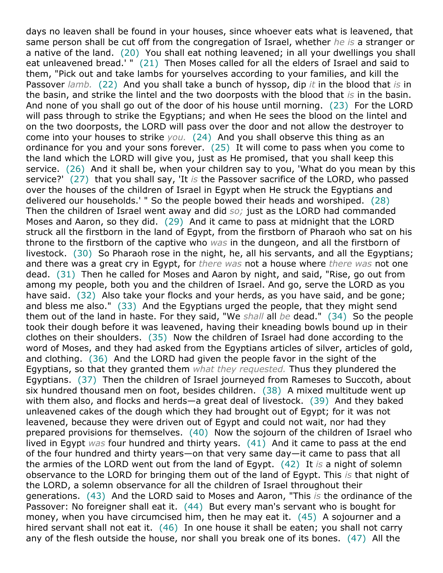days no leaven shall be found in your houses, since whoever eats what is leavened, that same person shall be cut off from the congregation of Israel, whether *he is* a stranger or a native of the land. (20) You shall eat nothing leavened; in all your dwellings you shall eat unleavened bread.' " (21) Then Moses called for all the elders of Israel and said to them, "Pick out and take lambs for yourselves according to your families, and kill the Passover *lamb.* (22) And you shall take a bunch of hyssop, dip *it* in the blood that *is* in the basin, and strike the lintel and the two doorposts with the blood that *is* in the basin. And none of you shall go out of the door of his house until morning. (23) For the LORD will pass through to strike the Egyptians; and when He sees the blood on the lintel and on the two doorposts, the LORD will pass over the door and not allow the destroyer to come into your houses to strike *you.* (24) And you shall observe this thing as an ordinance for you and your sons forever. (25) It will come to pass when you come to the land which the LORD will give you, just as He promised, that you shall keep this service. (26) And it shall be, when your children say to you, 'What do you mean by this service?' (27) that you shall say, 'It *is* the Passover sacrifice of the LORD, who passed over the houses of the children of Israel in Egypt when He struck the Egyptians and delivered our households.' " So the people bowed their heads and worshiped. (28) Then the children of Israel went away and did *so;* just as the LORD had commanded Moses and Aaron, so they did. (29) And it came to pass at midnight that the LORD struck all the firstborn in the land of Egypt, from the firstborn of Pharaoh who sat on his throne to the firstborn of the captive who *was* in the dungeon, and all the firstborn of livestock. (30) So Pharaoh rose in the night, he, all his servants, and all the Egyptians; and there was a great cry in Egypt, for *there was* not a house where *there was* not one dead. (31) Then he called for Moses and Aaron by night, and said, "Rise, go out from among my people, both you and the children of Israel. And go, serve the LORD as you have said. (32) Also take your flocks and your herds, as you have said, and be gone; and bless me also." (33) And the Egyptians urged the people, that they might send them out of the land in haste. For they said, "We *shall* all *be* dead." (34) So the people took their dough before it was leavened, having their kneading bowls bound up in their clothes on their shoulders. (35) Now the children of Israel had done according to the word of Moses, and they had asked from the Egyptians articles of silver, articles of gold, and clothing. (36) And the LORD had given the people favor in the sight of the Egyptians, so that they granted them *what they requested.* Thus they plundered the Egyptians. (37) Then the children of Israel journeyed from Rameses to Succoth, about six hundred thousand men on foot, besides children. (38) A mixed multitude went up with them also, and flocks and herds—a great deal of livestock. (39) And they baked unleavened cakes of the dough which they had brought out of Egypt; for it was not leavened, because they were driven out of Egypt and could not wait, nor had they prepared provisions for themselves. (40) Now the sojourn of the children of Israel who lived in Egypt *was* four hundred and thirty years. (41) And it came to pass at the end of the four hundred and thirty years—on that very same day—it came to pass that all the armies of the LORD went out from the land of Egypt. (42) It *is* a night of solemn observance to the LORD for bringing them out of the land of Egypt. This *is* that night of the LORD, a solemn observance for all the children of Israel throughout their generations. (43) And the LORD said to Moses and Aaron, "This *is* the ordinance of the Passover: No foreigner shall eat it. (44) But every man's servant who is bought for money, when you have circumcised him, then he may eat it. (45) A sojourner and a hired servant shall not eat it. (46) In one house it shall be eaten; you shall not carry any of the flesh outside the house, nor shall you break one of its bones. (47) All the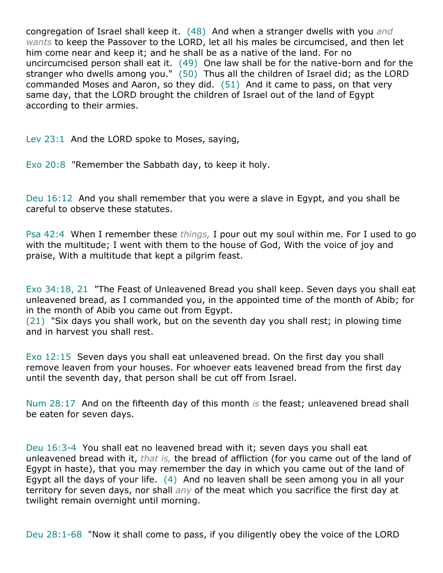congregation of Israel shall keep it. (48) And when a stranger dwells with you *and wants* to keep the Passover to the LORD, let all his males be circumcised, and then let him come near and keep it; and he shall be as a native of the land. For no uncircumcised person shall eat it. (49) One law shall be for the native-born and for the stranger who dwells among you."  $(50)$  Thus all the children of Israel did; as the LORD commanded Moses and Aaron, so they did. (51) And it came to pass, on that very same day, that the LORD brought the children of Israel out of the land of Egypt according to their armies.

Lev 23:1 And the LORD spoke to Moses, saying,

Exo 20:8 "Remember the Sabbath day, to keep it holy.

Deu 16:12 And you shall remember that you were a slave in Egypt, and you shall be careful to observe these statutes.

Psa 42:4 When I remember these *things,* I pour out my soul within me. For I used to go with the multitude; I went with them to the house of God, With the voice of joy and praise, With a multitude that kept a pilgrim feast.

Exo 34:18, 21 "The Feast of Unleavened Bread you shall keep. Seven days you shall eat unleavened bread, as I commanded you, in the appointed time of the month of Abib; for in the month of Abib you came out from Egypt.

(21) "Six days you shall work, but on the seventh day you shall rest; in plowing time and in harvest you shall rest.

Exo 12:15 Seven days you shall eat unleavened bread. On the first day you shall remove leaven from your houses. For whoever eats leavened bread from the first day until the seventh day, that person shall be cut off from Israel.

Num 28:17 And on the fifteenth day of this month *is* the feast; unleavened bread shall be eaten for seven days.

Deu 16:3-4 You shall eat no leavened bread with it; seven days you shall eat unleavened bread with it, *that is,* the bread of affliction (for you came out of the land of Egypt in haste), that you may remember the day in which you came out of the land of Egypt all the days of your life. (4) And no leaven shall be seen among you in all your territory for seven days, nor shall *any* of the meat which you sacrifice the first day at twilight remain overnight until morning.

Deu 28:1-68 "Now it shall come to pass, if you diligently obey the voice of the LORD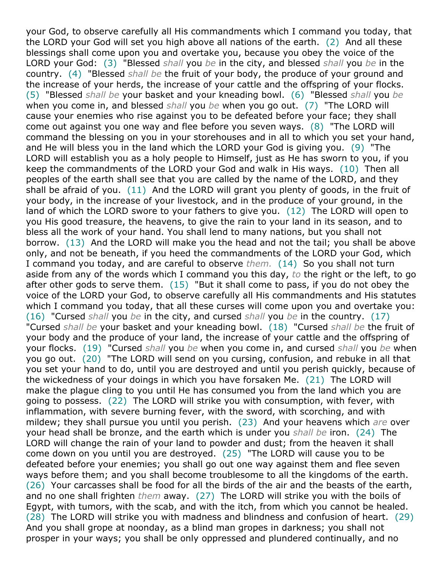your God, to observe carefully all His commandments which I command you today, that the LORD your God will set you high above all nations of the earth. (2) And all these blessings shall come upon you and overtake you, because you obey the voice of the LORD your God: (3) "Blessed *shall* you *be* in the city, and blessed *shall* you *be* in the country. (4) "Blessed *shall be* the fruit of your body, the produce of your ground and the increase of your herds, the increase of your cattle and the offspring of your flocks. (5) "Blessed *shall be* your basket and your kneading bowl. (6) "Blessed *shall* you *be* when you come in, and blessed *shall* you *be* when you go out. (7) "The LORD will cause your enemies who rise against you to be defeated before your face; they shall come out against you one way and flee before you seven ways. (8) "The LORD will command the blessing on you in your storehouses and in all to which you set your hand, and He will bless you in the land which the LORD your God is giving you. (9) "The LORD will establish you as a holy people to Himself, just as He has sworn to you, if you keep the commandments of the LORD your God and walk in His ways. (10) Then all peoples of the earth shall see that you are called by the name of the LORD, and they shall be afraid of you. (11) And the LORD will grant you plenty of goods, in the fruit of your body, in the increase of your livestock, and in the produce of your ground, in the land of which the LORD swore to your fathers to give you. (12) The LORD will open to you His good treasure, the heavens, to give the rain to your land in its season, and to bless all the work of your hand. You shall lend to many nations, but you shall not borrow. (13) And the LORD will make you the head and not the tail; you shall be above only, and not be beneath, if you heed the commandments of the LORD your God, which I command you today, and are careful to observe *them.* (14) So you shall not turn aside from any of the words which I command you this day, *to* the right or the left, to go after other gods to serve them.  $(15)$  "But it shall come to pass, if you do not obey the voice of the LORD your God, to observe carefully all His commandments and His statutes which I command you today, that all these curses will come upon you and overtake you: (16) "Cursed *shall* you *be* in the city, and cursed *shall* you *be* in the country. (17) "Cursed *shall be* your basket and your kneading bowl. (18) "Cursed *shall be* the fruit of your body and the produce of your land, the increase of your cattle and the offspring of your flocks. (19) "Cursed *shall* you *be* when you come in, and cursed *shall* you *be* when you go out. (20) "The LORD will send on you cursing, confusion, and rebuke in all that you set your hand to do, until you are destroyed and until you perish quickly, because of the wickedness of your doings in which you have forsaken Me. (21) The LORD will make the plague cling to you until He has consumed you from the land which you are going to possess. (22) The LORD will strike you with consumption, with fever, with inflammation, with severe burning fever, with the sword, with scorching, and with mildew; they shall pursue you until you perish. (23) And your heavens which *are* over your head shall be bronze, and the earth which is under you *shall be* iron. (24) The LORD will change the rain of your land to powder and dust; from the heaven it shall come down on you until you are destroyed. (25) "The LORD will cause you to be defeated before your enemies; you shall go out one way against them and flee seven ways before them; and you shall become troublesome to all the kingdoms of the earth. (26) Your carcasses shall be food for all the birds of the air and the beasts of the earth, and no one shall frighten *them* away. (27) The LORD will strike you with the boils of Egypt, with tumors, with the scab, and with the itch, from which you cannot be healed. (28) The LORD will strike you with madness and blindness and confusion of heart. (29) And you shall grope at noonday, as a blind man gropes in darkness; you shall not prosper in your ways; you shall be only oppressed and plundered continually, and no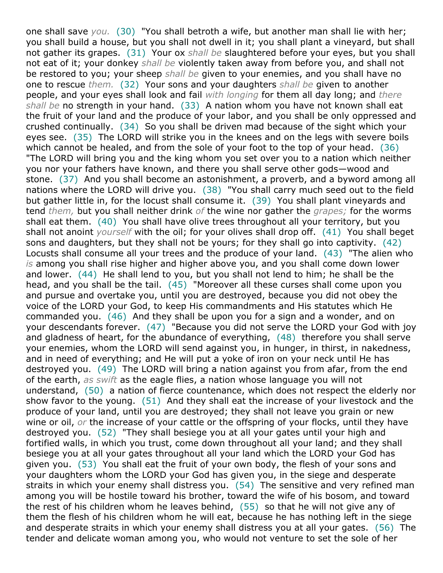one shall save *you.* (30) "You shall betroth a wife, but another man shall lie with her; you shall build a house, but you shall not dwell in it; you shall plant a vineyard, but shall not gather its grapes. (31) Your ox *shall be* slaughtered before your eyes, but you shall not eat of it; your donkey *shall be* violently taken away from before you, and shall not be restored to you; your sheep *shall be* given to your enemies, and you shall have no one to rescue *them.* (32) Your sons and your daughters *shall be* given to another people, and your eyes shall look and fail *with longing* for them all day long; and *there shall be* no strength in your hand. (33) A nation whom you have not known shall eat the fruit of your land and the produce of your labor, and you shall be only oppressed and crushed continually. (34) So you shall be driven mad because of the sight which your eyes see. (35) The LORD will strike you in the knees and on the legs with severe boils which cannot be healed, and from the sole of your foot to the top of your head. (36) "The LORD will bring you and the king whom you set over you to a nation which neither you nor your fathers have known, and there you shall serve other gods—wood and stone. (37) And you shall become an astonishment, a proverb, and a byword among all nations where the LORD will drive you. (38) "You shall carry much seed out to the field but gather little in, for the locust shall consume it. (39) You shall plant vineyards and tend *them,* but you shall neither drink *of* the wine nor gather the *grapes;* for the worms shall eat them. (40) You shall have olive trees throughout all your territory, but you shall not anoint *yourself* with the oil; for your olives shall drop off. (41) You shall beget sons and daughters, but they shall not be yours; for they shall go into captivity. (42) Locusts shall consume all your trees and the produce of your land. (43) "The alien who *is* among you shall rise higher and higher above you, and you shall come down lower and lower. (44) He shall lend to you, but you shall not lend to him; he shall be the head, and you shall be the tail. (45) "Moreover all these curses shall come upon you and pursue and overtake you, until you are destroyed, because you did not obey the voice of the LORD your God, to keep His commandments and His statutes which He commanded you. (46) And they shall be upon you for a sign and a wonder, and on your descendants forever. (47) "Because you did not serve the LORD your God with joy and gladness of heart, for the abundance of everything, (48) therefore you shall serve your enemies, whom the LORD will send against you, in hunger, in thirst, in nakedness, and in need of everything; and He will put a yoke of iron on your neck until He has destroyed you. (49) The LORD will bring a nation against you from afar, from the end of the earth, *as swift* as the eagle flies, a nation whose language you will not understand, (50) a nation of fierce countenance, which does not respect the elderly nor show favor to the young. (51) And they shall eat the increase of your livestock and the produce of your land, until you are destroyed; they shall not leave you grain or new wine or oil, *or* the increase of your cattle or the offspring of your flocks, until they have destroyed you. (52) "They shall besiege you at all your gates until your high and fortified walls, in which you trust, come down throughout all your land; and they shall besiege you at all your gates throughout all your land which the LORD your God has given you. (53) You shall eat the fruit of your own body, the flesh of your sons and your daughters whom the LORD your God has given you, in the siege and desperate straits in which your enemy shall distress you. (54) The sensitive and very refined man among you will be hostile toward his brother, toward the wife of his bosom, and toward the rest of his children whom he leaves behind, (55) so that he will not give any of them the flesh of his children whom he will eat, because he has nothing left in the siege and desperate straits in which your enemy shall distress you at all your gates. (56) The tender and delicate woman among you, who would not venture to set the sole of her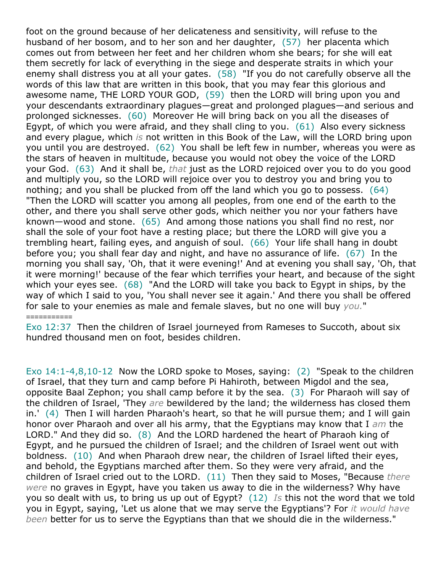foot on the ground because of her delicateness and sensitivity, will refuse to the husband of her bosom, and to her son and her daughter, (57) her placenta which comes out from between her feet and her children whom she bears; for she will eat them secretly for lack of everything in the siege and desperate straits in which your enemy shall distress you at all your gates. (58) "If you do not carefully observe all the words of this law that are written in this book, that you may fear this glorious and awesome name, THE LORD YOUR GOD, (59) then the LORD will bring upon you and your descendants extraordinary plagues—great and prolonged plagues—and serious and prolonged sicknesses. (60) Moreover He will bring back on you all the diseases of Egypt, of which you were afraid, and they shall cling to you.  $(61)$  Also every sickness and every plague, which *is* not written in this Book of the Law, will the LORD bring upon you until you are destroyed. (62) You shall be left few in number, whereas you were as the stars of heaven in multitude, because you would not obey the voice of the LORD your God. (63) And it shall be, *that* just as the LORD rejoiced over you to do you good and multiply you, so the LORD will rejoice over you to destroy you and bring you to nothing; and you shall be plucked from off the land which you go to possess. (64) "Then the LORD will scatter you among all peoples, from one end of the earth to the other, and there you shall serve other gods, which neither you nor your fathers have known—wood and stone. (65) And among those nations you shall find no rest, nor shall the sole of your foot have a resting place; but there the LORD will give you a trembling heart, failing eyes, and anguish of soul. (66) Your life shall hang in doubt before you; you shall fear day and night, and have no assurance of life. (67) In the morning you shall say, 'Oh, that it were evening!' And at evening you shall say, 'Oh, that it were morning!' because of the fear which terrifies your heart, and because of the sight which your eyes see. (68) "And the LORD will take you back to Egypt in ships, by the way of which I said to you, 'You shall never see it again.' And there you shall be offered for sale to your enemies as male and female slaves, but no one will buy *you.*"

Exo 12:37 Then the children of Israel journeyed from Rameses to Succoth, about six hundred thousand men on foot, besides children.

*===========*

Exo 14:1-4,8,10-12 Now the LORD spoke to Moses, saying: (2) "Speak to the children of Israel, that they turn and camp before Pi Hahiroth, between Migdol and the sea, opposite Baal Zephon; you shall camp before it by the sea. (3) For Pharaoh will say of the children of Israel, 'They *are* bewildered by the land; the wilderness has closed them in.' (4) Then I will harden Pharaoh's heart, so that he will pursue them; and I will gain honor over Pharaoh and over all his army, that the Egyptians may know that I *am* the LORD." And they did so. (8) And the LORD hardened the heart of Pharaoh king of Egypt, and he pursued the children of Israel; and the children of Israel went out with boldness. (10) And when Pharaoh drew near, the children of Israel lifted their eyes, and behold, the Egyptians marched after them. So they were very afraid, and the children of Israel cried out to the LORD. (11) Then they said to Moses, "Because *there were* no graves in Egypt, have you taken us away to die in the wilderness? Why have you so dealt with us, to bring us up out of Egypt? (12) *Is* this not the word that we told you in Egypt, saying, 'Let us alone that we may serve the Egyptians'? For *it would have been* better for us to serve the Egyptians than that we should die in the wilderness."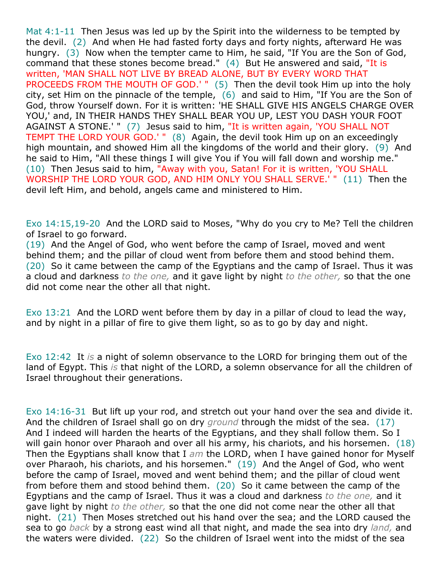Mat 4:1-11 Then Jesus was led up by the Spirit into the wilderness to be tempted by the devil. (2) And when He had fasted forty days and forty nights, afterward He was hungry. (3) Now when the tempter came to Him, he said, "If You are the Son of God, command that these stones become bread." (4) But He answered and said, "It is written, 'MAN SHALL NOT LIVE BY BREAD ALONE, BUT BY EVERY WORD THAT PROCEEDS FROM THE MOUTH OF GOD.' " (5) Then the devil took Him up into the holy city, set Him on the pinnacle of the temple, (6) and said to Him, "If You are the Son of God, throw Yourself down. For it is written: 'HE SHALL GIVE HIS ANGELS CHARGE OVER YOU,' and, IN THEIR HANDS THEY SHALL BEAR YOU UP, LEST YOU DASH YOUR FOOT AGAINST A STONE.' " (7) Jesus said to him, "It is written again, 'YOU SHALL NOT TEMPT THE LORD YOUR GOD.' " (8) Again, the devil took Him up on an exceedingly high mountain, and showed Him all the kingdoms of the world and their glory. (9) And he said to Him, "All these things I will give You if You will fall down and worship me." (10) Then Jesus said to him, "Away with you, Satan! For it is written, 'YOU SHALL WORSHIP THE LORD YOUR GOD, AND HIM ONLY YOU SHALL SERVE.' " (11) Then the devil left Him, and behold, angels came and ministered to Him.

Exo 14:15,19-20 And the LORD said to Moses, "Why do you cry to Me? Tell the children of Israel to go forward.

(19) And the Angel of God, who went before the camp of Israel, moved and went behind them; and the pillar of cloud went from before them and stood behind them. (20) So it came between the camp of the Egyptians and the camp of Israel. Thus it was a cloud and darkness *to the one,* and it gave light by night *to the other,* so that the one did not come near the other all that night.

Exo 13:21 And the LORD went before them by day in a pillar of cloud to lead the way, and by night in a pillar of fire to give them light, so as to go by day and night.

Exo 12:42 It *is* a night of solemn observance to the LORD for bringing them out of the land of Egypt. This *is* that night of the LORD, a solemn observance for all the children of Israel throughout their generations.

Exo 14:16-31 But lift up your rod, and stretch out your hand over the sea and divide it. And the children of Israel shall go on dry *ground* through the midst of the sea. (17) And I indeed will harden the hearts of the Egyptians, and they shall follow them. So I will gain honor over Pharaoh and over all his army, his chariots, and his horsemen. (18) Then the Egyptians shall know that I *am* the LORD, when I have gained honor for Myself over Pharaoh, his chariots, and his horsemen." (19) And the Angel of God, who went before the camp of Israel, moved and went behind them; and the pillar of cloud went from before them and stood behind them. (20) So it came between the camp of the Egyptians and the camp of Israel. Thus it was a cloud and darkness *to the one,* and it gave light by night *to the other,* so that the one did not come near the other all that night. (21) Then Moses stretched out his hand over the sea; and the LORD caused the sea to go *back* by a strong east wind all that night, and made the sea into dry *land,* and the waters were divided. (22) So the children of Israel went into the midst of the sea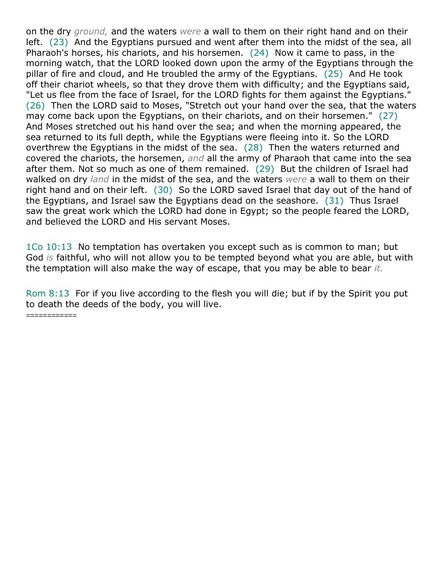on the dry *ground,* and the waters *were* a wall to them on their right hand and on their left. (23) And the Egyptians pursued and went after them into the midst of the sea, all Pharaoh's horses, his chariots, and his horsemen. (24) Now it came to pass, in the morning watch, that the LORD looked down upon the army of the Egyptians through the pillar of fire and cloud, and He troubled the army of the Egyptians. (25) And He took off their chariot wheels, so that they drove them with difficulty; and the Egyptians said, "Let us flee from the face of Israel, for the LORD fights for them against the Egyptians." (26) Then the LORD said to Moses, "Stretch out your hand over the sea, that the waters may come back upon the Egyptians, on their chariots, and on their horsemen." (27) And Moses stretched out his hand over the sea; and when the morning appeared, the sea returned to its full depth, while the Egyptians were fleeing into it. So the LORD overthrew the Egyptians in the midst of the sea. (28) Then the waters returned and covered the chariots, the horsemen, *and* all the army of Pharaoh that came into the sea after them. Not so much as one of them remained. (29) But the children of Israel had walked on dry *land* in the midst of the sea, and the waters *were* a wall to them on their right hand and on their left. (30) So the LORD saved Israel that day out of the hand of the Egyptians, and Israel saw the Egyptians dead on the seashore. (31) Thus Israel saw the great work which the LORD had done in Egypt; so the people feared the LORD, and believed the LORD and His servant Moses.

1Co 10:13 No temptation has overtaken you except such as is common to man; but God *is* faithful, who will not allow you to be tempted beyond what you are able, but with the temptation will also make the way of escape, that you may be able to bear *it.*

Rom 8:13 For if you live according to the flesh you will die; but if by the Spirit you put to death the deeds of the body, you will live.

*============*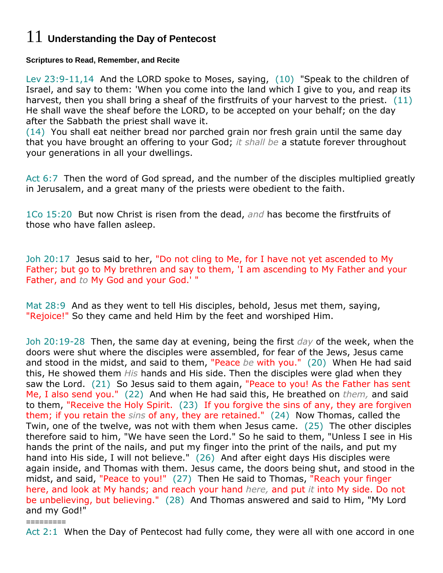# 11 **Understanding the Day of Pentecost**

### **Scriptures to Read, Remember, and Recite**

Lev 23:9-11,14 And the LORD spoke to Moses, saying, (10) "Speak to the children of Israel, and say to them: 'When you come into the land which I give to you, and reap its harvest, then you shall bring a sheaf of the firstfruits of your harvest to the priest. (11) He shall wave the sheaf before the LORD, to be accepted on your behalf; on the day after the Sabbath the priest shall wave it.

(14) You shall eat neither bread nor parched grain nor fresh grain until the same day that you have brought an offering to your God; *it shall be* a statute forever throughout your generations in all your dwellings.

Act 6:7 Then the word of God spread, and the number of the disciples multiplied greatly in Jerusalem, and a great many of the priests were obedient to the faith.

1Co 15:20 But now Christ is risen from the dead, *and* has become the firstfruits of those who have fallen asleep.

Joh 20:17 Jesus said to her, "Do not cling to Me, for I have not yet ascended to My Father; but go to My brethren and say to them, 'I am ascending to My Father and your Father, and *to* My God and your God.' "

Mat 28:9 And as they went to tell His disciples, behold, Jesus met them, saying, "Rejoice!" So they came and held Him by the feet and worshiped Him.

Joh 20:19-28 Then, the same day at evening, being the first *day* of the week, when the doors were shut where the disciples were assembled, for fear of the Jews, Jesus came and stood in the midst, and said to them, "Peace *be* with you." (20) When He had said this, He showed them *His* hands and His side. Then the disciples were glad when they saw the Lord. (21) So Jesus said to them again, "Peace to you! As the Father has sent Me, I also send you." (22) And when He had said this, He breathed on *them,* and said to them, "Receive the Holy Spirit. (23) If you forgive the sins of any, they are forgiven them; if you retain the *sins* of any, they are retained." (24) Now Thomas, called the Twin, one of the twelve, was not with them when Jesus came. (25) The other disciples therefore said to him, "We have seen the Lord." So he said to them, "Unless I see in His hands the print of the nails, and put my finger into the print of the nails, and put my hand into His side, I will not believe." (26) And after eight days His disciples were again inside, and Thomas with them. Jesus came, the doors being shut, and stood in the midst, and said, "Peace to you!" (27) Then He said to Thomas, "Reach your finger here, and look at My hands; and reach your hand *here,* and put *it* into My side. Do not be unbelieving, but believing." (28) And Thomas answered and said to Him, "My Lord and my God!"

*=========* Act 2:1 When the Day of Pentecost had fully come, they were all with one accord in one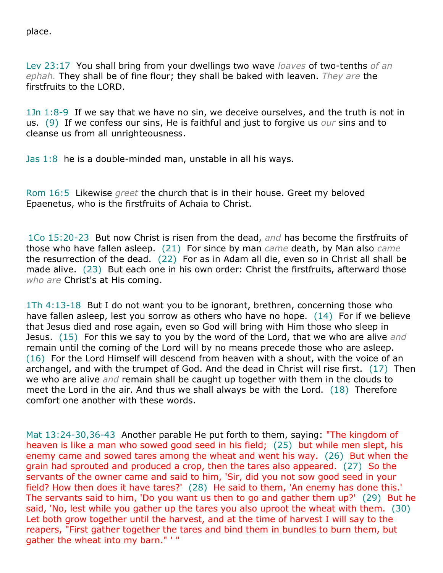place.

Lev 23:17 You shall bring from your dwellings two wave *loaves* of two-tenths *of an ephah.* They shall be of fine flour; they shall be baked with leaven. *They are* the firstfruits to the LORD.

1Jn 1:8-9 If we say that we have no sin, we deceive ourselves, and the truth is not in us. (9) If we confess our sins, He is faithful and just to forgive us *our* sins and to cleanse us from all unrighteousness.

Jas 1:8 he is a double-minded man, unstable in all his ways.

Rom 16:5 Likewise *greet* the church that is in their house. Greet my beloved Epaenetus, who is the firstfruits of Achaia to Christ.

1Co 15:20-23 But now Christ is risen from the dead, *and* has become the firstfruits of those who have fallen asleep. (21) For since by man *came* death, by Man also *came* the resurrection of the dead. (22) For as in Adam all die, even so in Christ all shall be made alive. (23) But each one in his own order: Christ the firstfruits, afterward those *who are* Christ's at His coming.

1Th 4:13-18 But I do not want you to be ignorant, brethren, concerning those who have fallen asleep, lest you sorrow as others who have no hope. (14) For if we believe that Jesus died and rose again, even so God will bring with Him those who sleep in Jesus. (15) For this we say to you by the word of the Lord, that we who are alive *and* remain until the coming of the Lord will by no means precede those who are asleep. (16) For the Lord Himself will descend from heaven with a shout, with the voice of an archangel, and with the trumpet of God. And the dead in Christ will rise first. (17) Then we who are alive *and* remain shall be caught up together with them in the clouds to meet the Lord in the air. And thus we shall always be with the Lord. (18) Therefore comfort one another with these words.

Mat 13:24-30,36-43 Another parable He put forth to them, saying: "The kingdom of heaven is like a man who sowed good seed in his field; (25) but while men slept, his enemy came and sowed tares among the wheat and went his way. (26) But when the grain had sprouted and produced a crop, then the tares also appeared. (27) So the servants of the owner came and said to him, 'Sir, did you not sow good seed in your field? How then does it have tares?' (28) He said to them, 'An enemy has done this.' The servants said to him, 'Do you want us then to go and gather them up?' (29) But he said, 'No, lest while you gather up the tares you also uproot the wheat with them. (30) Let both grow together until the harvest, and at the time of harvest I will say to the reapers, "First gather together the tares and bind them in bundles to burn them, but gather the wheat into my barn." ' "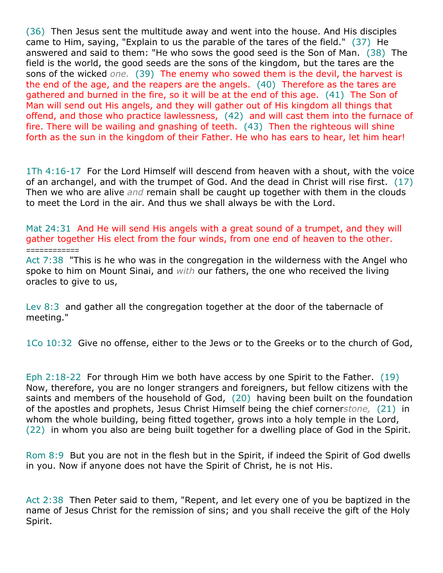(36) Then Jesus sent the multitude away and went into the house. And His disciples came to Him, saying, "Explain to us the parable of the tares of the field." (37) He answered and said to them: "He who sows the good seed is the Son of Man. (38) The field is the world, the good seeds are the sons of the kingdom, but the tares are the sons of the wicked *one.* (39) The enemy who sowed them is the devil, the harvest is the end of the age, and the reapers are the angels. (40) Therefore as the tares are gathered and burned in the fire, so it will be at the end of this age. (41) The Son of Man will send out His angels, and they will gather out of His kingdom all things that offend, and those who practice lawlessness, (42) and will cast them into the furnace of fire. There will be wailing and gnashing of teeth. (43) Then the righteous will shine forth as the sun in the kingdom of their Father. He who has ears to hear, let him hear!

1Th 4:16-17 For the Lord Himself will descend from heaven with a shout, with the voice of an archangel, and with the trumpet of God. And the dead in Christ will rise first. (17) Then we who are alive *and* remain shall be caught up together with them in the clouds to meet the Lord in the air. And thus we shall always be with the Lord.

Mat 24:31 And He will send His angels with a great sound of a trumpet, and they will gather together His elect from the four winds, from one end of heaven to the other.

Act 7:38 "This is he who was in the congregation in the wilderness with the Angel who spoke to him on Mount Sinai, and *with* our fathers, the one who received the living oracles to give to us,

Lev 8:3 and gather all the congregation together at the door of the tabernacle of meeting."

*============*

1Co 10:32 Give no offense, either to the Jews or to the Greeks or to the church of God,

Eph 2:18-22 For through Him we both have access by one Spirit to the Father. (19) Now, therefore, you are no longer strangers and foreigners, but fellow citizens with the saints and members of the household of God, (20) having been built on the foundation of the apostles and prophets, Jesus Christ Himself being the chief corner*stone,* (21) in whom the whole building, being fitted together, grows into a holy temple in the Lord, (22) in whom you also are being built together for a dwelling place of God in the Spirit.

Rom 8:9 But you are not in the flesh but in the Spirit, if indeed the Spirit of God dwells in you. Now if anyone does not have the Spirit of Christ, he is not His.

Act 2:38 Then Peter said to them, "Repent, and let every one of you be baptized in the name of Jesus Christ for the remission of sins; and you shall receive the gift of the Holy Spirit.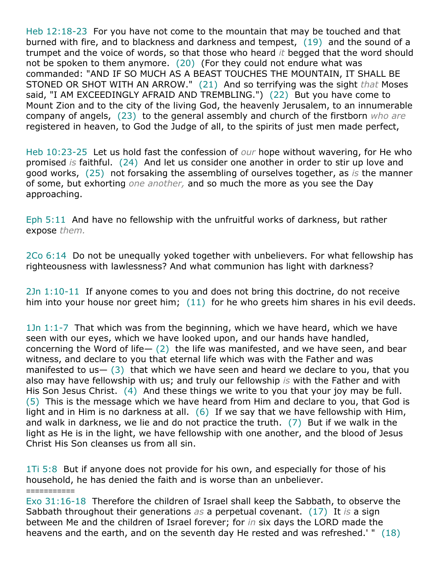Heb 12:18-23 For you have not come to the mountain that may be touched and that burned with fire, and to blackness and darkness and tempest, (19) and the sound of a trumpet and the voice of words, so that those who heard *it* begged that the word should not be spoken to them anymore. (20) (For they could not endure what was commanded: "AND IF SO MUCH AS A BEAST TOUCHES THE MOUNTAIN, IT SHALL BE STONED OR SHOT WITH AN ARROW." (21) And so terrifying was the sight *that* Moses said, "I AM EXCEEDINGLY AFRAID AND TREMBLING.") (22) But you have come to Mount Zion and to the city of the living God, the heavenly Jerusalem, to an innumerable company of angels, (23) to the general assembly and church of the firstborn *who are* registered in heaven, to God the Judge of all, to the spirits of just men made perfect,

Heb 10:23-25 Let us hold fast the confession of *our* hope without wavering, for He who promised *is* faithful. (24) And let us consider one another in order to stir up love and good works, (25) not forsaking the assembling of ourselves together, as *is* the manner of some, but exhorting *one another,* and so much the more as you see the Day approaching.

Eph 5:11 And have no fellowship with the unfruitful works of darkness, but rather expose *them.*

2Co 6:14 Do not be unequally yoked together with unbelievers. For what fellowship has righteousness with lawlessness? And what communion has light with darkness?

2Jn 1:10-11 If anyone comes to you and does not bring this doctrine, do not receive him into your house nor greet him; (11) for he who greets him shares in his evil deeds.

1Jn 1:1-7 That which was from the beginning, which we have heard, which we have seen with our eyes, which we have looked upon, and our hands have handled, concerning the Word of life $-$  (2) the life was manifested, and we have seen, and bear witness, and declare to you that eternal life which was with the Father and was manifested to us  $-$  (3) that which we have seen and heard we declare to you, that you also may have fellowship with us; and truly our fellowship *is* with the Father and with His Son Jesus Christ. (4) And these things we write to you that your joy may be full. (5) This is the message which we have heard from Him and declare to you, that God is light and in Him is no darkness at all.  $(6)$  If we say that we have fellowship with Him, and walk in darkness, we lie and do not practice the truth.  $(7)$  But if we walk in the light as He is in the light, we have fellowship with one another, and the blood of Jesus Christ His Son cleanses us from all sin.

1Ti 5:8 But if anyone does not provide for his own, and especially for those of his household, he has denied the faith and is worse than an unbeliever.

*===========* Exo 31:16-18 Therefore the children of Israel shall keep the Sabbath, to observe the Sabbath throughout their generations *as* a perpetual covenant. (17) It *is* a sign between Me and the children of Israel forever; for *in* six days the LORD made the heavens and the earth, and on the seventh day He rested and was refreshed.' " (18)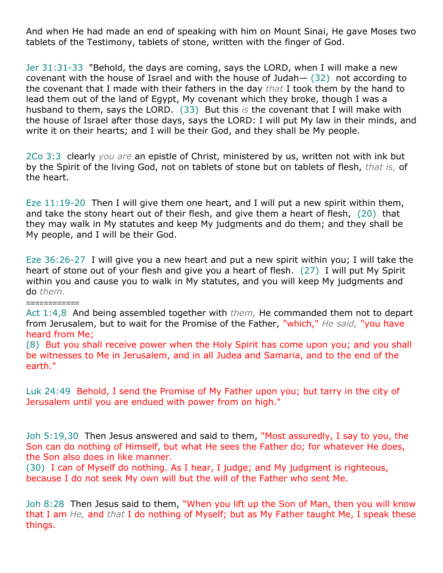And when He had made an end of speaking with him on Mount Sinai, He gave Moses two tablets of the Testimony, tablets of stone, written with the finger of God.

Jer 31:31-33 "Behold, the days are coming, says the LORD, when I will make a new covenant with the house of Israel and with the house of Judah— (32) not according to the covenant that I made with their fathers in the day *that* I took them by the hand to lead them out of the land of Egypt, My covenant which they broke, though I was a husband to them, says the LORD. (33) But this *is* the covenant that I will make with the house of Israel after those days, says the LORD: I will put My law in their minds, and write it on their hearts; and I will be their God, and they shall be My people.

2Co 3:3 clearly *you are* an epistle of Christ, ministered by us, written not with ink but by the Spirit of the living God, not on tablets of stone but on tablets of flesh, *that is,* of the heart.

Eze 11:19-20 Then I will give them one heart, and I will put a new spirit within them, and take the stony heart out of their flesh, and give them a heart of flesh, (20) that they may walk in My statutes and keep My judgments and do them; and they shall be My people, and I will be their God.

Eze 36:26-27 I will give you a new heart and put a new spirit within you; I will take the heart of stone out of your flesh and give you a heart of flesh. (27) I will put My Spirit within you and cause you to walk in My statutes, and you will keep My judgments and do *them.*

Act 1:4,8 And being assembled together with *them,* He commanded them not to depart from Jerusalem, but to wait for the Promise of the Father, "which," *He said,* "you have heard from Me;

*============*

(8) But you shall receive power when the Holy Spirit has come upon you; and you shall be witnesses to Me in Jerusalem, and in all Judea and Samaria, and to the end of the earth."

Luk 24:49 Behold, I send the Promise of My Father upon you; but tarry in the city of Jerusalem until you are endued with power from on high."

Joh 5:19,30 Then Jesus answered and said to them, "Most assuredly, I say to you, the Son can do nothing of Himself, but what He sees the Father do; for whatever He does, the Son also does in like manner.

(30) I can of Myself do nothing. As I hear, I judge; and My judgment is righteous, because I do not seek My own will but the will of the Father who sent Me.

Joh 8:28 Then Jesus said to them, "When you lift up the Son of Man, then you will know that I am *He,* and *that* I do nothing of Myself; but as My Father taught Me, I speak these things.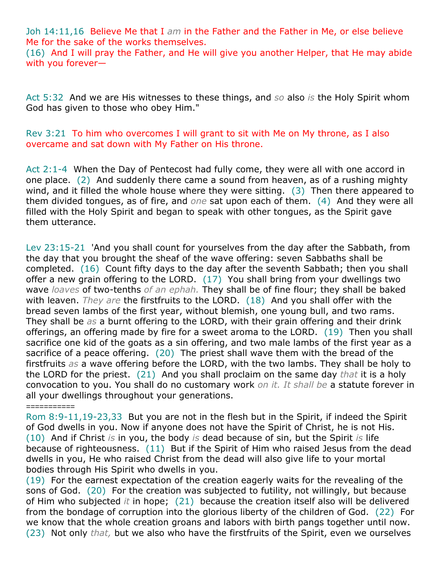Joh 14:11,16 Believe Me that I *am* in the Father and the Father in Me, or else believe Me for the sake of the works themselves.

(16) And I will pray the Father, and He will give you another Helper, that He may abide with you forever—

Act 5:32 And we are His witnesses to these things, and *so* also *is* the Holy Spirit whom God has given to those who obey Him."

Rev 3:21 To him who overcomes I will grant to sit with Me on My throne, as I also overcame and sat down with My Father on His throne.

Act 2:1-4 When the Day of Pentecost had fully come, they were all with one accord in one place. (2) And suddenly there came a sound from heaven, as of a rushing mighty wind, and it filled the whole house where they were sitting. (3) Then there appeared to them divided tongues, as of fire, and *one* sat upon each of them. (4) And they were all filled with the Holy Spirit and began to speak with other tongues, as the Spirit gave them utterance.

Lev 23:15-21 'And you shall count for yourselves from the day after the Sabbath, from the day that you brought the sheaf of the wave offering: seven Sabbaths shall be completed. (16) Count fifty days to the day after the seventh Sabbath; then you shall offer a new grain offering to the LORD. (17) You shall bring from your dwellings two wave *loaves* of two-tenths *of an ephah.* They shall be of fine flour; they shall be baked with leaven. *They are* the firstfruits to the LORD. (18) And you shall offer with the bread seven lambs of the first year, without blemish, one young bull, and two rams. They shall be *as* a burnt offering to the LORD, with their grain offering and their drink offerings, an offering made by fire for a sweet aroma to the LORD. (19) Then you shall sacrifice one kid of the goats as a sin offering, and two male lambs of the first year as a sacrifice of a peace offering. (20) The priest shall wave them with the bread of the firstfruits *as* a wave offering before the LORD, with the two lambs. They shall be holy to the LORD for the priest. (21) And you shall proclaim on the same day *that* it is a holy convocation to you. You shall do no customary work *on it. It shall be* a statute forever in all your dwellings throughout your generations.

Rom 8:9-11,19-23,33 But you are not in the flesh but in the Spirit, if indeed the Spirit of God dwells in you. Now if anyone does not have the Spirit of Christ, he is not His. (10) And if Christ *is* in you, the body *is* dead because of sin, but the Spirit *is* life because of righteousness. (11) But if the Spirit of Him who raised Jesus from the dead dwells in you, He who raised Christ from the dead will also give life to your mortal bodies through His Spirit who dwells in you.

*===========*

(19) For the earnest expectation of the creation eagerly waits for the revealing of the sons of God. (20) For the creation was subjected to futility, not willingly, but because of Him who subjected *it* in hope; (21) because the creation itself also will be delivered from the bondage of corruption into the glorious liberty of the children of God. (22) For we know that the whole creation groans and labors with birth pangs together until now. (23) Not only *that,* but we also who have the firstfruits of the Spirit, even we ourselves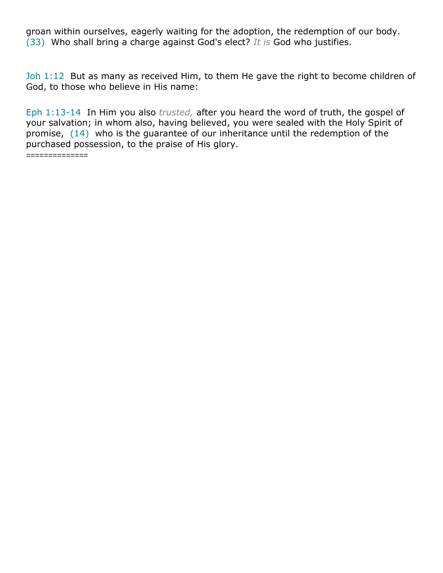groan within ourselves, eagerly waiting for the adoption, the redemption of our body. (33) Who shall bring a charge against God's elect? *It is* God who justifies.

Joh 1:12 But as many as received Him, to them He gave the right to become children of God, to those who believe in His name:

Eph 1:13-14 In Him you also *trusted,* after you heard the word of truth, the gospel of your salvation; in whom also, having believed, you were sealed with the Holy Spirit of promise, (14) who is the guarantee of our inheritance until the redemption of the purchased possession, to the praise of His glory.

*==============*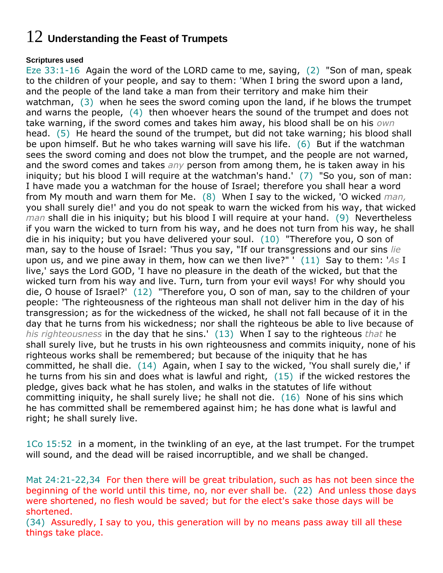## 12 **Understanding the Feast of Trumpets**

### **Scriptures used**

Eze 33:1-16 Again the word of the LORD came to me, saying, (2) "Son of man, speak to the children of your people, and say to them: 'When I bring the sword upon a land, and the people of the land take a man from their territory and make him their watchman, (3) when he sees the sword coming upon the land, if he blows the trumpet and warns the people, (4) then whoever hears the sound of the trumpet and does not take warning, if the sword comes and takes him away, his blood shall be on his *own* head. (5) He heard the sound of the trumpet, but did not take warning; his blood shall be upon himself. But he who takes warning will save his life. (6) But if the watchman sees the sword coming and does not blow the trumpet, and the people are not warned, and the sword comes and takes *any* person from among them, he is taken away in his iniquity; but his blood I will require at the watchman's hand.' (7) "So you, son of man: I have made you a watchman for the house of Israel; therefore you shall hear a word from My mouth and warn them for Me. (8) When I say to the wicked, 'O wicked *man,* you shall surely die!' and you do not speak to warn the wicked from his way, that wicked *man* shall die in his iniquity; but his blood I will require at your hand. (9) Nevertheless if you warn the wicked to turn from his way, and he does not turn from his way, he shall die in his iniquity; but you have delivered your soul. (10) "Therefore you, O son of man, say to the house of Israel: 'Thus you say, "If our transgressions and our sins *lie* upon us, and we pine away in them, how can we then live?" ' (11) Say to them: '*As* I live,' says the Lord GOD, 'I have no pleasure in the death of the wicked, but that the wicked turn from his way and live. Turn, turn from your evil ways! For why should you die, O house of Israel?' (12) "Therefore you, O son of man, say to the children of your people: 'The righteousness of the righteous man shall not deliver him in the day of his transgression; as for the wickedness of the wicked, he shall not fall because of it in the day that he turns from his wickedness; nor shall the righteous be able to live because of *his righteousness* in the day that he sins.' (13) When I say to the righteous *that* he shall surely live, but he trusts in his own righteousness and commits iniquity, none of his righteous works shall be remembered; but because of the iniquity that he has committed, he shall die. (14) Again, when I say to the wicked, 'You shall surely die,' if he turns from his sin and does what is lawful and right, (15) if the wicked restores the pledge, gives back what he has stolen, and walks in the statutes of life without committing iniquity, he shall surely live; he shall not die. (16) None of his sins which he has committed shall be remembered against him; he has done what is lawful and right; he shall surely live.

1Co 15:52 in a moment, in the twinkling of an eye, at the last trumpet. For the trumpet will sound, and the dead will be raised incorruptible, and we shall be changed.

Mat 24:21-22,34 For then there will be great tribulation, such as has not been since the beginning of the world until this time, no, nor ever shall be. (22) And unless those days were shortened, no flesh would be saved; but for the elect's sake those days will be shortened.

(34) Assuredly, I say to you, this generation will by no means pass away till all these things take place.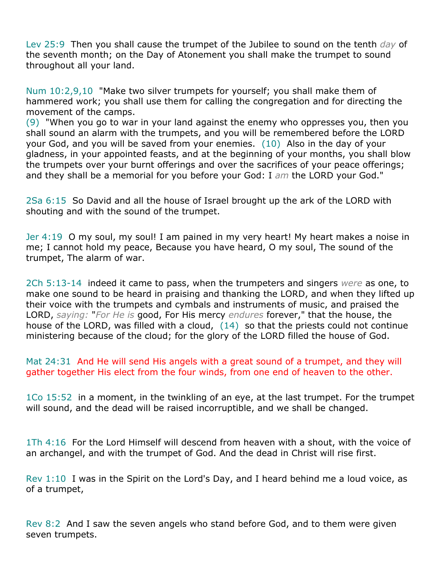Lev 25:9 Then you shall cause the trumpet of the Jubilee to sound on the tenth *day* of the seventh month; on the Day of Atonement you shall make the trumpet to sound throughout all your land.

Num 10:2,9,10 "Make two silver trumpets for yourself; you shall make them of hammered work; you shall use them for calling the congregation and for directing the movement of the camps.

(9) "When you go to war in your land against the enemy who oppresses you, then you shall sound an alarm with the trumpets, and you will be remembered before the LORD your God, and you will be saved from your enemies. (10) Also in the day of your gladness, in your appointed feasts, and at the beginning of your months, you shall blow the trumpets over your burnt offerings and over the sacrifices of your peace offerings; and they shall be a memorial for you before your God: I *am* the LORD your God."

2Sa 6:15 So David and all the house of Israel brought up the ark of the LORD with shouting and with the sound of the trumpet.

Jer 4:19 O my soul, my soul! I am pained in my very heart! My heart makes a noise in me; I cannot hold my peace, Because you have heard, O my soul, The sound of the trumpet, The alarm of war.

2Ch 5:13-14 indeed it came to pass, when the trumpeters and singers *were* as one, to make one sound to be heard in praising and thanking the LORD, and when they lifted up their voice with the trumpets and cymbals and instruments of music, and praised the LORD, *saying:* "*For He is* good, For His mercy *endures* forever," that the house, the house of the LORD, was filled with a cloud, (14) so that the priests could not continue ministering because of the cloud; for the glory of the LORD filled the house of God.

Mat 24:31 And He will send His angels with a great sound of a trumpet, and they will gather together His elect from the four winds, from one end of heaven to the other.

1Co 15:52 in a moment, in the twinkling of an eye, at the last trumpet. For the trumpet will sound, and the dead will be raised incorruptible, and we shall be changed.

1Th 4:16 For the Lord Himself will descend from heaven with a shout, with the voice of an archangel, and with the trumpet of God. And the dead in Christ will rise first.

Rev  $1:10$  I was in the Spirit on the Lord's Day, and I heard behind me a loud voice, as of a trumpet,

Rev 8:2 And I saw the seven angels who stand before God, and to them were given seven trumpets.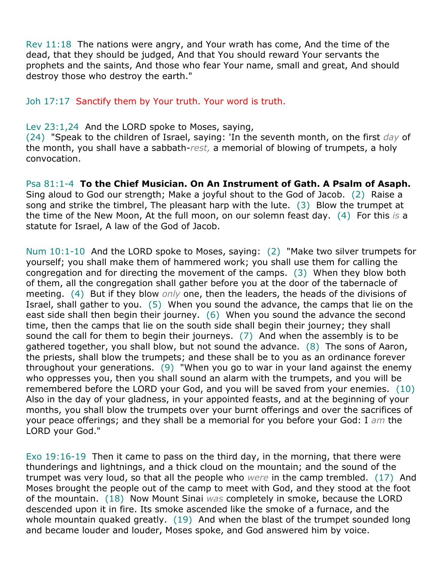Rev 11:18 The nations were angry, and Your wrath has come, And the time of the dead, that they should be judged, And that You should reward Your servants the prophets and the saints, And those who fear Your name, small and great, And should destroy those who destroy the earth."

Joh 17:17 Sanctify them by Your truth. Your word is truth.

### Lev 23:1,24 And the LORD spoke to Moses, saying,

(24) "Speak to the children of Israel, saying: 'In the seventh month, on the first *day* of the month, you shall have a sabbath-*rest,* a memorial of blowing of trumpets, a holy convocation.

Psa 81:1-4 **To the Chief Musician. On An Instrument of Gath. A Psalm of Asaph.** Sing aloud to God our strength; Make a joyful shout to the God of Jacob. (2) Raise a song and strike the timbrel, The pleasant harp with the lute. (3) Blow the trumpet at the time of the New Moon, At the full moon, on our solemn feast day. (4) For this *is* a statute for Israel, A law of the God of Jacob.

Num 10:1-10 And the LORD spoke to Moses, saying: (2) "Make two silver trumpets for yourself; you shall make them of hammered work; you shall use them for calling the congregation and for directing the movement of the camps. (3) When they blow both of them, all the congregation shall gather before you at the door of the tabernacle of meeting. (4) But if they blow *only* one, then the leaders, the heads of the divisions of Israel, shall gather to you. (5) When you sound the advance, the camps that lie on the east side shall then begin their journey. (6) When you sound the advance the second time, then the camps that lie on the south side shall begin their journey; they shall sound the call for them to begin their journeys. (7) And when the assembly is to be gathered together, you shall blow, but not sound the advance. (8) The sons of Aaron, the priests, shall blow the trumpets; and these shall be to you as an ordinance forever throughout your generations. (9) "When you go to war in your land against the enemy who oppresses you, then you shall sound an alarm with the trumpets, and you will be remembered before the LORD your God, and you will be saved from your enemies. (10) Also in the day of your gladness, in your appointed feasts, and at the beginning of your months, you shall blow the trumpets over your burnt offerings and over the sacrifices of your peace offerings; and they shall be a memorial for you before your God: I *am* the LORD your God."

Exo 19:16-19 Then it came to pass on the third day, in the morning, that there were thunderings and lightnings, and a thick cloud on the mountain; and the sound of the trumpet was very loud, so that all the people who *were* in the camp trembled. (17) And Moses brought the people out of the camp to meet with God, and they stood at the foot of the mountain. (18) Now Mount Sinai *was* completely in smoke, because the LORD descended upon it in fire. Its smoke ascended like the smoke of a furnace, and the whole mountain quaked greatly. (19) And when the blast of the trumpet sounded long and became louder and louder, Moses spoke, and God answered him by voice.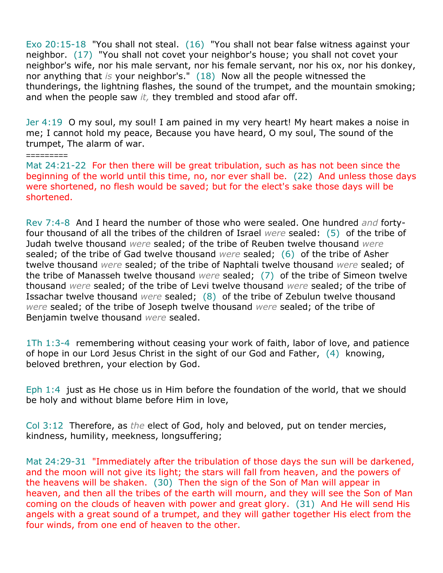Exo 20:15-18 "You shall not steal. (16) "You shall not bear false witness against your neighbor. (17) "You shall not covet your neighbor's house; you shall not covet your neighbor's wife, nor his male servant, nor his female servant, nor his ox, nor his donkey, nor anything that *is* your neighbor's." (18) Now all the people witnessed the thunderings, the lightning flashes, the sound of the trumpet, and the mountain smoking; and when the people saw *it,* they trembled and stood afar off.

Jer 4:19 O my soul, my soul! I am pained in my very heart! My heart makes a noise in me; I cannot hold my peace, Because you have heard, O my soul, The sound of the trumpet, The alarm of war.

=========

Mat 24:21-22 For then there will be great tribulation, such as has not been since the beginning of the world until this time, no, nor ever shall be. (22) And unless those days were shortened, no flesh would be saved; but for the elect's sake those days will be shortened.

Rev 7:4-8 And I heard the number of those who were sealed. One hundred *and* fortyfour thousand of all the tribes of the children of Israel *were* sealed: (5) of the tribe of Judah twelve thousand *were* sealed; of the tribe of Reuben twelve thousand *were* sealed; of the tribe of Gad twelve thousand *were* sealed; (6) of the tribe of Asher twelve thousand *were* sealed; of the tribe of Naphtali twelve thousand *were* sealed; of the tribe of Manasseh twelve thousand *were* sealed; (7) of the tribe of Simeon twelve thousand *were* sealed; of the tribe of Levi twelve thousand *were* sealed; of the tribe of Issachar twelve thousand *were* sealed; (8) of the tribe of Zebulun twelve thousand *were* sealed; of the tribe of Joseph twelve thousand *were* sealed; of the tribe of Benjamin twelve thousand *were* sealed.

1Th 1:3-4 remembering without ceasing your work of faith, labor of love, and patience of hope in our Lord Jesus Christ in the sight of our God and Father, (4) knowing, beloved brethren, your election by God.

Eph 1:4 just as He chose us in Him before the foundation of the world, that we should be holy and without blame before Him in love,

Col 3:12 Therefore, as *the* elect of God, holy and beloved, put on tender mercies, kindness, humility, meekness, longsuffering;

Mat 24:29-31 "Immediately after the tribulation of those days the sun will be darkened, and the moon will not give its light; the stars will fall from heaven, and the powers of the heavens will be shaken. (30) Then the sign of the Son of Man will appear in heaven, and then all the tribes of the earth will mourn, and they will see the Son of Man coming on the clouds of heaven with power and great glory. (31) And He will send His angels with a great sound of a trumpet, and they will gather together His elect from the four winds, from one end of heaven to the other.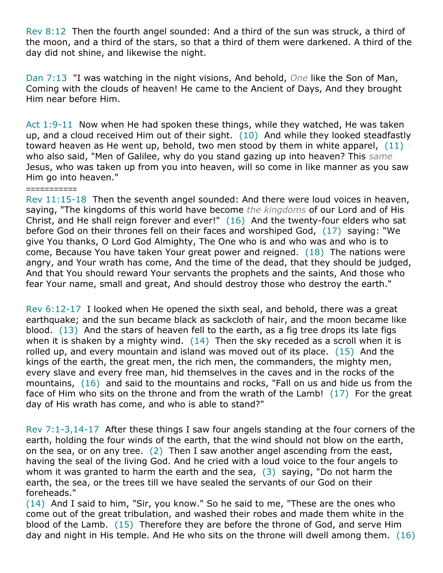Rev 8:12 Then the fourth angel sounded: And a third of the sun was struck, a third of the moon, and a third of the stars, so that a third of them were darkened. A third of the day did not shine, and likewise the night.

Dan 7:13 "I was watching in the night visions, And behold, *One* like the Son of Man, Coming with the clouds of heaven! He came to the Ancient of Days, And they brought Him near before Him.

Act 1:9-11 Now when He had spoken these things, while they watched, He was taken up, and a cloud received Him out of their sight. (10) And while they looked steadfastly toward heaven as He went up, behold, two men stood by them in white apparel, (11) who also said, "Men of Galilee, why do you stand gazing up into heaven? This *same* Jesus, who was taken up from you into heaven, will so come in like manner as you saw Him go into heaven."

===========

Rev 11:15-18 Then the seventh angel sounded: And there were loud voices in heaven, saying, "The kingdoms of this world have become *the kingdoms* of our Lord and of His Christ, and He shall reign forever and ever!" (16) And the twenty-four elders who sat before God on their thrones fell on their faces and worshiped God, (17) saying: "We give You thanks, O Lord God Almighty, The One who is and who was and who is to come, Because You have taken Your great power and reigned. (18) The nations were angry, and Your wrath has come, And the time of the dead, that they should be judged, And that You should reward Your servants the prophets and the saints, And those who fear Your name, small and great, And should destroy those who destroy the earth."

Rev 6:12-17 I looked when He opened the sixth seal, and behold, there was a great earthquake; and the sun became black as sackcloth of hair, and the moon became like blood. (13) And the stars of heaven fell to the earth, as a fig tree drops its late figs when it is shaken by a mighty wind. (14) Then the sky receded as a scroll when it is rolled up, and every mountain and island was moved out of its place. (15) And the kings of the earth, the great men, the rich men, the commanders, the mighty men, every slave and every free man, hid themselves in the caves and in the rocks of the mountains, (16) and said to the mountains and rocks, "Fall on us and hide us from the face of Him who sits on the throne and from the wrath of the Lamb! (17) For the great day of His wrath has come, and who is able to stand?"

Rev 7:1-3,14-17 After these things I saw four angels standing at the four corners of the earth, holding the four winds of the earth, that the wind should not blow on the earth, on the sea, or on any tree. (2) Then I saw another angel ascending from the east, having the seal of the living God. And he cried with a loud voice to the four angels to whom it was granted to harm the earth and the sea,  $(3)$  saying, "Do not harm the earth, the sea, or the trees till we have sealed the servants of our God on their foreheads."

(14) And I said to him, "Sir, you know." So he said to me, "These are the ones who come out of the great tribulation, and washed their robes and made them white in the blood of the Lamb. (15) Therefore they are before the throne of God, and serve Him day and night in His temple. And He who sits on the throne will dwell among them. (16)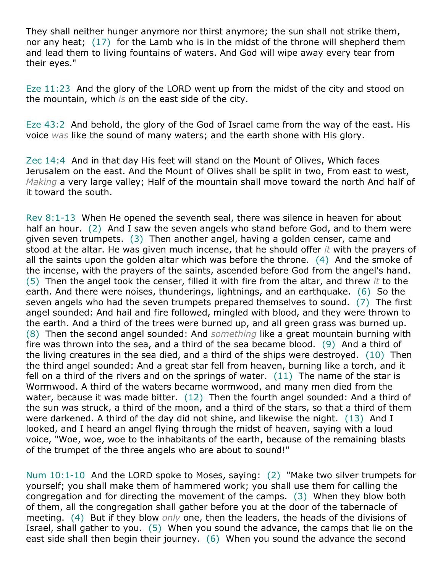They shall neither hunger anymore nor thirst anymore; the sun shall not strike them, nor any heat; (17) for the Lamb who is in the midst of the throne will shepherd them and lead them to living fountains of waters. And God will wipe away every tear from their eyes."

Eze 11:23 And the glory of the LORD went up from the midst of the city and stood on the mountain, which *is* on the east side of the city.

Eze 43:2 And behold, the glory of the God of Israel came from the way of the east. His voice *was* like the sound of many waters; and the earth shone with His glory.

Zec 14:4 And in that day His feet will stand on the Mount of Olives, Which faces Jerusalem on the east. And the Mount of Olives shall be split in two, From east to west, *Making* a very large valley; Half of the mountain shall move toward the north And half of it toward the south.

Rev 8:1-13 When He opened the seventh seal, there was silence in heaven for about half an hour. (2) And I saw the seven angels who stand before God, and to them were given seven trumpets. (3) Then another angel, having a golden censer, came and stood at the altar. He was given much incense, that he should offer *it* with the prayers of all the saints upon the golden altar which was before the throne.  $(4)$  And the smoke of the incense, with the prayers of the saints, ascended before God from the angel's hand. (5) Then the angel took the censer, filled it with fire from the altar, and threw *it* to the earth. And there were noises, thunderings, lightnings, and an earthquake. (6) So the seven angels who had the seven trumpets prepared themselves to sound. (7) The first angel sounded: And hail and fire followed, mingled with blood, and they were thrown to the earth. And a third of the trees were burned up, and all green grass was burned up. (8) Then the second angel sounded: And *something* like a great mountain burning with fire was thrown into the sea, and a third of the sea became blood. (9) And a third of the living creatures in the sea died, and a third of the ships were destroyed. (10) Then the third angel sounded: And a great star fell from heaven, burning like a torch, and it fell on a third of the rivers and on the springs of water. (11) The name of the star is Wormwood. A third of the waters became wormwood, and many men died from the water, because it was made bitter. (12) Then the fourth angel sounded: And a third of the sun was struck, a third of the moon, and a third of the stars, so that a third of them were darkened. A third of the day did not shine, and likewise the night. (13) And I looked, and I heard an angel flying through the midst of heaven, saying with a loud voice, "Woe, woe, woe to the inhabitants of the earth, because of the remaining blasts of the trumpet of the three angels who are about to sound!"

Num 10:1-10 And the LORD spoke to Moses, saying: (2) "Make two silver trumpets for yourself; you shall make them of hammered work; you shall use them for calling the congregation and for directing the movement of the camps. (3) When they blow both of them, all the congregation shall gather before you at the door of the tabernacle of meeting. (4) But if they blow *only* one, then the leaders, the heads of the divisions of Israel, shall gather to you. (5) When you sound the advance, the camps that lie on the east side shall then begin their journey. (6) When you sound the advance the second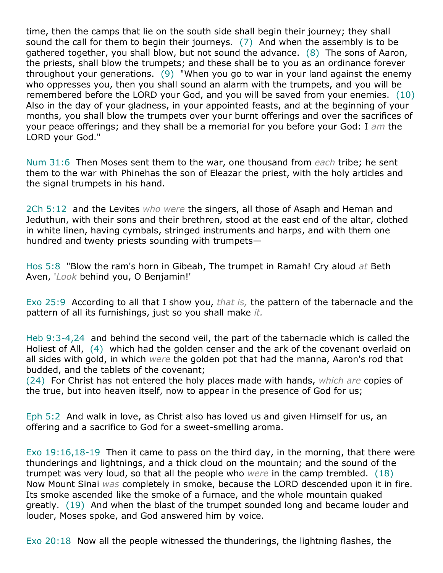time, then the camps that lie on the south side shall begin their journey; they shall sound the call for them to begin their journeys. (7) And when the assembly is to be gathered together, you shall blow, but not sound the advance. (8) The sons of Aaron, the priests, shall blow the trumpets; and these shall be to you as an ordinance forever throughout your generations. (9) "When you go to war in your land against the enemy who oppresses you, then you shall sound an alarm with the trumpets, and you will be remembered before the LORD your God, and you will be saved from your enemies. (10) Also in the day of your gladness, in your appointed feasts, and at the beginning of your months, you shall blow the trumpets over your burnt offerings and over the sacrifices of your peace offerings; and they shall be a memorial for you before your God: I *am* the LORD your God."

Num 31:6 Then Moses sent them to the war, one thousand from *each* tribe; he sent them to the war with Phinehas the son of Eleazar the priest, with the holy articles and the signal trumpets in his hand.

2Ch 5:12 and the Levites *who were* the singers, all those of Asaph and Heman and Jeduthun, with their sons and their brethren, stood at the east end of the altar, clothed in white linen, having cymbals, stringed instruments and harps, and with them one hundred and twenty priests sounding with trumpets—

Hos 5:8 "Blow the ram's horn in Gibeah, The trumpet in Ramah! Cry aloud *at* Beth Aven, '*Look* behind you, O Benjamin!'

Exo 25:9 According to all that I show you, *that is,* the pattern of the tabernacle and the pattern of all its furnishings, just so you shall make *it.*

Heb 9:3-4,24 and behind the second veil, the part of the tabernacle which is called the Holiest of All, (4) which had the golden censer and the ark of the covenant overlaid on all sides with gold, in which *were* the golden pot that had the manna, Aaron's rod that budded, and the tablets of the covenant;

(24) For Christ has not entered the holy places made with hands, *which are* copies of the true, but into heaven itself, now to appear in the presence of God for us;

Eph 5:2 And walk in love, as Christ also has loved us and given Himself for us, an offering and a sacrifice to God for a sweet-smelling aroma.

Exo 19:16,18-19 Then it came to pass on the third day, in the morning, that there were thunderings and lightnings, and a thick cloud on the mountain; and the sound of the trumpet was very loud, so that all the people who *were* in the camp trembled. (18) Now Mount Sinai *was* completely in smoke, because the LORD descended upon it in fire. Its smoke ascended like the smoke of a furnace, and the whole mountain quaked greatly. (19) And when the blast of the trumpet sounded long and became louder and louder, Moses spoke, and God answered him by voice.

Exo 20:18 Now all the people witnessed the thunderings, the lightning flashes, the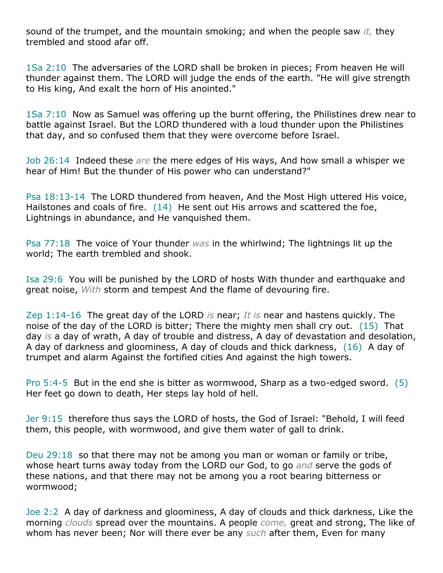sound of the trumpet, and the mountain smoking; and when the people saw *it,* they trembled and stood afar off.

1Sa 2:10 The adversaries of the LORD shall be broken in pieces; From heaven He will thunder against them. The LORD will judge the ends of the earth. "He will give strength to His king, And exalt the horn of His anointed."

1Sa 7:10 Now as Samuel was offering up the burnt offering, the Philistines drew near to battle against Israel. But the LORD thundered with a loud thunder upon the Philistines that day, and so confused them that they were overcome before Israel.

Job 26:14 Indeed these *are* the mere edges of His ways, And how small a whisper we hear of Him! But the thunder of His power who can understand?"

Psa 18:13-14 The LORD thundered from heaven, And the Most High uttered His voice, Hailstones and coals of fire. (14) He sent out His arrows and scattered the foe, Lightnings in abundance, and He vanquished them.

Psa 77:18 The voice of Your thunder *was* in the whirlwind; The lightnings lit up the world; The earth trembled and shook.

Isa 29:6 You will be punished by the LORD of hosts With thunder and earthquake and great noise, *With* storm and tempest And the flame of devouring fire.

Zep 1:14-16 The great day of the LORD *is* near; *It is* near and hastens quickly. The noise of the day of the LORD is bitter; There the mighty men shall cry out. (15) That day *is* a day of wrath, A day of trouble and distress, A day of devastation and desolation, A day of darkness and gloominess, A day of clouds and thick darkness, (16) A day of trumpet and alarm Against the fortified cities And against the high towers.

Pro 5:4-5 But in the end she is bitter as wormwood, Sharp as a two-edged sword. (5) Her feet go down to death, Her steps lay hold of hell.

Jer 9:15 therefore thus says the LORD of hosts, the God of Israel: "Behold, I will feed them, this people, with wormwood, and give them water of gall to drink.

Deu 29:18 so that there may not be among you man or woman or family or tribe, whose heart turns away today from the LORD our God, to go *and* serve the gods of these nations, and that there may not be among you a root bearing bitterness or wormwood;

Joe 2:2 A day of darkness and gloominess, A day of clouds and thick darkness, Like the morning *clouds* spread over the mountains. A people *come,* great and strong, The like of whom has never been; Nor will there ever be any *such* after them, Even for many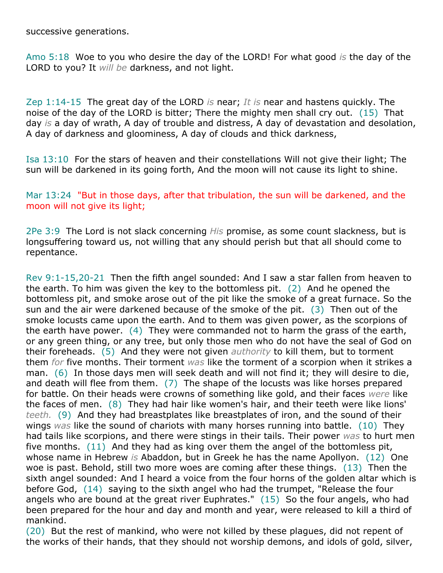successive generations.

Amo 5:18 Woe to you who desire the day of the LORD! For what good *is* the day of the LORD to you? It *will be* darkness, and not light.

Zep 1:14-15 The great day of the LORD *is* near; *It is* near and hastens quickly. The noise of the day of the LORD is bitter; There the mighty men shall cry out. (15) That day *is* a day of wrath, A day of trouble and distress, A day of devastation and desolation, A day of darkness and gloominess, A day of clouds and thick darkness,

Isa 13:10 For the stars of heaven and their constellations Will not give their light; The sun will be darkened in its going forth, And the moon will not cause its light to shine.

Mar 13:24 "But in those days, after that tribulation, the sun will be darkened, and the moon will not give its light;

2Pe 3:9 The Lord is not slack concerning *His* promise, as some count slackness, but is longsuffering toward us, not willing that any should perish but that all should come to repentance.

Rev 9:1-15,20-21 Then the fifth angel sounded: And I saw a star fallen from heaven to the earth. To him was given the key to the bottomless pit. (2) And he opened the bottomless pit, and smoke arose out of the pit like the smoke of a great furnace. So the sun and the air were darkened because of the smoke of the pit. (3) Then out of the smoke locusts came upon the earth. And to them was given power, as the scorpions of the earth have power. (4) They were commanded not to harm the grass of the earth, or any green thing, or any tree, but only those men who do not have the seal of God on their foreheads. (5) And they were not given *authority* to kill them, but to torment them *for* five months. Their torment *was* like the torment of a scorpion when it strikes a man. (6) In those days men will seek death and will not find it; they will desire to die, and death will flee from them. (7) The shape of the locusts was like horses prepared for battle. On their heads were crowns of something like gold, and their faces *were* like the faces of men. (8) They had hair like women's hair, and their teeth were like lions' *teeth.* (9) And they had breastplates like breastplates of iron, and the sound of their wings *was* like the sound of chariots with many horses running into battle. (10) They had tails like scorpions, and there were stings in their tails. Their power *was* to hurt men five months. (11) And they had as king over them the angel of the bottomless pit, whose name in Hebrew *is* Abaddon, but in Greek he has the name Apollyon. (12) One woe is past. Behold, still two more woes are coming after these things. (13) Then the sixth angel sounded: And I heard a voice from the four horns of the golden altar which is before God, (14) saying to the sixth angel who had the trumpet, "Release the four angels who are bound at the great river Euphrates." (15) So the four angels, who had been prepared for the hour and day and month and year, were released to kill a third of mankind.

(20) But the rest of mankind, who were not killed by these plagues, did not repent of the works of their hands, that they should not worship demons, and idols of gold, silver,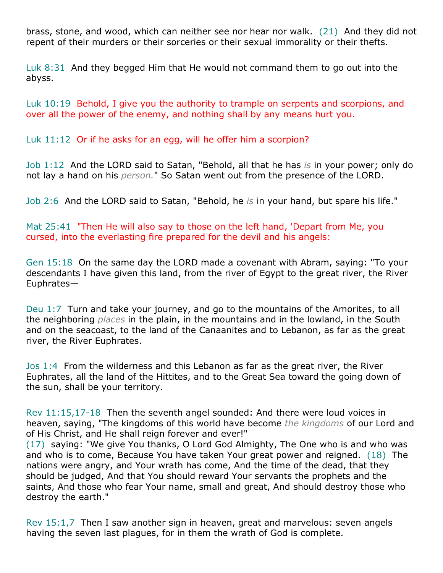brass, stone, and wood, which can neither see nor hear nor walk. (21) And they did not repent of their murders or their sorceries or their sexual immorality or their thefts.

Luk 8:31 And they begged Him that He would not command them to go out into the abyss.

Luk 10:19 Behold, I give you the authority to trample on serpents and scorpions, and over all the power of the enemy, and nothing shall by any means hurt you.

Luk 11:12 Or if he asks for an egg, will he offer him a scorpion?

Job 1:12 And the LORD said to Satan, "Behold, all that he has *is* in your power; only do not lay a hand on his *person.*" So Satan went out from the presence of the LORD.

Job 2:6 And the LORD said to Satan, "Behold, he *is* in your hand, but spare his life."

Mat 25:41 "Then He will also say to those on the left hand, 'Depart from Me, you cursed, into the everlasting fire prepared for the devil and his angels:

Gen 15:18 On the same day the LORD made a covenant with Abram, saying: "To your descendants I have given this land, from the river of Egypt to the great river, the River Euphrates—

Deu 1:7 Turn and take your journey, and go to the mountains of the Amorites, to all the neighboring *places* in the plain, in the mountains and in the lowland, in the South and on the seacoast, to the land of the Canaanites and to Lebanon, as far as the great river, the River Euphrates.

Jos 1:4 From the wilderness and this Lebanon as far as the great river, the River Euphrates, all the land of the Hittites, and to the Great Sea toward the going down of the sun, shall be your territory.

Rev 11:15,17-18 Then the seventh angel sounded: And there were loud voices in heaven, saying, "The kingdoms of this world have become *the kingdoms* of our Lord and of His Christ, and He shall reign forever and ever!"

(17) saying: "We give You thanks, O Lord God Almighty, The One who is and who was and who is to come, Because You have taken Your great power and reigned. (18) The nations were angry, and Your wrath has come, And the time of the dead, that they should be judged, And that You should reward Your servants the prophets and the saints, And those who fear Your name, small and great, And should destroy those who destroy the earth."

Rev 15:1,7 Then I saw another sign in heaven, great and marvelous: seven angels having the seven last plagues, for in them the wrath of God is complete.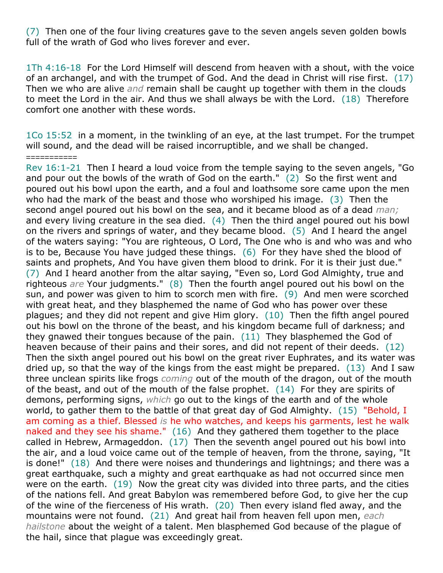(7) Then one of the four living creatures gave to the seven angels seven golden bowls full of the wrath of God who lives forever and ever.

1Th 4:16-18 For the Lord Himself will descend from heaven with a shout, with the voice of an archangel, and with the trumpet of God. And the dead in Christ will rise first. (17) Then we who are alive *and* remain shall be caught up together with them in the clouds to meet the Lord in the air. And thus we shall always be with the Lord. (18) Therefore comfort one another with these words.

1Co 15:52 in a moment, in the twinkling of an eye, at the last trumpet. For the trumpet will sound, and the dead will be raised incorruptible, and we shall be changed.

===========

Rev 16:1-21 Then I heard a loud voice from the temple saying to the seven angels, "Go and pour out the bowls of the wrath of God on the earth." (2) So the first went and poured out his bowl upon the earth, and a foul and loathsome sore came upon the men who had the mark of the beast and those who worshiped his image. (3) Then the second angel poured out his bowl on the sea, and it became blood as of a dead *man;* and every living creature in the sea died. (4) Then the third angel poured out his bowl on the rivers and springs of water, and they became blood. (5) And I heard the angel of the waters saying: "You are righteous, O Lord, The One who is and who was and who is to be, Because You have judged these things. (6) For they have shed the blood of saints and prophets, And You have given them blood to drink. For it is their just due." (7) And I heard another from the altar saying, "Even so, Lord God Almighty, true and righteous *are* Your judgments." (8) Then the fourth angel poured out his bowl on the sun, and power was given to him to scorch men with fire. (9) And men were scorched with great heat, and they blasphemed the name of God who has power over these plagues; and they did not repent and give Him glory. (10) Then the fifth angel poured out his bowl on the throne of the beast, and his kingdom became full of darkness; and they gnawed their tongues because of the pain. (11) They blasphemed the God of heaven because of their pains and their sores, and did not repent of their deeds. (12) Then the sixth angel poured out his bowl on the great river Euphrates, and its water was dried up, so that the way of the kings from the east might be prepared. (13) And I saw three unclean spirits like frogs *coming* out of the mouth of the dragon, out of the mouth of the beast, and out of the mouth of the false prophet. (14) For they are spirits of demons, performing signs, *which* go out to the kings of the earth and of the whole world, to gather them to the battle of that great day of God Almighty. (15) "Behold, I am coming as a thief. Blessed *is* he who watches, and keeps his garments, lest he walk naked and they see his shame." (16) And they gathered them together to the place called in Hebrew, Armageddon. (17) Then the seventh angel poured out his bowl into the air, and a loud voice came out of the temple of heaven, from the throne, saying, "It is done!" (18) And there were noises and thunderings and lightnings; and there was a great earthquake, such a mighty and great earthquake as had not occurred since men were on the earth. (19) Now the great city was divided into three parts, and the cities of the nations fell. And great Babylon was remembered before God, to give her the cup of the wine of the fierceness of His wrath. (20) Then every island fled away, and the mountains were not found. (21) And great hail from heaven fell upon men, *each hailstone* about the weight of a talent. Men blasphemed God because of the plague of the hail, since that plague was exceedingly great.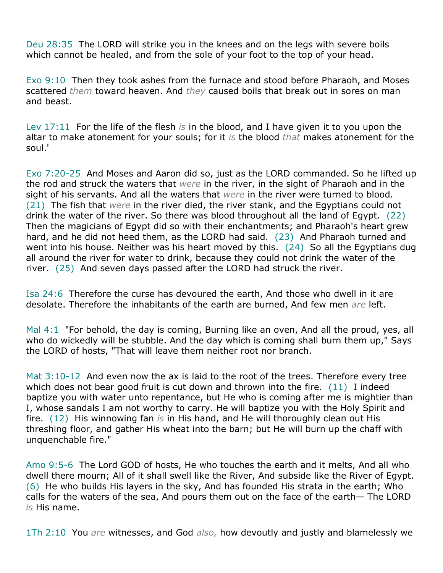Deu 28:35 The LORD will strike you in the knees and on the legs with severe boils which cannot be healed, and from the sole of your foot to the top of your head.

Exo 9:10 Then they took ashes from the furnace and stood before Pharaoh, and Moses scattered *them* toward heaven. And *they* caused boils that break out in sores on man and beast.

Lev 17:11 For the life of the flesh *is* in the blood, and I have given it to you upon the altar to make atonement for your souls; for it *is* the blood *that* makes atonement for the soul.'

Exo 7:20-25 And Moses and Aaron did so, just as the LORD commanded. So he lifted up the rod and struck the waters that *were* in the river, in the sight of Pharaoh and in the sight of his servants. And all the waters that *were* in the river were turned to blood. (21) The fish that *were* in the river died, the river stank, and the Egyptians could not drink the water of the river. So there was blood throughout all the land of Egypt. (22) Then the magicians of Egypt did so with their enchantments; and Pharaoh's heart grew hard, and he did not heed them, as the LORD had said. (23) And Pharaoh turned and went into his house. Neither was his heart moved by this. (24) So all the Egyptians dug all around the river for water to drink, because they could not drink the water of the river. (25) And seven days passed after the LORD had struck the river.

Isa 24:6 Therefore the curse has devoured the earth, And those who dwell in it are desolate. Therefore the inhabitants of the earth are burned, And few men *are* left.

Mal 4:1 "For behold, the day is coming, Burning like an oven, And all the proud, yes, all who do wickedly will be stubble. And the day which is coming shall burn them up," Says the LORD of hosts, "That will leave them neither root nor branch.

Mat 3:10-12 And even now the ax is laid to the root of the trees. Therefore every tree which does not bear good fruit is cut down and thrown into the fire. (11) I indeed baptize you with water unto repentance, but He who is coming after me is mightier than I, whose sandals I am not worthy to carry. He will baptize you with the Holy Spirit and fire. (12) His winnowing fan *is* in His hand, and He will thoroughly clean out His threshing floor, and gather His wheat into the barn; but He will burn up the chaff with unquenchable fire."

Amo 9:5-6 The Lord GOD of hosts, He who touches the earth and it melts, And all who dwell there mourn; All of it shall swell like the River, And subside like the River of Egypt. (6) He who builds His layers in the sky, And has founded His strata in the earth; Who calls for the waters of the sea, And pours them out on the face of the earth— The LORD *is* His name.

1Th 2:10 You *are* witnesses, and God *also,* how devoutly and justly and blamelessly we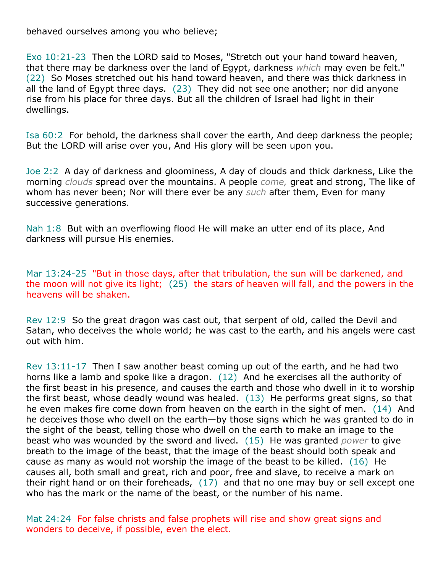behaved ourselves among you who believe;

Exo 10:21-23 Then the LORD said to Moses, "Stretch out your hand toward heaven, that there may be darkness over the land of Egypt, darkness *which* may even be felt." (22) So Moses stretched out his hand toward heaven, and there was thick darkness in all the land of Egypt three days. (23) They did not see one another; nor did anyone rise from his place for three days. But all the children of Israel had light in their dwellings.

Isa 60:2 For behold, the darkness shall cover the earth, And deep darkness the people; But the LORD will arise over you, And His glory will be seen upon you.

Joe 2:2 A day of darkness and gloominess, A day of clouds and thick darkness, Like the morning *clouds* spread over the mountains. A people *come,* great and strong, The like of whom has never been; Nor will there ever be any *such* after them, Even for many successive generations.

Nah 1:8 But with an overflowing flood He will make an utter end of its place, And darkness will pursue His enemies.

Mar 13:24-25 "But in those days, after that tribulation, the sun will be darkened, and the moon will not give its light; (25) the stars of heaven will fall, and the powers in the heavens will be shaken.

Rev 12:9 So the great dragon was cast out, that serpent of old, called the Devil and Satan, who deceives the whole world; he was cast to the earth, and his angels were cast out with him.

Rev 13:11-17 Then I saw another beast coming up out of the earth, and he had two horns like a lamb and spoke like a dragon. (12) And he exercises all the authority of the first beast in his presence, and causes the earth and those who dwell in it to worship the first beast, whose deadly wound was healed. (13) He performs great signs, so that he even makes fire come down from heaven on the earth in the sight of men. (14) And he deceives those who dwell on the earth—by those signs which he was granted to do in the sight of the beast, telling those who dwell on the earth to make an image to the beast who was wounded by the sword and lived. (15) He was granted *power* to give breath to the image of the beast, that the image of the beast should both speak and cause as many as would not worship the image of the beast to be killed. (16) He causes all, both small and great, rich and poor, free and slave, to receive a mark on their right hand or on their foreheads,  $(17)$  and that no one may buy or sell except one who has the mark or the name of the beast, or the number of his name.

Mat 24:24 For false christs and false prophets will rise and show great signs and wonders to deceive, if possible, even the elect.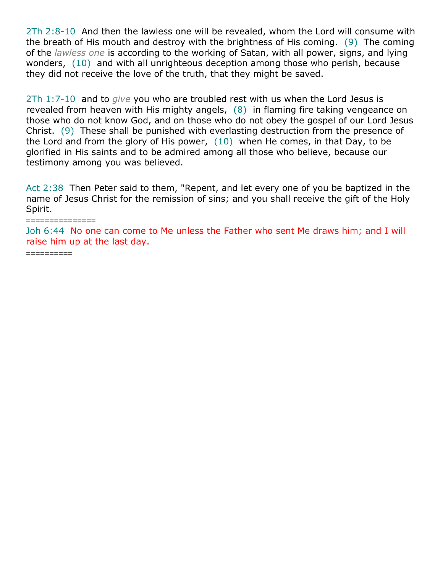2Th 2:8-10 And then the lawless one will be revealed, whom the Lord will consume with the breath of His mouth and destroy with the brightness of His coming. (9) The coming of the *lawless one* is according to the working of Satan, with all power, signs, and lying wonders, (10) and with all unrighteous deception among those who perish, because they did not receive the love of the truth, that they might be saved.

2Th 1:7-10 and to *give* you who are troubled rest with us when the Lord Jesus is revealed from heaven with His mighty angels, (8) in flaming fire taking vengeance on those who do not know God, and on those who do not obey the gospel of our Lord Jesus Christ. (9) These shall be punished with everlasting destruction from the presence of the Lord and from the glory of His power, (10) when He comes, in that Day, to be glorified in His saints and to be admired among all those who believe, because our testimony among you was believed.

Act 2:38 Then Peter said to them, "Repent, and let every one of you be baptized in the name of Jesus Christ for the remission of sins; and you shall receive the gift of the Holy Spirit.

#### ===============

Joh 6:44 No one can come to Me unless the Father who sent Me draws him; and I will raise him up at the last day.

==========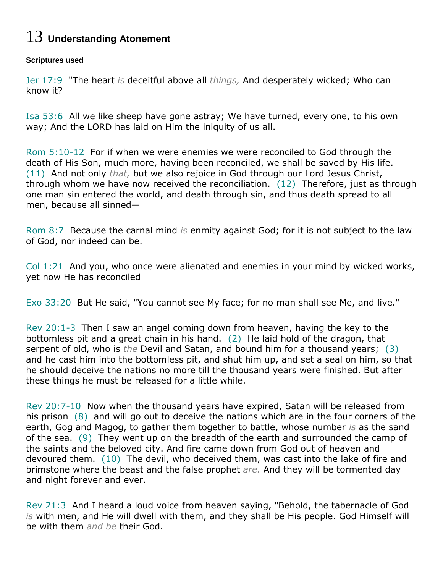# 13 **Understanding Atonement**

#### **Scriptures used**

Jer 17:9 "The heart *is* deceitful above all *things,* And desperately wicked; Who can know it?

Isa 53:6 All we like sheep have gone astray; We have turned, every one, to his own way; And the LORD has laid on Him the iniquity of us all.

Rom 5:10-12 For if when we were enemies we were reconciled to God through the death of His Son, much more, having been reconciled, we shall be saved by His life. (11) And not only *that,* but we also rejoice in God through our Lord Jesus Christ, through whom we have now received the reconciliation. (12) Therefore, just as through one man sin entered the world, and death through sin, and thus death spread to all men, because all sinned—

Rom 8:7 Because the carnal mind *is* enmity against God; for it is not subject to the law of God, nor indeed can be.

Col 1:21 And you, who once were alienated and enemies in your mind by wicked works, yet now He has reconciled

Exo 33:20 But He said, "You cannot see My face; for no man shall see Me, and live."

Rev 20:1-3 Then I saw an angel coming down from heaven, having the key to the bottomless pit and a great chain in his hand. (2) He laid hold of the dragon, that serpent of old, who is *the* Devil and Satan, and bound him for a thousand years; (3) and he cast him into the bottomless pit, and shut him up, and set a seal on him, so that he should deceive the nations no more till the thousand years were finished. But after these things he must be released for a little while.

Rev 20:7-10 Now when the thousand years have expired, Satan will be released from his prison (8) and will go out to deceive the nations which are in the four corners of the earth, Gog and Magog, to gather them together to battle, whose number *is* as the sand of the sea. (9) They went up on the breadth of the earth and surrounded the camp of the saints and the beloved city. And fire came down from God out of heaven and devoured them. (10) The devil, who deceived them, was cast into the lake of fire and brimstone where the beast and the false prophet *are.* And they will be tormented day and night forever and ever.

Rev 21:3 And I heard a loud voice from heaven saying, "Behold, the tabernacle of God *is* with men, and He will dwell with them, and they shall be His people. God Himself will be with them *and be* their God.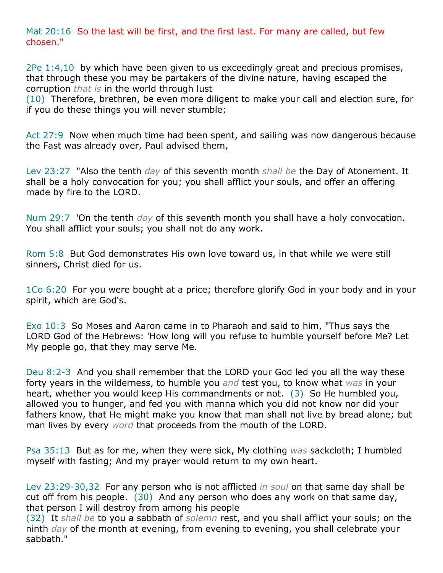Mat 20:16 So the last will be first, and the first last. For many are called, but few chosen."

2Pe 1:4,10 by which have been given to us exceedingly great and precious promises, that through these you may be partakers of the divine nature, having escaped the corruption *that is* in the world through lust

(10) Therefore, brethren, be even more diligent to make your call and election sure, for if you do these things you will never stumble;

Act 27:9 Now when much time had been spent, and sailing was now dangerous because the Fast was already over, Paul advised them,

Lev 23:27 "Also the tenth *day* of this seventh month *shall be* the Day of Atonement. It shall be a holy convocation for you; you shall afflict your souls, and offer an offering made by fire to the LORD.

Num 29:7 'On the tenth *day* of this seventh month you shall have a holy convocation. You shall afflict your souls; you shall not do any work.

Rom 5:8 But God demonstrates His own love toward us, in that while we were still sinners, Christ died for us.

1Co 6:20 For you were bought at a price; therefore glorify God in your body and in your spirit, which are God's.

Exo 10:3 So Moses and Aaron came in to Pharaoh and said to him, "Thus says the LORD God of the Hebrews: 'How long will you refuse to humble yourself before Me? Let My people go, that they may serve Me.

Deu 8:2-3 And you shall remember that the LORD your God led you all the way these forty years in the wilderness, to humble you *and* test you, to know what *was* in your heart, whether you would keep His commandments or not. (3) So He humbled you, allowed you to hunger, and fed you with manna which you did not know nor did your fathers know, that He might make you know that man shall not live by bread alone; but man lives by every *word* that proceeds from the mouth of the LORD.

Psa 35:13 But as for me, when they were sick, My clothing *was* sackcloth; I humbled myself with fasting; And my prayer would return to my own heart.

Lev 23:29-30,32 For any person who is not afflicted *in soul* on that same day shall be cut off from his people. (30) And any person who does any work on that same day, that person I will destroy from among his people

(32) It *shall be* to you a sabbath of *solemn* rest, and you shall afflict your souls; on the ninth *day* of the month at evening, from evening to evening, you shall celebrate your sabbath."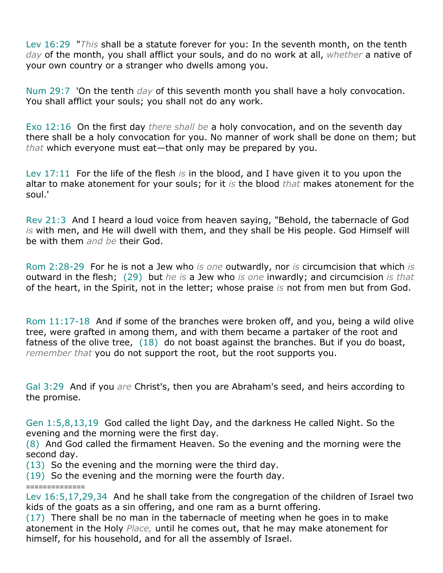Lev 16:29 "*This* shall be a statute forever for you: In the seventh month, on the tenth *day* of the month, you shall afflict your souls, and do no work at all, *whether* a native of your own country or a stranger who dwells among you.

Num 29:7 'On the tenth *day* of this seventh month you shall have a holy convocation. You shall afflict your souls; you shall not do any work.

Exo 12:16 On the first day *there shall be* a holy convocation, and on the seventh day there shall be a holy convocation for you. No manner of work shall be done on them; but *that* which everyone must eat—that only may be prepared by you.

Lev 17:11 For the life of the flesh *is* in the blood, and I have given it to you upon the altar to make atonement for your souls; for it *is* the blood *that* makes atonement for the soul.'

Rev 21:3 And I heard a loud voice from heaven saying, "Behold, the tabernacle of God *is* with men, and He will dwell with them, and they shall be His people. God Himself will be with them *and be* their God.

Rom 2:28-29 For he is not a Jew who *is one* outwardly, nor *is* circumcision that which *is* outward in the flesh; (29) but *he is* a Jew who *is one* inwardly; and circumcision *is that* of the heart, in the Spirit, not in the letter; whose praise *is* not from men but from God.

Rom 11:17-18 And if some of the branches were broken off, and you, being a wild olive tree, were grafted in among them, and with them became a partaker of the root and fatness of the olive tree, (18) do not boast against the branches. But if you do boast, *remember that* you do not support the root, but the root supports you.

Gal 3:29 And if you *are* Christ's, then you are Abraham's seed, and heirs according to the promise.

Gen 1:5,8,13,19 God called the light Day, and the darkness He called Night. So the evening and the morning were the first day.

(8) And God called the firmament Heaven. So the evening and the morning were the second day.

(13) So the evening and the morning were the third day.

==============

(19) So the evening and the morning were the fourth day.

Lev 16:5,17,29,34 And he shall take from the congregation of the children of Israel two kids of the goats as a sin offering, and one ram as a burnt offering.

(17) There shall be no man in the tabernacle of meeting when he goes in to make atonement in the Holy *Place,* until he comes out, that he may make atonement for himself, for his household, and for all the assembly of Israel.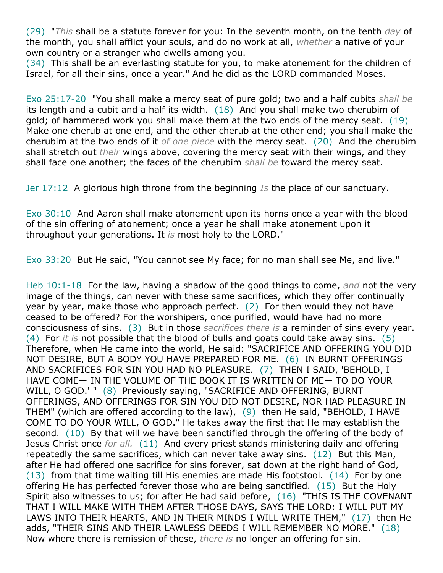(29) "*This* shall be a statute forever for you: In the seventh month, on the tenth *day* of the month, you shall afflict your souls, and do no work at all, *whether* a native of your own country or a stranger who dwells among you.

(34) This shall be an everlasting statute for you, to make atonement for the children of Israel, for all their sins, once a year." And he did as the LORD commanded Moses.

Exo 25:17-20 "You shall make a mercy seat of pure gold; two and a half cubits *shall be* its length and a cubit and a half its width. (18) And you shall make two cherubim of gold; of hammered work you shall make them at the two ends of the mercy seat. (19) Make one cherub at one end, and the other cherub at the other end; you shall make the cherubim at the two ends of it *of one piece* with the mercy seat. (20) And the cherubim shall stretch out *their* wings above, covering the mercy seat with their wings, and they shall face one another; the faces of the cherubim *shall be* toward the mercy seat.

Jer 17:12 A glorious high throne from the beginning *Is* the place of our sanctuary.

Exo 30:10 And Aaron shall make atonement upon its horns once a year with the blood of the sin offering of atonement; once a year he shall make atonement upon it throughout your generations. It *is* most holy to the LORD."

Exo 33:20 But He said, "You cannot see My face; for no man shall see Me, and live."

Heb 10:1-18 For the law, having a shadow of the good things to come, *and* not the very image of the things, can never with these same sacrifices, which they offer continually year by year, make those who approach perfect. (2) For then would they not have ceased to be offered? For the worshipers, once purified, would have had no more consciousness of sins. (3) But in those *sacrifices there is* a reminder of sins every year. (4) For *it is* not possible that the blood of bulls and goats could take away sins. (5) Therefore, when He came into the world, He said: "SACRIFICE AND OFFERING YOU DID NOT DESIRE, BUT A BODY YOU HAVE PREPARED FOR ME. (6) IN BURNT OFFERINGS AND SACRIFICES FOR SIN YOU HAD NO PLEASURE. (7) THEN I SAID, 'BEHOLD, I HAVE COME— IN THE VOLUME OF THE BOOK IT IS WRITTEN OF ME— TO DO YOUR WILL, O GOD.' " (8) Previously saying, "SACRIFICE AND OFFERING, BURNT OFFERINGS, AND OFFERINGS FOR SIN YOU DID NOT DESIRE, NOR HAD PLEASURE IN THEM" (which are offered according to the law), (9) then He said, "BEHOLD, I HAVE COME TO DO YOUR WILL, O GOD." He takes away the first that He may establish the second. (10) By that will we have been sanctified through the offering of the body of Jesus Christ once *for all.* (11) And every priest stands ministering daily and offering repeatedly the same sacrifices, which can never take away sins. (12) But this Man, after He had offered one sacrifice for sins forever, sat down at the right hand of God,  $(13)$  from that time waiting till His enemies are made His footstool.  $(14)$  For by one offering He has perfected forever those who are being sanctified. (15) But the Holy Spirit also witnesses to us; for after He had said before, (16) "THIS IS THE COVENANT THAT I WILL MAKE WITH THEM AFTER THOSE DAYS, SAYS THE LORD: I WILL PUT MY LAWS INTO THEIR HEARTS, AND IN THEIR MINDS I WILL WRITE THEM," (17) then He adds, "THEIR SINS AND THEIR LAWLESS DEEDS I WILL REMEMBER NO MORE." (18) Now where there is remission of these, *there is* no longer an offering for sin.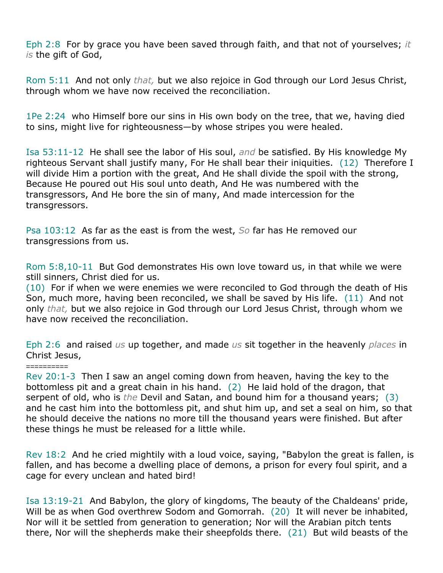Eph 2:8 For by grace you have been saved through faith, and that not of yourselves; *it is* the gift of God,

Rom 5:11 And not only *that,* but we also rejoice in God through our Lord Jesus Christ, through whom we have now received the reconciliation.

1Pe 2:24 who Himself bore our sins in His own body on the tree, that we, having died to sins, might live for righteousness—by whose stripes you were healed.

Isa 53:11-12 He shall see the labor of His soul, *and* be satisfied. By His knowledge My righteous Servant shall justify many, For He shall bear their iniquities. (12) Therefore I will divide Him a portion with the great, And He shall divide the spoil with the strong, Because He poured out His soul unto death, And He was numbered with the transgressors, And He bore the sin of many, And made intercession for the transgressors.

Psa 103:12 As far as the east is from the west, *So* far has He removed our transgressions from us.

Rom 5:8,10-11 But God demonstrates His own love toward us, in that while we were still sinners, Christ died for us.

(10) For if when we were enemies we were reconciled to God through the death of His Son, much more, having been reconciled, we shall be saved by His life. (11) And not only *that,* but we also rejoice in God through our Lord Jesus Christ, through whom we have now received the reconciliation.

Eph 2:6 and raised *us* up together, and made *us* sit together in the heavenly *places* in Christ Jesus,

### ==========

Rev 20:1-3 Then I saw an angel coming down from heaven, having the key to the bottomless pit and a great chain in his hand. (2) He laid hold of the dragon, that serpent of old, who is *the* Devil and Satan, and bound him for a thousand years; (3) and he cast him into the bottomless pit, and shut him up, and set a seal on him, so that he should deceive the nations no more till the thousand years were finished. But after these things he must be released for a little while.

Rev 18:2 And he cried mightily with a loud voice, saying, "Babylon the great is fallen, is fallen, and has become a dwelling place of demons, a prison for every foul spirit, and a cage for every unclean and hated bird!

Isa 13:19-21 And Babylon, the glory of kingdoms, The beauty of the Chaldeans' pride, Will be as when God overthrew Sodom and Gomorrah. (20) It will never be inhabited, Nor will it be settled from generation to generation; Nor will the Arabian pitch tents there, Nor will the shepherds make their sheepfolds there. (21) But wild beasts of the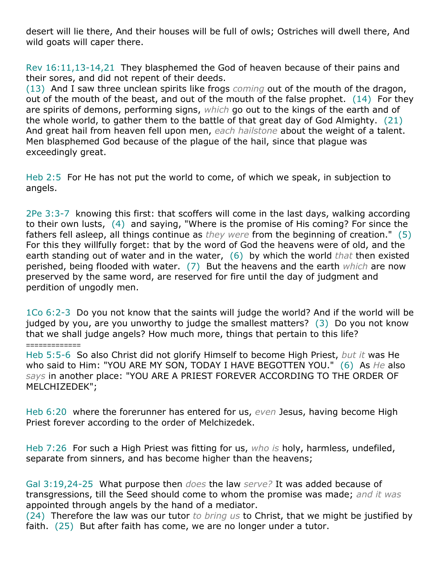desert will lie there, And their houses will be full of owls; Ostriches will dwell there, And wild goats will caper there.

Rev 16:11,13-14,21 They blasphemed the God of heaven because of their pains and their sores, and did not repent of their deeds.

(13) And I saw three unclean spirits like frogs *coming* out of the mouth of the dragon, out of the mouth of the beast, and out of the mouth of the false prophet.  $(14)$  For they are spirits of demons, performing signs, *which* go out to the kings of the earth and of the whole world, to gather them to the battle of that great day of God Almighty. (21) And great hail from heaven fell upon men, *each hailstone* about the weight of a talent. Men blasphemed God because of the plague of the hail, since that plague was exceedingly great.

Heb 2:5 For He has not put the world to come, of which we speak, in subjection to angels.

2Pe 3:3-7 knowing this first: that scoffers will come in the last days, walking according to their own lusts, (4) and saying, "Where is the promise of His coming? For since the fathers fell asleep, all things continue as *they were* from the beginning of creation." (5) For this they willfully forget: that by the word of God the heavens were of old, and the earth standing out of water and in the water, (6) by which the world *that* then existed perished, being flooded with water. (7) But the heavens and the earth *which* are now preserved by the same word, are reserved for fire until the day of judgment and perdition of ungodly men.

1Co 6:2-3 Do you not know that the saints will judge the world? And if the world will be judged by you, are you unworthy to judge the smallest matters? (3) Do you not know that we shall judge angels? How much more, things that pertain to this life?

=============

Heb 5:5-6 So also Christ did not glorify Himself to become High Priest, *but it* was He who said to Him: "YOU ARE MY SON, TODAY I HAVE BEGOTTEN YOU." (6) As *He* also *says* in another place: "YOU ARE A PRIEST FOREVER ACCORDING TO THE ORDER OF MELCHIZEDEK";

Heb 6:20 where the forerunner has entered for us, *even* Jesus, having become High Priest forever according to the order of Melchizedek.

Heb 7:26 For such a High Priest was fitting for us, *who is* holy, harmless, undefiled, separate from sinners, and has become higher than the heavens;

Gal 3:19,24-25 What purpose then *does* the law *serve?* It was added because of transgressions, till the Seed should come to whom the promise was made; *and it was* appointed through angels by the hand of a mediator.

(24) Therefore the law was our tutor *to bring us* to Christ, that we might be justified by faith. (25) But after faith has come, we are no longer under a tutor.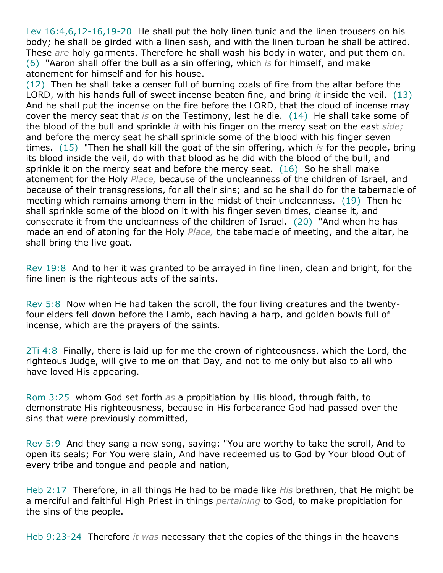Lev 16:4,6,12-16,19-20 He shall put the holy linen tunic and the linen trousers on his body; he shall be girded with a linen sash, and with the linen turban he shall be attired. These *are* holy garments. Therefore he shall wash his body in water, and put them on. (6) "Aaron shall offer the bull as a sin offering, which *is* for himself, and make atonement for himself and for his house.

(12) Then he shall take a censer full of burning coals of fire from the altar before the LORD, with his hands full of sweet incense beaten fine, and bring *it* inside the veil. (13) And he shall put the incense on the fire before the LORD, that the cloud of incense may cover the mercy seat that *is* on the Testimony, lest he die. (14) He shall take some of the blood of the bull and sprinkle *it* with his finger on the mercy seat on the east *side;* and before the mercy seat he shall sprinkle some of the blood with his finger seven times. (15) "Then he shall kill the goat of the sin offering, which *is* for the people, bring its blood inside the veil, do with that blood as he did with the blood of the bull, and sprinkle it on the mercy seat and before the mercy seat. (16) So he shall make atonement for the Holy *Place,* because of the uncleanness of the children of Israel, and because of their transgressions, for all their sins; and so he shall do for the tabernacle of meeting which remains among them in the midst of their uncleanness. (19) Then he shall sprinkle some of the blood on it with his finger seven times, cleanse it, and consecrate it from the uncleanness of the children of Israel. (20) "And when he has made an end of atoning for the Holy *Place,* the tabernacle of meeting, and the altar, he shall bring the live goat.

Rev 19:8 And to her it was granted to be arrayed in fine linen, clean and bright, for the fine linen is the righteous acts of the saints.

Rev 5:8 Now when He had taken the scroll, the four living creatures and the twentyfour elders fell down before the Lamb, each having a harp, and golden bowls full of incense, which are the prayers of the saints.

2Ti 4:8 Finally, there is laid up for me the crown of righteousness, which the Lord, the righteous Judge, will give to me on that Day, and not to me only but also to all who have loved His appearing.

Rom 3:25 whom God set forth *as* a propitiation by His blood, through faith, to demonstrate His righteousness, because in His forbearance God had passed over the sins that were previously committed,

Rev 5:9 And they sang a new song, saying: "You are worthy to take the scroll, And to open its seals; For You were slain, And have redeemed us to God by Your blood Out of every tribe and tongue and people and nation,

Heb 2:17 Therefore, in all things He had to be made like *His* brethren, that He might be a merciful and faithful High Priest in things *pertaining* to God, to make propitiation for the sins of the people.

Heb 9:23-24 Therefore *it was* necessary that the copies of the things in the heavens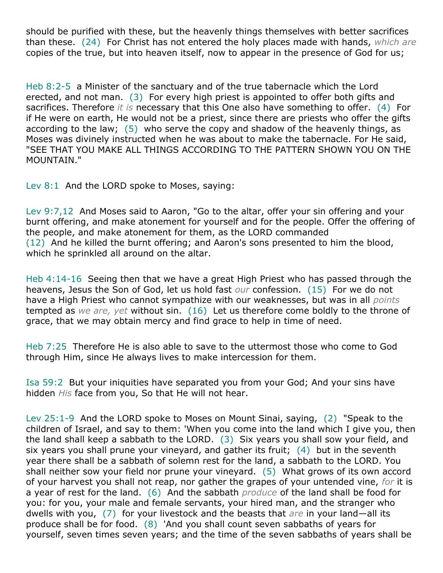should be purified with these, but the heavenly things themselves with better sacrifices than these. (24) For Christ has not entered the holy places made with hands, *which are* copies of the true, but into heaven itself, now to appear in the presence of God for us;

Heb 8:2-5 a Minister of the sanctuary and of the true tabernacle which the Lord erected, and not man. (3) For every high priest is appointed to offer both gifts and sacrifices. Therefore *it is* necessary that this One also have something to offer. (4) For if He were on earth, He would not be a priest, since there are priests who offer the gifts according to the law; (5) who serve the copy and shadow of the heavenly things, as Moses was divinely instructed when he was about to make the tabernacle. For He said, "SEE THAT YOU MAKE ALL THINGS ACCORDING TO THE PATTERN SHOWN YOU ON THE MOUNTAIN."

Lev 8:1 And the LORD spoke to Moses, saying:

Lev 9:7,12 And Moses said to Aaron, "Go to the altar, offer your sin offering and your burnt offering, and make atonement for yourself and for the people. Offer the offering of the people, and make atonement for them, as the LORD commanded (12) And he killed the burnt offering; and Aaron's sons presented to him the blood, which he sprinkled all around on the altar.

Heb 4:14-16 Seeing then that we have a great High Priest who has passed through the heavens, Jesus the Son of God, let us hold fast *our* confession. (15) For we do not have a High Priest who cannot sympathize with our weaknesses, but was in all *points* tempted as *we are, yet* without sin. (16) Let us therefore come boldly to the throne of grace, that we may obtain mercy and find grace to help in time of need.

Heb 7:25 Therefore He is also able to save to the uttermost those who come to God through Him, since He always lives to make intercession for them.

Isa 59:2 But your iniquities have separated you from your God; And your sins have hidden *His* face from you, So that He will not hear.

Lev 25:1-9 And the LORD spoke to Moses on Mount Sinai, saying, (2) "Speak to the children of Israel, and say to them: 'When you come into the land which I give you, then the land shall keep a sabbath to the LORD. (3) Six years you shall sow your field, and six years you shall prune your vineyard, and gather its fruit; (4) but in the seventh year there shall be a sabbath of solemn rest for the land, a sabbath to the LORD. You shall neither sow your field nor prune your vineyard. (5) What grows of its own accord of your harvest you shall not reap, nor gather the grapes of your untended vine, *for* it is a year of rest for the land. (6) And the sabbath *produce* of the land shall be food for you: for you, your male and female servants, your hired man, and the stranger who dwells with you, (7) for your livestock and the beasts that *are* in your land—all its produce shall be for food. (8) 'And you shall count seven sabbaths of years for yourself, seven times seven years; and the time of the seven sabbaths of years shall be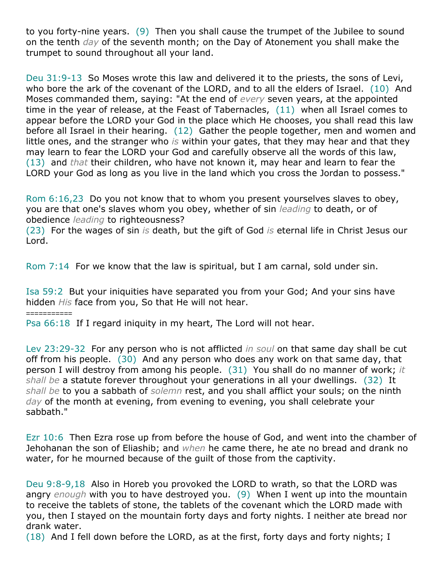to you forty-nine years. (9) Then you shall cause the trumpet of the Jubilee to sound on the tenth *day* of the seventh month; on the Day of Atonement you shall make the trumpet to sound throughout all your land.

Deu 31:9-13 So Moses wrote this law and delivered it to the priests, the sons of Levi, who bore the ark of the covenant of the LORD, and to all the elders of Israel. (10) And Moses commanded them, saying: "At the end of *every* seven years, at the appointed time in the year of release, at the Feast of Tabernacles, (11) when all Israel comes to appear before the LORD your God in the place which He chooses, you shall read this law before all Israel in their hearing. (12) Gather the people together, men and women and little ones, and the stranger who *is* within your gates, that they may hear and that they may learn to fear the LORD your God and carefully observe all the words of this law, (13) and *that* their children, who have not known it, may hear and learn to fear the LORD your God as long as you live in the land which you cross the Jordan to possess."

Rom 6:16,23 Do you not know that to whom you present yourselves slaves to obey, you are that one's slaves whom you obey, whether of sin *leading* to death, or of obedience *leading* to righteousness?

(23) For the wages of sin *is* death, but the gift of God *is* eternal life in Christ Jesus our Lord.

Rom 7:14 For we know that the law is spiritual, but I am carnal, sold under sin.

Isa 59:2 But your iniquities have separated you from your God; And your sins have hidden *His* face from you, So that He will not hear.

===========

Psa 66:18 If I regard iniquity in my heart, The Lord will not hear.

Lev 23:29-32 For any person who is not afflicted *in soul* on that same day shall be cut off from his people. (30) And any person who does any work on that same day, that person I will destroy from among his people. (31) You shall do no manner of work; *it shall be* a statute forever throughout your generations in all your dwellings. (32) It *shall be* to you a sabbath of *solemn* rest, and you shall afflict your souls; on the ninth *day* of the month at evening, from evening to evening, you shall celebrate your sabbath."

Ezr 10:6 Then Ezra rose up from before the house of God, and went into the chamber of Jehohanan the son of Eliashib; and *when* he came there, he ate no bread and drank no water, for he mourned because of the guilt of those from the captivity.

Deu 9:8-9,18 Also in Horeb you provoked the LORD to wrath, so that the LORD was angry *enough* with you to have destroyed you. (9) When I went up into the mountain to receive the tablets of stone, the tablets of the covenant which the LORD made with you, then I stayed on the mountain forty days and forty nights. I neither ate bread nor drank water.

(18) And I fell down before the LORD, as at the first, forty days and forty nights; I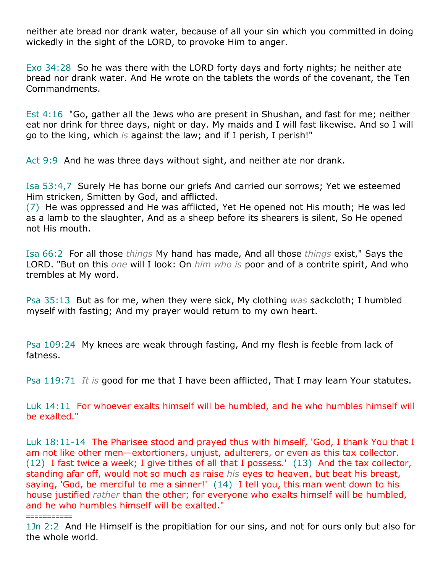neither ate bread nor drank water, because of all your sin which you committed in doing wickedly in the sight of the LORD, to provoke Him to anger.

Exo 34:28 So he was there with the LORD forty days and forty nights; he neither ate bread nor drank water. And He wrote on the tablets the words of the covenant, the Ten Commandments.

Est 4:16 "Go, gather all the Jews who are present in Shushan, and fast for me; neither eat nor drink for three days, night or day. My maids and I will fast likewise. And so I will go to the king, which *is* against the law; and if I perish, I perish!"

Act 9:9 And he was three days without sight, and neither ate nor drank.

Isa 53:4,7 Surely He has borne our griefs And carried our sorrows; Yet we esteemed Him stricken, Smitten by God, and afflicted.

(7) He was oppressed and He was afflicted, Yet He opened not His mouth; He was led as a lamb to the slaughter, And as a sheep before its shearers is silent, So He opened not His mouth.

Isa 66:2 For all those *things* My hand has made, And all those *things* exist," Says the LORD. "But on this *one* will I look: On *him who is* poor and of a contrite spirit, And who trembles at My word.

Psa 35:13 But as for me, when they were sick, My clothing *was* sackcloth; I humbled myself with fasting; And my prayer would return to my own heart.

Psa 109:24 My knees are weak through fasting, And my flesh is feeble from lack of fatness.

Psa 119:71 *It is* good for me that I have been afflicted, That I may learn Your statutes.

Luk 14:11 For whoever exalts himself will be humbled, and he who humbles himself will be exalted."

Luk 18:11-14 The Pharisee stood and prayed thus with himself, 'God, I thank You that I am not like other men—extortioners, unjust, adulterers, or even as this tax collector. (12) I fast twice a week; I give tithes of all that I possess.' (13) And the tax collector, standing afar off, would not so much as raise *his* eyes to heaven, but beat his breast, saying, 'God, be merciful to me a sinner!' (14) I tell you, this man went down to his house justified *rather* than the other; for everyone who exalts himself will be humbled, and he who humbles himself will be exalted."

===========

1Jn 2:2 And He Himself is the propitiation for our sins, and not for ours only but also for the whole world.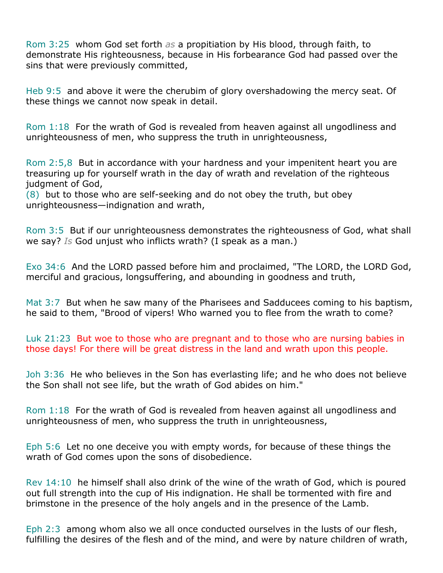Rom 3:25 whom God set forth *as* a propitiation by His blood, through faith, to demonstrate His righteousness, because in His forbearance God had passed over the sins that were previously committed,

Heb 9:5 and above it were the cherubim of glory overshadowing the mercy seat. Of these things we cannot now speak in detail.

Rom 1:18 For the wrath of God is revealed from heaven against all ungodliness and unrighteousness of men, who suppress the truth in unrighteousness,

Rom 2:5,8 But in accordance with your hardness and your impenitent heart you are treasuring up for yourself wrath in the day of wrath and revelation of the righteous judgment of God,

(8) but to those who are self-seeking and do not obey the truth, but obey unrighteousness—indignation and wrath,

Rom 3:5 But if our unrighteousness demonstrates the righteousness of God, what shall we say? *Is* God unjust who inflicts wrath? (I speak as a man.)

Exo 34:6 And the LORD passed before him and proclaimed, "The LORD, the LORD God, merciful and gracious, longsuffering, and abounding in goodness and truth,

Mat 3:7 But when he saw many of the Pharisees and Sadducees coming to his baptism, he said to them, "Brood of vipers! Who warned you to flee from the wrath to come?

Luk 21:23 But woe to those who are pregnant and to those who are nursing babies in those days! For there will be great distress in the land and wrath upon this people.

Joh 3:36 He who believes in the Son has everlasting life; and he who does not believe the Son shall not see life, but the wrath of God abides on him."

Rom 1:18 For the wrath of God is revealed from heaven against all ungodliness and unrighteousness of men, who suppress the truth in unrighteousness,

Eph 5:6 Let no one deceive you with empty words, for because of these things the wrath of God comes upon the sons of disobedience.

Rev 14:10 he himself shall also drink of the wine of the wrath of God, which is poured out full strength into the cup of His indignation. He shall be tormented with fire and brimstone in the presence of the holy angels and in the presence of the Lamb.

Eph 2:3 among whom also we all once conducted ourselves in the lusts of our flesh, fulfilling the desires of the flesh and of the mind, and were by nature children of wrath,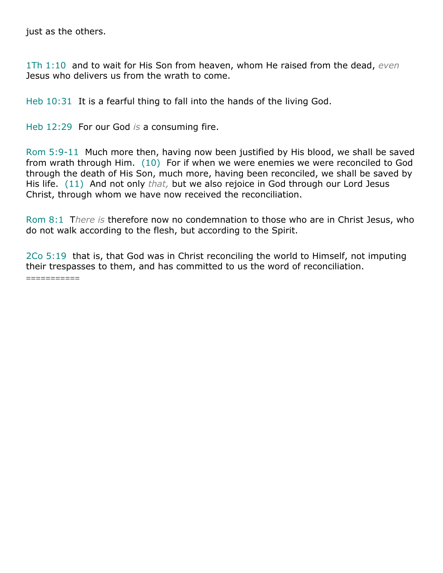just as the others.

1Th 1:10 and to wait for His Son from heaven, whom He raised from the dead, *even* Jesus who delivers us from the wrath to come.

Heb 10:31 It is a fearful thing to fall into the hands of the living God.

Heb 12:29 For our God *is* a consuming fire.

Rom 5:9-11 Much more then, having now been justified by His blood, we shall be saved from wrath through Him. (10) For if when we were enemies we were reconciled to God through the death of His Son, much more, having been reconciled, we shall be saved by His life. (11) And not only *that,* but we also rejoice in God through our Lord Jesus Christ, through whom we have now received the reconciliation.

Rom 8:1 T*here is* therefore now no condemnation to those who are in Christ Jesus, who do not walk according to the flesh, but according to the Spirit.

2Co 5:19 that is, that God was in Christ reconciling the world to Himself, not imputing their trespasses to them, and has committed to us the word of reconciliation. ===========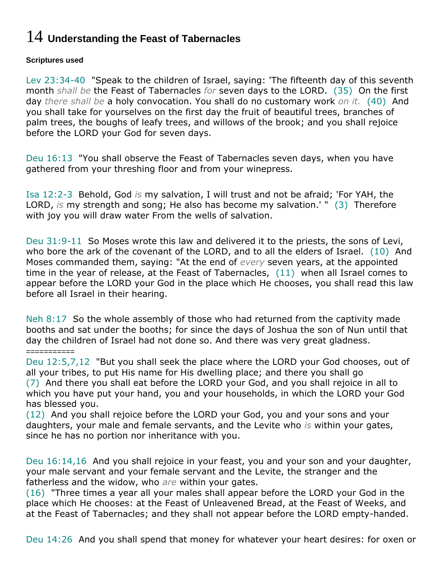# 14 **Understanding the Feast of Tabernacles**

### **Scriptures used**

Lev 23:34-40 "Speak to the children of Israel, saying: 'The fifteenth day of this seventh month *shall be* the Feast of Tabernacles *for* seven days to the LORD. (35) On the first day *there shall be* a holy convocation. You shall do no customary work *on it.* (40) And you shall take for yourselves on the first day the fruit of beautiful trees, branches of palm trees, the boughs of leafy trees, and willows of the brook; and you shall rejoice before the LORD your God for seven days.

Deu 16:13 "You shall observe the Feast of Tabernacles seven days, when you have gathered from your threshing floor and from your winepress.

Isa 12:2-3 Behold, God *is* my salvation, I will trust and not be afraid; 'For YAH, the LORD, *is* my strength and song; He also has become my salvation.' " (3) Therefore with joy you will draw water From the wells of salvation.

Deu 31:9-11 So Moses wrote this law and delivered it to the priests, the sons of Levi, who bore the ark of the covenant of the LORD, and to all the elders of Israel. (10) And Moses commanded them, saying: "At the end of *every* seven years, at the appointed time in the year of release, at the Feast of Tabernacles, (11) when all Israel comes to appear before the LORD your God in the place which He chooses, you shall read this law before all Israel in their hearing.

Neh 8:17 So the whole assembly of those who had returned from the captivity made booths and sat under the booths; for since the days of Joshua the son of Nun until that day the children of Israel had not done so. And there was very great gladness.

#### ===========

Deu 12:5,7,12 "But you shall seek the place where the LORD your God chooses, out of all your tribes, to put His name for His dwelling place; and there you shall go (7) And there you shall eat before the LORD your God, and you shall rejoice in all to which you have put your hand, you and your households, in which the LORD your God has blessed you.

(12) And you shall rejoice before the LORD your God, you and your sons and your daughters, your male and female servants, and the Levite who *is* within your gates, since he has no portion nor inheritance with you.

Deu 16:14,16 And you shall rejoice in your feast, you and your son and your daughter, your male servant and your female servant and the Levite, the stranger and the fatherless and the widow, who *are* within your gates.

(16) "Three times a year all your males shall appear before the LORD your God in the place which He chooses: at the Feast of Unleavened Bread, at the Feast of Weeks, and at the Feast of Tabernacles; and they shall not appear before the LORD empty-handed.

Deu 14:26 And you shall spend that money for whatever your heart desires: for oxen or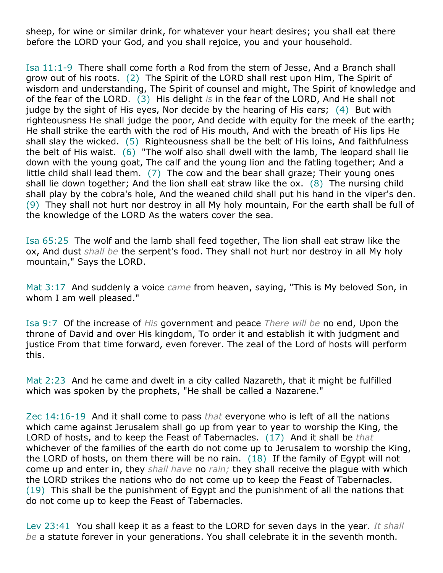sheep, for wine or similar drink, for whatever your heart desires; you shall eat there before the LORD your God, and you shall rejoice, you and your household.

Isa 11:1-9 There shall come forth a Rod from the stem of Jesse, And a Branch shall grow out of his roots. (2) The Spirit of the LORD shall rest upon Him, The Spirit of wisdom and understanding, The Spirit of counsel and might, The Spirit of knowledge and of the fear of the LORD. (3) His delight *is* in the fear of the LORD, And He shall not judge by the sight of His eyes, Nor decide by the hearing of His ears; (4) But with righteousness He shall judge the poor, And decide with equity for the meek of the earth; He shall strike the earth with the rod of His mouth, And with the breath of His lips He shall slay the wicked. (5) Righteousness shall be the belt of His loins, And faithfulness the belt of His waist. (6) "The wolf also shall dwell with the lamb, The leopard shall lie down with the young goat, The calf and the young lion and the fatling together; And a little child shall lead them. (7) The cow and the bear shall graze; Their young ones shall lie down together; And the lion shall eat straw like the ox. (8) The nursing child shall play by the cobra's hole, And the weaned child shall put his hand in the viper's den. (9) They shall not hurt nor destroy in all My holy mountain, For the earth shall be full of the knowledge of the LORD As the waters cover the sea.

Isa 65:25 The wolf and the lamb shall feed together, The lion shall eat straw like the ox, And dust *shall be* the serpent's food. They shall not hurt nor destroy in all My holy mountain," Says the LORD.

Mat 3:17 And suddenly a voice *came* from heaven, saying, "This is My beloved Son, in whom I am well pleased."

Isa 9:7 Of the increase of *His* government and peace *There will be* no end, Upon the throne of David and over His kingdom, To order it and establish it with judgment and justice From that time forward, even forever. The zeal of the Lord of hosts will perform this.

Mat 2:23 And he came and dwelt in a city called Nazareth, that it might be fulfilled which was spoken by the prophets, "He shall be called a Nazarene."

Zec 14:16-19 And it shall come to pass *that* everyone who is left of all the nations which came against Jerusalem shall go up from year to year to worship the King, the LORD of hosts, and to keep the Feast of Tabernacles. (17) And it shall be *that* whichever of the families of the earth do not come up to Jerusalem to worship the King, the LORD of hosts, on them there will be no rain. (18) If the family of Egypt will not come up and enter in, they *shall have* no *rain;* they shall receive the plague with which the LORD strikes the nations who do not come up to keep the Feast of Tabernacles. (19) This shall be the punishment of Egypt and the punishment of all the nations that do not come up to keep the Feast of Tabernacles.

Lev 23:41 You shall keep it as a feast to the LORD for seven days in the year. *It shall be* a statute forever in your generations. You shall celebrate it in the seventh month.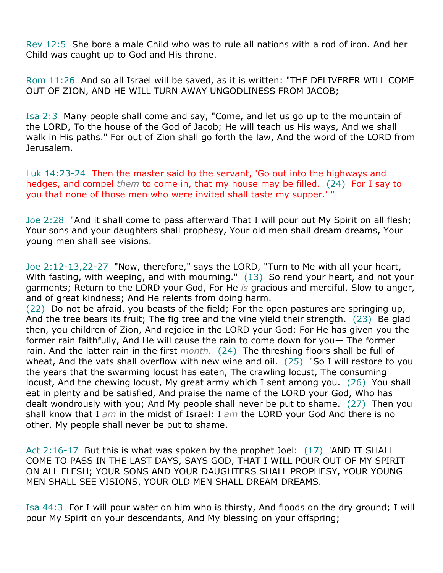Rev 12:5 She bore a male Child who was to rule all nations with a rod of iron. And her Child was caught up to God and His throne.

Rom 11:26 And so all Israel will be saved, as it is written: "THE DELIVERER WILL COME OUT OF ZION, AND HE WILL TURN AWAY UNGODLINESS FROM JACOB;

Isa 2:3 Many people shall come and say, "Come, and let us go up to the mountain of the LORD, To the house of the God of Jacob; He will teach us His ways, And we shall walk in His paths." For out of Zion shall go forth the law, And the word of the LORD from Jerusalem.

Luk 14:23-24 Then the master said to the servant, 'Go out into the highways and hedges, and compel *them* to come in, that my house may be filled. (24) For I say to you that none of those men who were invited shall taste my supper.' "

Joe 2:28 "And it shall come to pass afterward That I will pour out My Spirit on all flesh; Your sons and your daughters shall prophesy, Your old men shall dream dreams, Your young men shall see visions.

Joe 2:12-13,22-27 "Now, therefore," says the LORD, "Turn to Me with all your heart, With fasting, with weeping, and with mourning." (13) So rend your heart, and not your garments; Return to the LORD your God, For He *is* gracious and merciful, Slow to anger, and of great kindness; And He relents from doing harm.

(22) Do not be afraid, you beasts of the field; For the open pastures are springing up, And the tree bears its fruit; The fig tree and the vine yield their strength. (23) Be glad then, you children of Zion, And rejoice in the LORD your God; For He has given you the former rain faithfully, And He will cause the rain to come down for you— The former rain, And the latter rain in the first *month.* (24) The threshing floors shall be full of wheat, And the vats shall overflow with new wine and oil. (25) "So I will restore to you the years that the swarming locust has eaten, The crawling locust, The consuming locust, And the chewing locust, My great army which I sent among you. (26) You shall eat in plenty and be satisfied, And praise the name of the LORD your God, Who has dealt wondrously with you; And My people shall never be put to shame. (27) Then you shall know that I *am* in the midst of Israel: I *am* the LORD your God And there is no other. My people shall never be put to shame.

Act 2:16-17 But this is what was spoken by the prophet Joel: (17) 'AND IT SHALL COME TO PASS IN THE LAST DAYS, SAYS GOD, THAT I WILL POUR OUT OF MY SPIRIT ON ALL FLESH; YOUR SONS AND YOUR DAUGHTERS SHALL PROPHESY, YOUR YOUNG MEN SHALL SEE VISIONS, YOUR OLD MEN SHALL DREAM DREAMS.

Isa 44:3 For I will pour water on him who is thirsty, And floods on the dry ground; I will pour My Spirit on your descendants, And My blessing on your offspring;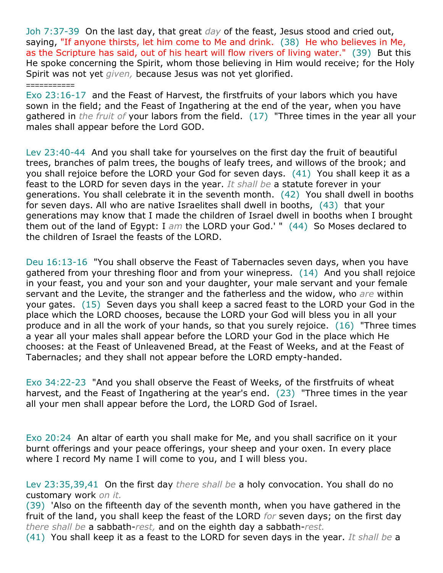Joh 7:37-39 On the last day, that great *day* of the feast, Jesus stood and cried out, saying, "If anyone thirsts, let him come to Me and drink. (38) He who believes in Me, as the Scripture has said, out of his heart will flow rivers of living water." (39) But this He spoke concerning the Spirit, whom those believing in Him would receive; for the Holy Spirit was not yet *given,* because Jesus was not yet glorified.

#### ===========

Exo 23:16-17 and the Feast of Harvest, the firstfruits of your labors which you have sown in the field; and the Feast of Ingathering at the end of the year, when you have gathered in *the fruit of* your labors from the field. (17) "Three times in the year all your males shall appear before the Lord GOD.

Lev 23:40-44 And you shall take for yourselves on the first day the fruit of beautiful trees, branches of palm trees, the boughs of leafy trees, and willows of the brook; and you shall rejoice before the LORD your God for seven days. (41) You shall keep it as a feast to the LORD for seven days in the year. *It shall be* a statute forever in your generations. You shall celebrate it in the seventh month. (42) You shall dwell in booths for seven days. All who are native Israelites shall dwell in booths, (43) that your generations may know that I made the children of Israel dwell in booths when I brought them out of the land of Egypt: I *am* the LORD your God.' " (44) So Moses declared to the children of Israel the feasts of the LORD.

Deu 16:13-16 "You shall observe the Feast of Tabernacles seven days, when you have gathered from your threshing floor and from your winepress. (14) And you shall rejoice in your feast, you and your son and your daughter, your male servant and your female servant and the Levite, the stranger and the fatherless and the widow, who *are* within your gates. (15) Seven days you shall keep a sacred feast to the LORD your God in the place which the LORD chooses, because the LORD your God will bless you in all your produce and in all the work of your hands, so that you surely rejoice. (16) "Three times a year all your males shall appear before the LORD your God in the place which He chooses: at the Feast of Unleavened Bread, at the Feast of Weeks, and at the Feast of Tabernacles; and they shall not appear before the LORD empty-handed.

Exo 34:22-23 "And you shall observe the Feast of Weeks, of the firstfruits of wheat harvest, and the Feast of Ingathering at the year's end. (23) "Three times in the year all your men shall appear before the Lord, the LORD God of Israel.

Exo 20:24 An altar of earth you shall make for Me, and you shall sacrifice on it your burnt offerings and your peace offerings, your sheep and your oxen. In every place where I record My name I will come to you, and I will bless you.

Lev 23:35,39,41 On the first day *there shall be* a holy convocation. You shall do no customary work *on it.*

(39) 'Also on the fifteenth day of the seventh month, when you have gathered in the fruit of the land, you shall keep the feast of the LORD *for* seven days; on the first day *there shall be* a sabbath-*rest,* and on the eighth day a sabbath-*rest.*

(41) You shall keep it as a feast to the LORD for seven days in the year. *It shall be* a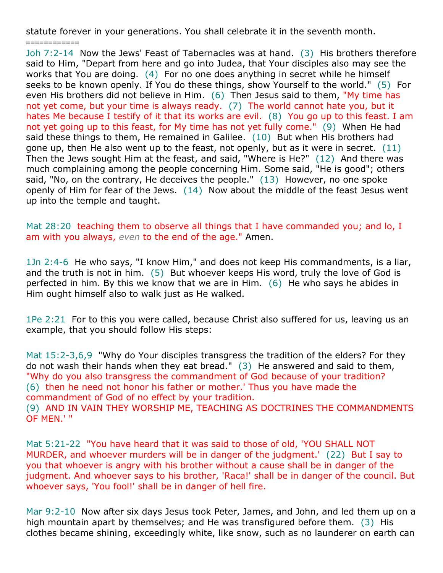statute forever in your generations. You shall celebrate it in the seventh month.

============

Joh 7:2-14 Now the Jews' Feast of Tabernacles was at hand. (3) His brothers therefore said to Him, "Depart from here and go into Judea, that Your disciples also may see the works that You are doing. (4) For no one does anything in secret while he himself seeks to be known openly. If You do these things, show Yourself to the world." (5) For even His brothers did not believe in Him. (6) Then Jesus said to them, "My time has not yet come, but your time is always ready. (7) The world cannot hate you, but it hates Me because I testify of it that its works are evil. (8) You go up to this feast. I am not yet going up to this feast, for My time has not yet fully come." (9) When He had said these things to them, He remained in Galilee. (10) But when His brothers had gone up, then He also went up to the feast, not openly, but as it were in secret.  $(11)$ Then the Jews sought Him at the feast, and said, "Where is He?" (12) And there was much complaining among the people concerning Him. Some said, "He is good"; others said, "No, on the contrary, He deceives the people." (13) However, no one spoke openly of Him for fear of the Jews. (14) Now about the middle of the feast Jesus went up into the temple and taught.

Mat 28:20 teaching them to observe all things that I have commanded you; and lo, I am with you always, *even* to the end of the age." Amen.

1Jn 2:4-6 He who says, "I know Him," and does not keep His commandments, is a liar, and the truth is not in him. (5) But whoever keeps His word, truly the love of God is perfected in him. By this we know that we are in Him. (6) He who says he abides in Him ought himself also to walk just as He walked.

1Pe 2:21 For to this you were called, because Christ also suffered for us, leaving us an example, that you should follow His steps:

Mat 15:2-3,6,9 "Why do Your disciples transgress the tradition of the elders? For they do not wash their hands when they eat bread." (3) He answered and said to them, "Why do you also transgress the commandment of God because of your tradition? (6) then he need not honor his father or mother.' Thus you have made the commandment of God of no effect by your tradition. (9) AND IN VAIN THEY WORSHIP ME, TEACHING AS DOCTRINES THE COMMANDMENTS OF MEN.' "

Mat 5:21-22 "You have heard that it was said to those of old, 'YOU SHALL NOT MURDER, and whoever murders will be in danger of the judgment.' (22) But I say to you that whoever is angry with his brother without a cause shall be in danger of the judgment. And whoever says to his brother, 'Raca!' shall be in danger of the council. But whoever says, 'You fool!' shall be in danger of hell fire.

Mar 9:2-10 Now after six days Jesus took Peter, James, and John, and led them up on a high mountain apart by themselves; and He was transfigured before them. (3) His clothes became shining, exceedingly white, like snow, such as no launderer on earth can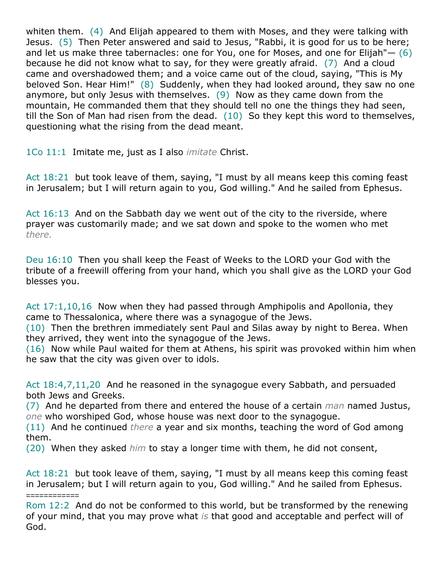whiten them. (4) And Elijah appeared to them with Moses, and they were talking with Jesus. (5) Then Peter answered and said to Jesus, "Rabbi, it is good for us to be here; and let us make three tabernacles: one for You, one for Moses, and one for Elijah"– (6) because he did not know what to say, for they were greatly afraid. (7) And a cloud came and overshadowed them; and a voice came out of the cloud, saying, "This is My beloved Son. Hear Him!" (8) Suddenly, when they had looked around, they saw no one anymore, but only Jesus with themselves. (9) Now as they came down from the mountain, He commanded them that they should tell no one the things they had seen, till the Son of Man had risen from the dead.  $(10)$  So they kept this word to themselves, questioning what the rising from the dead meant.

1Co 11:1 Imitate me, just as I also *imitate* Christ.

Act 18:21 but took leave of them, saying, "I must by all means keep this coming feast in Jerusalem; but I will return again to you, God willing." And he sailed from Ephesus.

Act 16:13 And on the Sabbath day we went out of the city to the riverside, where prayer was customarily made; and we sat down and spoke to the women who met *there.*

Deu 16:10 Then you shall keep the Feast of Weeks to the LORD your God with the tribute of a freewill offering from your hand, which you shall give as the LORD your God blesses you.

Act 17:1,10,16 Now when they had passed through Amphipolis and Apollonia, they came to Thessalonica, where there was a synagogue of the Jews.

(10) Then the brethren immediately sent Paul and Silas away by night to Berea. When they arrived, they went into the synagogue of the Jews.

(16) Now while Paul waited for them at Athens, his spirit was provoked within him when he saw that the city was given over to idols.

Act 18:4,7,11,20 And he reasoned in the synagogue every Sabbath, and persuaded both Jews and Greeks.

(7) And he departed from there and entered the house of a certain *man* named Justus, *one* who worshiped God, whose house was next door to the synagogue.

(11) And he continued *there* a year and six months, teaching the word of God among them.

(20) When they asked *him* to stay a longer time with them, he did not consent,

Act 18:21 but took leave of them, saying, "I must by all means keep this coming feast in Jerusalem; but I will return again to you, God willing." And he sailed from Ephesus. ============

Rom 12:2 And do not be conformed to this world, but be transformed by the renewing of your mind, that you may prove what *is* that good and acceptable and perfect will of God.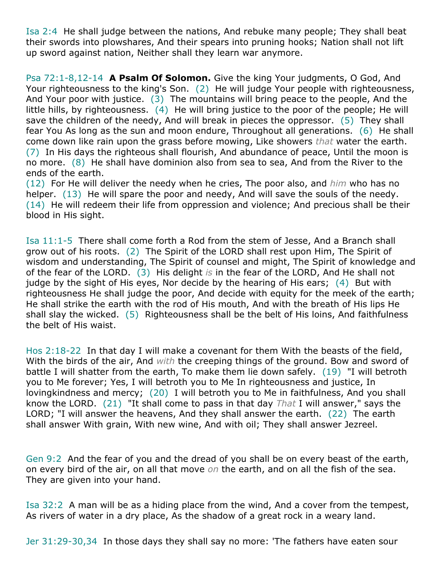Isa 2:4 He shall judge between the nations, And rebuke many people; They shall beat their swords into plowshares, And their spears into pruning hooks; Nation shall not lift up sword against nation, Neither shall they learn war anymore.

Psa 72:1-8,12-14 **A Psalm Of Solomon.** Give the king Your judgments, O God, And Your righteousness to the king's Son. (2) He will judge Your people with righteousness, And Your poor with justice. (3) The mountains will bring peace to the people, And the little hills, by righteousness. (4) He will bring justice to the poor of the people; He will save the children of the needy, And will break in pieces the oppressor. (5) They shall fear You As long as the sun and moon endure, Throughout all generations. (6) He shall come down like rain upon the grass before mowing, Like showers *that* water the earth. (7) In His days the righteous shall flourish, And abundance of peace, Until the moon is no more. (8) He shall have dominion also from sea to sea, And from the River to the ends of the earth.

(12) For He will deliver the needy when he cries, The poor also, and *him* who has no helper. (13) He will spare the poor and needy, And will save the souls of the needy. (14) He will redeem their life from oppression and violence; And precious shall be their blood in His sight.

Isa 11:1-5 There shall come forth a Rod from the stem of Jesse, And a Branch shall grow out of his roots. (2) The Spirit of the LORD shall rest upon Him, The Spirit of wisdom and understanding, The Spirit of counsel and might, The Spirit of knowledge and of the fear of the LORD. (3) His delight *is* in the fear of the LORD, And He shall not judge by the sight of His eyes, Nor decide by the hearing of His ears; (4) But with righteousness He shall judge the poor, And decide with equity for the meek of the earth; He shall strike the earth with the rod of His mouth, And with the breath of His lips He shall slay the wicked. (5) Righteousness shall be the belt of His loins, And faithfulness the belt of His waist.

Hos 2:18-22 In that day I will make a covenant for them With the beasts of the field, With the birds of the air, And *with* the creeping things of the ground. Bow and sword of battle I will shatter from the earth, To make them lie down safely. (19) "I will betroth you to Me forever; Yes, I will betroth you to Me In righteousness and justice, In lovingkindness and mercy; (20) I will betroth you to Me in faithfulness, And you shall know the LORD. (21) "It shall come to pass in that day *That* I will answer," says the LORD; "I will answer the heavens, And they shall answer the earth. (22) The earth shall answer With grain, With new wine, And with oil; They shall answer Jezreel.

Gen 9:2 And the fear of you and the dread of you shall be on every beast of the earth, on every bird of the air, on all that move *on* the earth, and on all the fish of the sea. They are given into your hand.

Isa 32:2 A man will be as a hiding place from the wind, And a cover from the tempest, As rivers of water in a dry place, As the shadow of a great rock in a weary land.

Jer 31:29-30,34 In those days they shall say no more: 'The fathers have eaten sour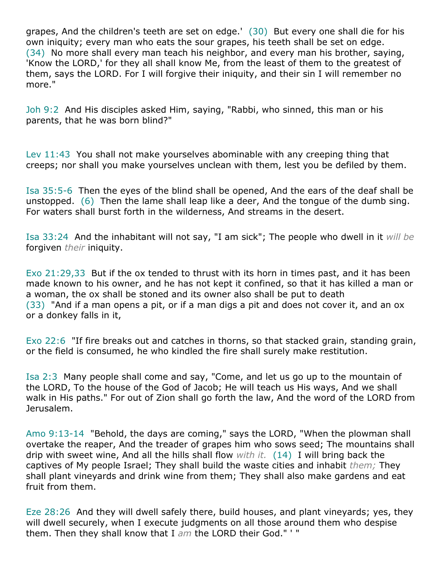grapes, And the children's teeth are set on edge.' (30) But every one shall die for his own iniquity; every man who eats the sour grapes, his teeth shall be set on edge. (34) No more shall every man teach his neighbor, and every man his brother, saying, 'Know the LORD,' for they all shall know Me, from the least of them to the greatest of them, says the LORD. For I will forgive their iniquity, and their sin I will remember no more."

Joh 9:2 And His disciples asked Him, saying, "Rabbi, who sinned, this man or his parents, that he was born blind?"

Lev 11:43 You shall not make yourselves abominable with any creeping thing that creeps; nor shall you make yourselves unclean with them, lest you be defiled by them.

Isa 35:5-6 Then the eyes of the blind shall be opened, And the ears of the deaf shall be unstopped. (6) Then the lame shall leap like a deer, And the tongue of the dumb sing. For waters shall burst forth in the wilderness, And streams in the desert.

Isa 33:24 And the inhabitant will not say, "I am sick"; The people who dwell in it *will be* forgiven *their* iniquity.

Exo 21:29,33 But if the ox tended to thrust with its horn in times past, and it has been made known to his owner, and he has not kept it confined, so that it has killed a man or a woman, the ox shall be stoned and its owner also shall be put to death (33) "And if a man opens a pit, or if a man digs a pit and does not cover it, and an ox or a donkey falls in it,

Exo 22:6 "If fire breaks out and catches in thorns, so that stacked grain, standing grain, or the field is consumed, he who kindled the fire shall surely make restitution.

Isa 2:3 Many people shall come and say, "Come, and let us go up to the mountain of the LORD, To the house of the God of Jacob; He will teach us His ways, And we shall walk in His paths." For out of Zion shall go forth the law, And the word of the LORD from Jerusalem.

Amo 9:13-14 "Behold, the days are coming," says the LORD, "When the plowman shall overtake the reaper, And the treader of grapes him who sows seed; The mountains shall drip with sweet wine, And all the hills shall flow *with it.* (14) I will bring back the captives of My people Israel; They shall build the waste cities and inhabit *them;* They shall plant vineyards and drink wine from them; They shall also make gardens and eat fruit from them.

Eze 28:26 And they will dwell safely there, build houses, and plant vineyards; yes, they will dwell securely, when I execute judgments on all those around them who despise them. Then they shall know that I *am* the LORD their God." ' "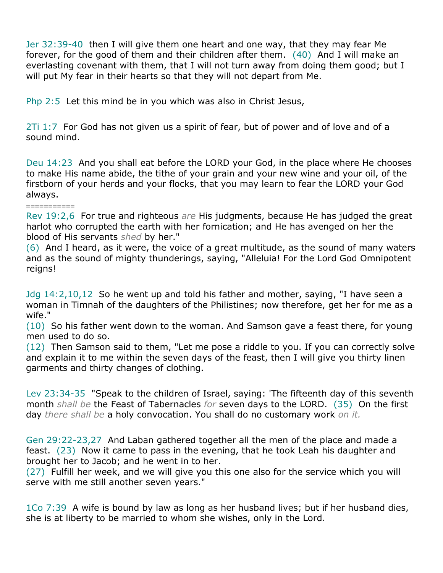Jer 32:39-40 then I will give them one heart and one way, that they may fear Me forever, for the good of them and their children after them. (40) And I will make an everlasting covenant with them, that I will not turn away from doing them good; but I will put My fear in their hearts so that they will not depart from Me.

Php 2:5 Let this mind be in you which was also in Christ Jesus,

2Ti 1:7 For God has not given us a spirit of fear, but of power and of love and of a sound mind.

Deu 14:23 And you shall eat before the LORD your God, in the place where He chooses to make His name abide, the tithe of your grain and your new wine and your oil, of the firstborn of your herds and your flocks, that you may learn to fear the LORD your God always.

===========

Rev 19:2,6 For true and righteous *are* His judgments, because He has judged the great harlot who corrupted the earth with her fornication; and He has avenged on her the blood of His servants *shed* by her."

(6) And I heard, as it were, the voice of a great multitude, as the sound of many waters and as the sound of mighty thunderings, saying, "Alleluia! For the Lord God Omnipotent reigns!

Jdg 14:2,10,12 So he went up and told his father and mother, saying, "I have seen a woman in Timnah of the daughters of the Philistines; now therefore, get her for me as a wife."

(10) So his father went down to the woman. And Samson gave a feast there, for young men used to do so.

(12) Then Samson said to them, "Let me pose a riddle to you. If you can correctly solve and explain it to me within the seven days of the feast, then I will give you thirty linen garments and thirty changes of clothing.

Lev 23:34-35 "Speak to the children of Israel, saying: 'The fifteenth day of this seventh month *shall be* the Feast of Tabernacles *for* seven days to the LORD. (35) On the first day *there shall be* a holy convocation. You shall do no customary work *on it.*

Gen 29:22-23,27 And Laban gathered together all the men of the place and made a feast. (23) Now it came to pass in the evening, that he took Leah his daughter and brought her to Jacob; and he went in to her.

(27) Fulfill her week, and we will give you this one also for the service which you will serve with me still another seven years."

1Co 7:39 A wife is bound by law as long as her husband lives; but if her husband dies, she is at liberty to be married to whom she wishes, only in the Lord.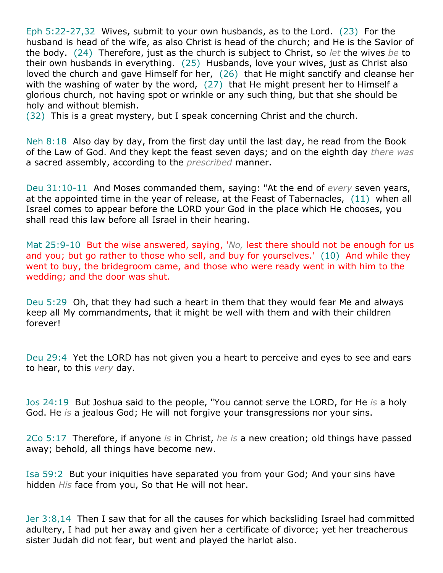Eph 5:22-27,32 Wives, submit to your own husbands, as to the Lord. (23) For the husband is head of the wife, as also Christ is head of the church; and He is the Savior of the body. (24) Therefore, just as the church is subject to Christ, so *let* the wives *be* to their own husbands in everything. (25) Husbands, love your wives, just as Christ also loved the church and gave Himself for her, (26) that He might sanctify and cleanse her with the washing of water by the word, (27) that He might present her to Himself a glorious church, not having spot or wrinkle or any such thing, but that she should be holy and without blemish.

(32) This is a great mystery, but I speak concerning Christ and the church.

Neh 8:18 Also day by day, from the first day until the last day, he read from the Book of the Law of God. And they kept the feast seven days; and on the eighth day *there was* a sacred assembly, according to the *prescribed* manner.

Deu 31:10-11 And Moses commanded them, saying: "At the end of *every* seven years, at the appointed time in the year of release, at the Feast of Tabernacles, (11) when all Israel comes to appear before the LORD your God in the place which He chooses, you shall read this law before all Israel in their hearing.

Mat 25:9-10 But the wise answered, saying, '*No,* lest there should not be enough for us and you; but go rather to those who sell, and buy for yourselves.' (10) And while they went to buy, the bridegroom came, and those who were ready went in with him to the wedding; and the door was shut.

Deu 5:29 Oh, that they had such a heart in them that they would fear Me and always keep all My commandments, that it might be well with them and with their children forever!

Deu 29:4 Yet the LORD has not given you a heart to perceive and eyes to see and ears to hear, to this *very* day.

Jos 24:19 But Joshua said to the people, "You cannot serve the LORD, for He *is* a holy God. He *is* a jealous God; He will not forgive your transgressions nor your sins.

2Co 5:17 Therefore, if anyone *is* in Christ, *he is* a new creation; old things have passed away; behold, all things have become new.

Isa 59:2 But your iniquities have separated you from your God; And your sins have hidden *His* face from you, So that He will not hear.

Jer 3:8,14 Then I saw that for all the causes for which backsliding Israel had committed adultery, I had put her away and given her a certificate of divorce; yet her treacherous sister Judah did not fear, but went and played the harlot also.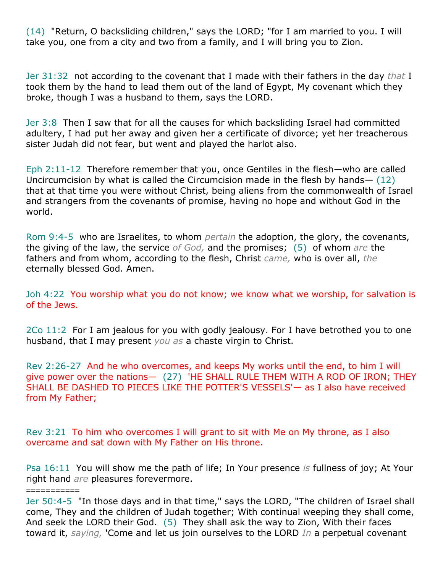(14) "Return, O backsliding children," says the LORD; "for I am married to you. I will take you, one from a city and two from a family, and I will bring you to Zion.

Jer 31:32 not according to the covenant that I made with their fathers in the day *that* I took them by the hand to lead them out of the land of Egypt, My covenant which they broke, though I was a husband to them, says the LORD.

Jer 3:8 Then I saw that for all the causes for which backsliding Israel had committed adultery, I had put her away and given her a certificate of divorce; yet her treacherous sister Judah did not fear, but went and played the harlot also.

Eph 2:11-12 Therefore remember that you, once Gentiles in the flesh—who are called Uncircumcision by what is called the Circumcision made in the flesh by hands— (12) that at that time you were without Christ, being aliens from the commonwealth of Israel and strangers from the covenants of promise, having no hope and without God in the world.

Rom 9:4-5 who are Israelites, to whom *pertain* the adoption, the glory, the covenants, the giving of the law, the service *of God,* and the promises; (5) of whom *are* the fathers and from whom, according to the flesh, Christ *came,* who is over all, *the* eternally blessed God. Amen.

Joh 4:22 You worship what you do not know; we know what we worship, for salvation is of the Jews.

2Co 11:2 For I am jealous for you with godly jealousy. For I have betrothed you to one husband, that I may present *you as* a chaste virgin to Christ.

Rev 2:26-27 And he who overcomes, and keeps My works until the end, to him I will give power over the nations— (27) 'HE SHALL RULE THEM WITH A ROD OF IRON; THEY SHALL BE DASHED TO PIECES LIKE THE POTTER'S VESSELS'— as I also have received from My Father;

Rev 3:21 To him who overcomes I will grant to sit with Me on My throne, as I also overcame and sat down with My Father on His throne.

===========

Psa 16:11 You will show me the path of life; In Your presence *is* fullness of joy; At Your right hand *are* pleasures forevermore.

Jer 50:4-5 "In those days and in that time," says the LORD, "The children of Israel shall come, They and the children of Judah together; With continual weeping they shall come, And seek the LORD their God. (5) They shall ask the way to Zion, With their faces toward it, *saying,* 'Come and let us join ourselves to the LORD *In* a perpetual covenant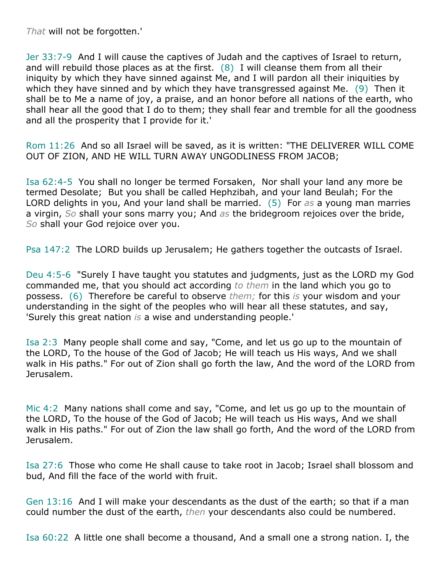*That* will not be forgotten.'

Jer 33:7-9 And I will cause the captives of Judah and the captives of Israel to return, and will rebuild those places as at the first.  $(8)$  I will cleanse them from all their iniquity by which they have sinned against Me, and I will pardon all their iniquities by which they have sinned and by which they have transgressed against Me. (9) Then it shall be to Me a name of joy, a praise, and an honor before all nations of the earth, who shall hear all the good that I do to them; they shall fear and tremble for all the goodness and all the prosperity that I provide for it.'

Rom 11:26 And so all Israel will be saved, as it is written: "THE DELIVERER WILL COME OUT OF ZION, AND HE WILL TURN AWAY UNGODLINESS FROM JACOB;

Isa 62:4-5 You shall no longer be termed Forsaken, Nor shall your land any more be termed Desolate; But you shall be called Hephzibah, and your land Beulah; For the LORD delights in you, And your land shall be married. (5) For *as* a young man marries a virgin, *So* shall your sons marry you; And *as* the bridegroom rejoices over the bride, *So* shall your God rejoice over you.

Psa 147:2 The LORD builds up Jerusalem; He gathers together the outcasts of Israel.

Deu 4:5-6 "Surely I have taught you statutes and judgments, just as the LORD my God commanded me, that you should act according *to them* in the land which you go to possess. (6) Therefore be careful to observe *them;* for this *is* your wisdom and your understanding in the sight of the peoples who will hear all these statutes, and say, 'Surely this great nation *is* a wise and understanding people.'

Isa 2:3 Many people shall come and say, "Come, and let us go up to the mountain of the LORD, To the house of the God of Jacob; He will teach us His ways, And we shall walk in His paths." For out of Zion shall go forth the law, And the word of the LORD from Jerusalem.

Mic 4:2 Many nations shall come and say, "Come, and let us go up to the mountain of the LORD, To the house of the God of Jacob; He will teach us His ways, And we shall walk in His paths." For out of Zion the law shall go forth, And the word of the LORD from Jerusalem.

Isa 27:6 Those who come He shall cause to take root in Jacob; Israel shall blossom and bud, And fill the face of the world with fruit.

Gen 13:16 And I will make your descendants as the dust of the earth; so that if a man could number the dust of the earth, *then* your descendants also could be numbered.

Isa 60:22 A little one shall become a thousand, And a small one a strong nation. I, the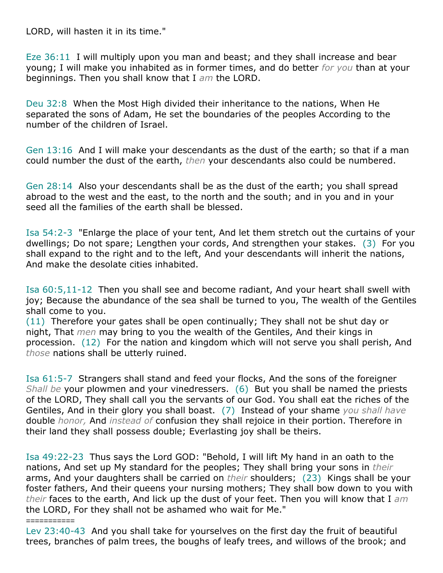LORD, will hasten it in its time."

Eze 36:11 I will multiply upon you man and beast; and they shall increase and bear young; I will make you inhabited as in former times, and do better *for you* than at your beginnings. Then you shall know that I *am* the LORD.

Deu 32:8 When the Most High divided their inheritance to the nations, When He separated the sons of Adam, He set the boundaries of the peoples According to the number of the children of Israel.

Gen 13:16 And I will make your descendants as the dust of the earth; so that if a man could number the dust of the earth, *then* your descendants also could be numbered.

Gen 28:14 Also your descendants shall be as the dust of the earth; you shall spread abroad to the west and the east, to the north and the south; and in you and in your seed all the families of the earth shall be blessed.

Isa 54:2-3 "Enlarge the place of your tent, And let them stretch out the curtains of your dwellings; Do not spare; Lengthen your cords, And strengthen your stakes. (3) For you shall expand to the right and to the left, And your descendants will inherit the nations, And make the desolate cities inhabited.

Isa 60:5,11-12 Then you shall see and become radiant, And your heart shall swell with joy; Because the abundance of the sea shall be turned to you, The wealth of the Gentiles shall come to you.

(11) Therefore your gates shall be open continually; They shall not be shut day or night, That *men* may bring to you the wealth of the Gentiles, And their kings in procession. (12) For the nation and kingdom which will not serve you shall perish, And *those* nations shall be utterly ruined.

Isa 61:5-7 Strangers shall stand and feed your flocks, And the sons of the foreigner *Shall be* your plowmen and your vinedressers. (6) But you shall be named the priests of the LORD, They shall call you the servants of our God. You shall eat the riches of the Gentiles, And in their glory you shall boast. (7) Instead of your shame *you shall have* double *honor,* And *instead of* confusion they shall rejoice in their portion. Therefore in their land they shall possess double; Everlasting joy shall be theirs.

Isa 49:22-23 Thus says the Lord GOD: "Behold, I will lift My hand in an oath to the nations, And set up My standard for the peoples; They shall bring your sons in *their* arms, And your daughters shall be carried on *their* shoulders; (23) Kings shall be your foster fathers, And their queens your nursing mothers; They shall bow down to you with *their* faces to the earth, And lick up the dust of your feet. Then you will know that I *am* the LORD, For they shall not be ashamed who wait for Me."

## ===========

Lev 23:40-43 And you shall take for yourselves on the first day the fruit of beautiful trees, branches of palm trees, the boughs of leafy trees, and willows of the brook; and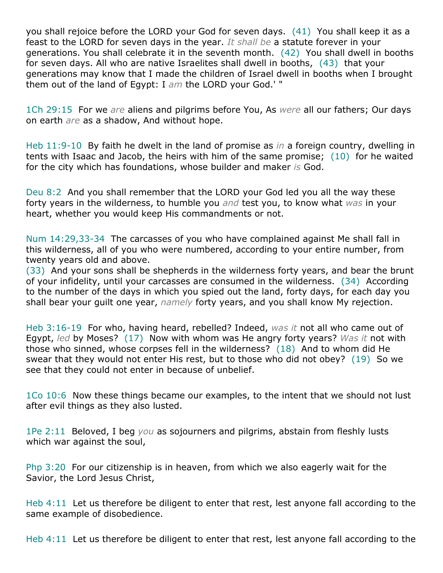you shall rejoice before the LORD your God for seven days. (41) You shall keep it as a feast to the LORD for seven days in the year. *It shall be* a statute forever in your generations. You shall celebrate it in the seventh month. (42) You shall dwell in booths for seven days. All who are native Israelites shall dwell in booths, (43) that your generations may know that I made the children of Israel dwell in booths when I brought them out of the land of Egypt: I *am* the LORD your God.' "

1Ch 29:15 For we *are* aliens and pilgrims before You, As *were* all our fathers; Our days on earth *are* as a shadow, And without hope.

Heb 11:9-10 By faith he dwelt in the land of promise as *in* a foreign country, dwelling in tents with Isaac and Jacob, the heirs with him of the same promise; (10) for he waited for the city which has foundations, whose builder and maker *is* God.

Deu 8:2 And you shall remember that the LORD your God led you all the way these forty years in the wilderness, to humble you *and* test you, to know what *was* in your heart, whether you would keep His commandments or not.

Num 14:29,33-34 The carcasses of you who have complained against Me shall fall in this wilderness, all of you who were numbered, according to your entire number, from twenty years old and above.

(33) And your sons shall be shepherds in the wilderness forty years, and bear the brunt of your infidelity, until your carcasses are consumed in the wilderness. (34) According to the number of the days in which you spied out the land, forty days, for each day you shall bear your guilt one year, *namely* forty years, and you shall know My rejection.

Heb 3:16-19 For who, having heard, rebelled? Indeed, *was it* not all who came out of Egypt, *led* by Moses? (17) Now with whom was He angry forty years? *Was it* not with those who sinned, whose corpses fell in the wilderness? (18) And to whom did He swear that they would not enter His rest, but to those who did not obey? (19) So we see that they could not enter in because of unbelief.

1Co 10:6 Now these things became our examples, to the intent that we should not lust after evil things as they also lusted.

1Pe 2:11 Beloved, I beg *you* as sojourners and pilgrims, abstain from fleshly lusts which war against the soul,

Php 3:20 For our citizenship is in heaven, from which we also eagerly wait for the Savior, the Lord Jesus Christ,

Heb 4:11 Let us therefore be diligent to enter that rest, lest anyone fall according to the same example of disobedience.

Heb 4:11 Let us therefore be diligent to enter that rest, lest anyone fall according to the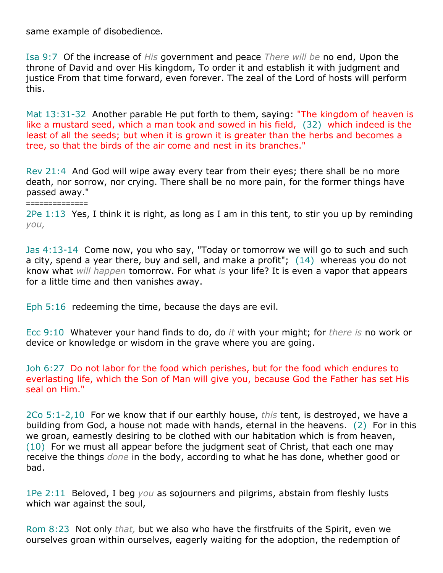same example of disobedience.

==============

Isa 9:7 Of the increase of *His* government and peace *There will be* no end, Upon the throne of David and over His kingdom, To order it and establish it with judgment and justice From that time forward, even forever. The zeal of the Lord of hosts will perform this.

Mat 13:31-32 Another parable He put forth to them, saying: "The kingdom of heaven is like a mustard seed, which a man took and sowed in his field, (32) which indeed is the least of all the seeds; but when it is grown it is greater than the herbs and becomes a tree, so that the birds of the air come and nest in its branches."

Rev 21:4 And God will wipe away every tear from their eyes; there shall be no more death, nor sorrow, nor crying. There shall be no more pain, for the former things have passed away."

2Pe 1:13 Yes, I think it is right, as long as I am in this tent, to stir you up by reminding *you,*

Jas 4:13-14 Come now, you who say, "Today or tomorrow we will go to such and such a city, spend a year there, buy and sell, and make a profit"; (14) whereas you do not know what *will happen* tomorrow. For what *is* your life? It is even a vapor that appears for a little time and then vanishes away.

Eph 5:16 redeeming the time, because the days are evil.

Ecc 9:10 Whatever your hand finds to do, do *it* with your might; for *there is* no work or device or knowledge or wisdom in the grave where you are going.

Joh 6:27 Do not labor for the food which perishes, but for the food which endures to everlasting life, which the Son of Man will give you, because God the Father has set His seal on Him."

2Co 5:1-2,10 For we know that if our earthly house, *this* tent, is destroyed, we have a building from God, a house not made with hands, eternal in the heavens. (2) For in this we groan, earnestly desiring to be clothed with our habitation which is from heaven, (10) For we must all appear before the judgment seat of Christ, that each one may receive the things *done* in the body, according to what he has done, whether good or bad.

1Pe 2:11 Beloved, I beg *you* as sojourners and pilgrims, abstain from fleshly lusts which war against the soul,

Rom 8:23 Not only *that,* but we also who have the firstfruits of the Spirit, even we ourselves groan within ourselves, eagerly waiting for the adoption, the redemption of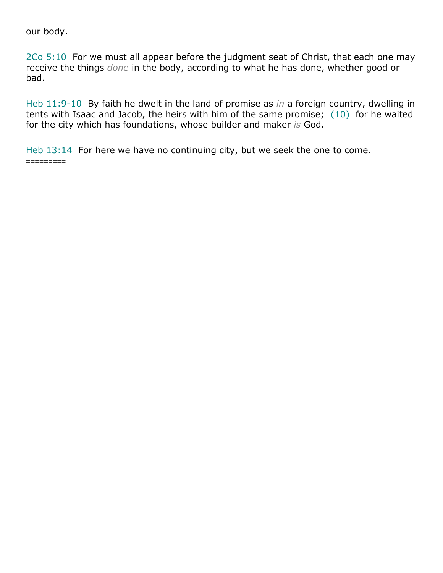our body.

2Co 5:10 For we must all appear before the judgment seat of Christ, that each one may receive the things *done* in the body, according to what he has done, whether good or bad.

Heb 11:9-10 By faith he dwelt in the land of promise as *in* a foreign country, dwelling in tents with Isaac and Jacob, the heirs with him of the same promise; (10) for he waited for the city which has foundations, whose builder and maker *is* God.

Heb 13:14 For here we have no continuing city, but we seek the one to come. =========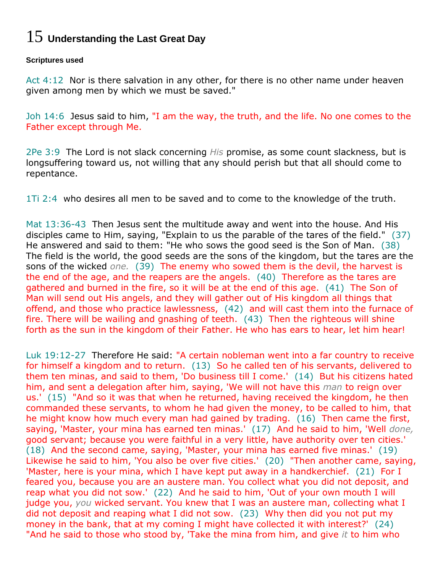# 15 **Understanding the Last Great Day**

## **Scriptures used**

Act 4:12 Nor is there salvation in any other, for there is no other name under heaven given among men by which we must be saved."

Joh 14:6 Jesus said to him, "I am the way, the truth, and the life. No one comes to the Father except through Me.

2Pe 3:9 The Lord is not slack concerning *His* promise, as some count slackness, but is longsuffering toward us, not willing that any should perish but that all should come to repentance.

1Ti 2:4 who desires all men to be saved and to come to the knowledge of the truth.

Mat 13:36-43 Then Jesus sent the multitude away and went into the house. And His disciples came to Him, saying, "Explain to us the parable of the tares of the field." (37) He answered and said to them: "He who sows the good seed is the Son of Man. (38) The field is the world, the good seeds are the sons of the kingdom, but the tares are the sons of the wicked *one.* (39) The enemy who sowed them is the devil, the harvest is the end of the age, and the reapers are the angels. (40) Therefore as the tares are gathered and burned in the fire, so it will be at the end of this age. (41) The Son of Man will send out His angels, and they will gather out of His kingdom all things that offend, and those who practice lawlessness, (42) and will cast them into the furnace of fire. There will be wailing and gnashing of teeth. (43) Then the righteous will shine forth as the sun in the kingdom of their Father. He who has ears to hear, let him hear!

Luk 19:12-27 Therefore He said: "A certain nobleman went into a far country to receive for himself a kingdom and to return. (13) So he called ten of his servants, delivered to them ten minas, and said to them, 'Do business till I come.' (14) But his citizens hated him, and sent a delegation after him, saying, 'We will not have this *man* to reign over us.' (15) "And so it was that when he returned, having received the kingdom, he then commanded these servants, to whom he had given the money, to be called to him, that he might know how much every man had gained by trading. (16) Then came the first, saying, 'Master, your mina has earned ten minas.' (17) And he said to him, 'Well *done,* good servant; because you were faithful in a very little, have authority over ten cities.' (18) And the second came, saying, 'Master, your mina has earned five minas.' (19) Likewise he said to him, 'You also be over five cities.' (20) "Then another came, saying, 'Master, here is your mina, which I have kept put away in a handkerchief. (21) For I feared you, because you are an austere man. You collect what you did not deposit, and reap what you did not sow.' (22) And he said to him, 'Out of your own mouth I will judge you, *you* wicked servant. You knew that I was an austere man, collecting what I did not deposit and reaping what I did not sow. (23) Why then did you not put my money in the bank, that at my coming I might have collected it with interest?' (24) "And he said to those who stood by, 'Take the mina from him, and give *it* to him who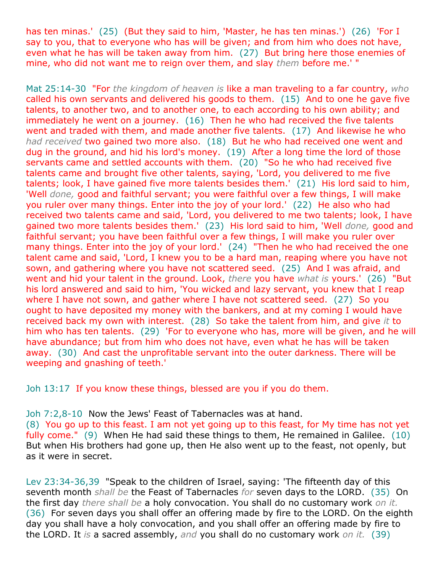has ten minas.' (25) (But they said to him, 'Master, he has ten minas.') (26) 'For I say to you, that to everyone who has will be given; and from him who does not have, even what he has will be taken away from him. (27) But bring here those enemies of mine, who did not want me to reign over them, and slay *them* before me.' "

Mat 25:14-30 "For *the kingdom of heaven is* like a man traveling to a far country, *who* called his own servants and delivered his goods to them. (15) And to one he gave five talents, to another two, and to another one, to each according to his own ability; and immediately he went on a journey. (16) Then he who had received the five talents went and traded with them, and made another five talents. (17) And likewise he who *had received* two gained two more also. (18) But he who had received one went and dug in the ground, and hid his lord's money. (19) After a long time the lord of those servants came and settled accounts with them. (20) "So he who had received five talents came and brought five other talents, saying, 'Lord, you delivered to me five talents; look, I have gained five more talents besides them.' (21) His lord said to him, 'Well *done,* good and faithful servant; you were faithful over a few things, I will make you ruler over many things. Enter into the joy of your lord.' (22) He also who had received two talents came and said, 'Lord, you delivered to me two talents; look, I have gained two more talents besides them.' (23) His lord said to him, 'Well *done,* good and faithful servant; you have been faithful over a few things, I will make you ruler over many things. Enter into the joy of your lord.' (24) "Then he who had received the one talent came and said, 'Lord, I knew you to be a hard man, reaping where you have not sown, and gathering where you have not scattered seed. (25) And I was afraid, and went and hid your talent in the ground. Look, *there* you have *what is* yours.' (26) "But his lord answered and said to him, 'You wicked and lazy servant, you knew that I reap where I have not sown, and gather where I have not scattered seed. (27) So you ought to have deposited my money with the bankers, and at my coming I would have received back my own with interest. (28) So take the talent from him, and give *it* to him who has ten talents. (29) 'For to everyone who has, more will be given, and he will have abundance; but from him who does not have, even what he has will be taken away. (30) And cast the unprofitable servant into the outer darkness. There will be weeping and gnashing of teeth.'

Joh 13:17 If you know these things, blessed are you if you do them.

Joh 7:2,8-10 Now the Jews' Feast of Tabernacles was at hand.

(8) You go up to this feast. I am not yet going up to this feast, for My time has not yet fully come." (9) When He had said these things to them, He remained in Galilee. (10) But when His brothers had gone up, then He also went up to the feast, not openly, but as it were in secret.

Lev 23:34-36,39 "Speak to the children of Israel, saying: 'The fifteenth day of this seventh month *shall be* the Feast of Tabernacles *for* seven days to the LORD. (35) On the first day *there shall be* a holy convocation. You shall do no customary work *on it.* (36) For seven days you shall offer an offering made by fire to the LORD. On the eighth day you shall have a holy convocation, and you shall offer an offering made by fire to the LORD. It *is* a sacred assembly, *and* you shall do no customary work *on it.* (39)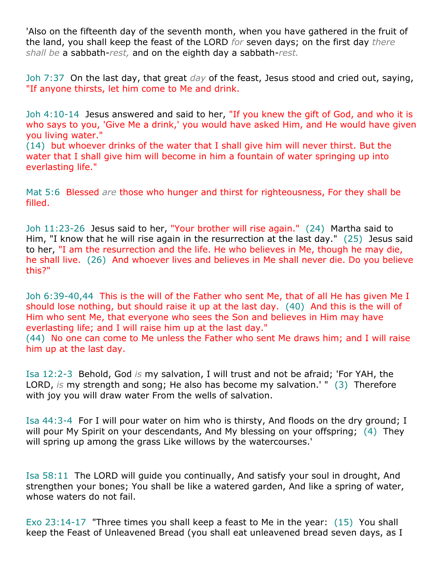'Also on the fifteenth day of the seventh month, when you have gathered in the fruit of the land, you shall keep the feast of the LORD *for* seven days; on the first day *there shall be* a sabbath-*rest,* and on the eighth day a sabbath-*rest.*

Joh 7:37 On the last day, that great *day* of the feast, Jesus stood and cried out, saying, "If anyone thirsts, let him come to Me and drink.

Joh 4:10-14 Jesus answered and said to her, "If you knew the gift of God, and who it is who says to you, 'Give Me a drink,' you would have asked Him, and He would have given you living water."

(14) but whoever drinks of the water that I shall give him will never thirst. But the water that I shall give him will become in him a fountain of water springing up into everlasting life."

Mat 5:6 Blessed *are* those who hunger and thirst for righteousness, For they shall be filled.

Joh 11:23-26 Jesus said to her, "Your brother will rise again." (24) Martha said to Him, "I know that he will rise again in the resurrection at the last day." (25) Jesus said to her, "I am the resurrection and the life. He who believes in Me, though he may die, he shall live. (26) And whoever lives and believes in Me shall never die. Do you believe this?"

Joh 6:39-40,44 This is the will of the Father who sent Me, that of all He has given Me I should lose nothing, but should raise it up at the last day. (40) And this is the will of Him who sent Me, that everyone who sees the Son and believes in Him may have everlasting life; and I will raise him up at the last day."

(44) No one can come to Me unless the Father who sent Me draws him; and I will raise him up at the last day.

Isa 12:2-3 Behold, God *is* my salvation, I will trust and not be afraid; 'For YAH, the LORD, *is* my strength and song; He also has become my salvation.' " (3) Therefore with joy you will draw water From the wells of salvation.

Isa 44:3-4 For I will pour water on him who is thirsty, And floods on the dry ground; I will pour My Spirit on your descendants, And My blessing on your offspring; (4) They will spring up among the grass Like willows by the watercourses.'

Isa 58:11 The LORD will guide you continually, And satisfy your soul in drought, And strengthen your bones; You shall be like a watered garden, And like a spring of water, whose waters do not fail.

Exo 23:14-17 "Three times you shall keep a feast to Me in the year: (15) You shall keep the Feast of Unleavened Bread (you shall eat unleavened bread seven days, as I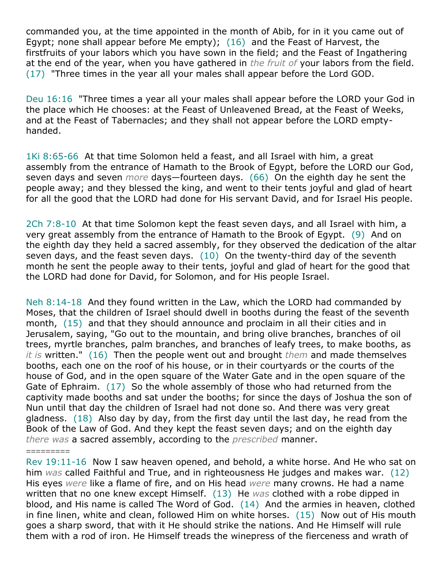commanded you, at the time appointed in the month of Abib, for in it you came out of Egypt; none shall appear before Me empty); (16) and the Feast of Harvest, the firstfruits of your labors which you have sown in the field; and the Feast of Ingathering at the end of the year, when you have gathered in *the fruit of* your labors from the field. (17) "Three times in the year all your males shall appear before the Lord GOD.

Deu 16:16 "Three times a year all your males shall appear before the LORD your God in the place which He chooses: at the Feast of Unleavened Bread, at the Feast of Weeks, and at the Feast of Tabernacles; and they shall not appear before the LORD emptyhanded.

1Ki 8:65-66 At that time Solomon held a feast, and all Israel with him, a great assembly from the entrance of Hamath to the Brook of Egypt, before the LORD our God, seven days and seven *more* days—fourteen days. (66) On the eighth day he sent the people away; and they blessed the king, and went to their tents joyful and glad of heart for all the good that the LORD had done for His servant David, and for Israel His people.

2Ch 7:8-10 At that time Solomon kept the feast seven days, and all Israel with him, a very great assembly from the entrance of Hamath to the Brook of Egypt. (9) And on the eighth day they held a sacred assembly, for they observed the dedication of the altar seven days, and the feast seven days.  $(10)$  On the twenty-third day of the seventh month he sent the people away to their tents, joyful and glad of heart for the good that the LORD had done for David, for Solomon, and for His people Israel.

Neh 8:14-18 And they found written in the Law, which the LORD had commanded by Moses, that the children of Israel should dwell in booths during the feast of the seventh month, (15) and that they should announce and proclaim in all their cities and in Jerusalem, saying, "Go out to the mountain, and bring olive branches, branches of oil trees, myrtle branches, palm branches, and branches of leafy trees, to make booths, as *it is* written." (16) Then the people went out and brought *them* and made themselves booths, each one on the roof of his house, or in their courtyards or the courts of the house of God, and in the open square of the Water Gate and in the open square of the Gate of Ephraim. (17) So the whole assembly of those who had returned from the captivity made booths and sat under the booths; for since the days of Joshua the son of Nun until that day the children of Israel had not done so. And there was very great gladness.  $(18)$  Also day by day, from the first day until the last day, he read from the Book of the Law of God. And they kept the feast seven days; and on the eighth day *there was* a sacred assembly, according to the *prescribed* manner.

Rev 19:11-16 Now I saw heaven opened, and behold, a white horse. And He who sat on him *was* called Faithful and True, and in righteousness He judges and makes war. (12) His eyes *were* like a flame of fire, and on His head *were* many crowns. He had a name written that no one knew except Himself. (13) He *was* clothed with a robe dipped in blood, and His name is called The Word of God. (14) And the armies in heaven, clothed in fine linen, white and clean, followed Him on white horses. (15) Now out of His mouth goes a sharp sword, that with it He should strike the nations. And He Himself will rule them with a rod of iron. He Himself treads the winepress of the fierceness and wrath of

=========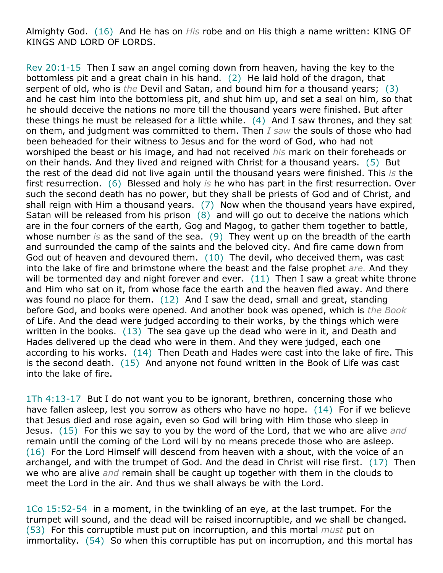Almighty God. (16) And He has on *His* robe and on His thigh a name written: KING OF KINGS AND LORD OF LORDS.

Rev 20:1-15 Then I saw an angel coming down from heaven, having the key to the bottomless pit and a great chain in his hand. (2) He laid hold of the dragon, that serpent of old, who is *the* Devil and Satan, and bound him for a thousand years; (3) and he cast him into the bottomless pit, and shut him up, and set a seal on him, so that he should deceive the nations no more till the thousand years were finished. But after these things he must be released for a little while. (4) And I saw thrones, and they sat on them, and judgment was committed to them. Then *I saw* the souls of those who had been beheaded for their witness to Jesus and for the word of God, who had not worshiped the beast or his image, and had not received *his* mark on their foreheads or on their hands. And they lived and reigned with Christ for a thousand years. (5) But the rest of the dead did not live again until the thousand years were finished. This *is* the first resurrection. (6) Blessed and holy *is* he who has part in the first resurrection. Over such the second death has no power, but they shall be priests of God and of Christ, and shall reign with Him a thousand years. (7) Now when the thousand years have expired, Satan will be released from his prison  $(8)$  and will go out to deceive the nations which are in the four corners of the earth, Gog and Magog, to gather them together to battle, whose number *is* as the sand of the sea. (9) They went up on the breadth of the earth and surrounded the camp of the saints and the beloved city. And fire came down from God out of heaven and devoured them. (10) The devil, who deceived them, was cast into the lake of fire and brimstone where the beast and the false prophet *are.* And they will be tormented day and night forever and ever.  $(11)$  Then I saw a great white throne and Him who sat on it, from whose face the earth and the heaven fled away. And there was found no place for them. (12) And I saw the dead, small and great, standing before God, and books were opened. And another book was opened, which is *the Book* of Life. And the dead were judged according to their works, by the things which were written in the books. (13) The sea gave up the dead who were in it, and Death and Hades delivered up the dead who were in them. And they were judged, each one according to his works. (14) Then Death and Hades were cast into the lake of fire. This is the second death. (15) And anyone not found written in the Book of Life was cast into the lake of fire.

1Th 4:13-17 But I do not want you to be ignorant, brethren, concerning those who have fallen asleep, lest you sorrow as others who have no hope. (14) For if we believe that Jesus died and rose again, even so God will bring with Him those who sleep in Jesus. (15) For this we say to you by the word of the Lord, that we who are alive *and* remain until the coming of the Lord will by no means precede those who are asleep. (16) For the Lord Himself will descend from heaven with a shout, with the voice of an archangel, and with the trumpet of God. And the dead in Christ will rise first. (17) Then we who are alive *and* remain shall be caught up together with them in the clouds to meet the Lord in the air. And thus we shall always be with the Lord.

1Co 15:52-54 in a moment, in the twinkling of an eye, at the last trumpet. For the trumpet will sound, and the dead will be raised incorruptible, and we shall be changed. (53) For this corruptible must put on incorruption, and this mortal *must* put on immortality. (54) So when this corruptible has put on incorruption, and this mortal has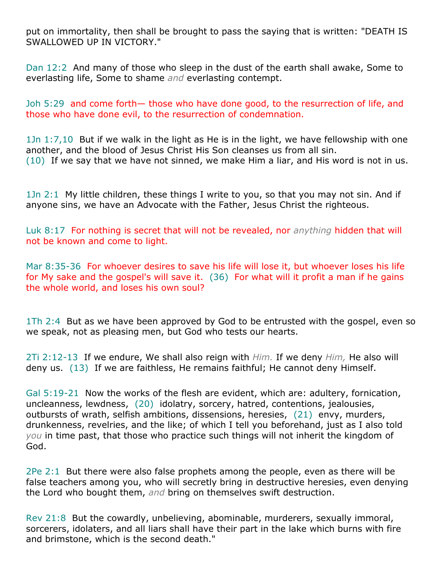put on immortality, then shall be brought to pass the saying that is written: "DEATH IS SWALLOWED UP IN VICTORY."

Dan 12:2 And many of those who sleep in the dust of the earth shall awake, Some to everlasting life, Some to shame *and* everlasting contempt.

Joh 5:29 and come forth— those who have done good, to the resurrection of life, and those who have done evil, to the resurrection of condemnation.

1Jn 1:7,10 But if we walk in the light as He is in the light, we have fellowship with one another, and the blood of Jesus Christ His Son cleanses us from all sin. (10) If we say that we have not sinned, we make Him a liar, and His word is not in us.

1Jn 2:1 My little children, these things I write to you, so that you may not sin. And if anyone sins, we have an Advocate with the Father, Jesus Christ the righteous.

Luk 8:17 For nothing is secret that will not be revealed, nor *anything* hidden that will not be known and come to light.

Mar 8:35-36 For whoever desires to save his life will lose it, but whoever loses his life for My sake and the gospel's will save it. (36) For what will it profit a man if he gains the whole world, and loses his own soul?

1Th 2:4 But as we have been approved by God to be entrusted with the gospel, even so we speak, not as pleasing men, but God who tests our hearts.

2Ti 2:12-13 If we endure, We shall also reign with *Him.* If we deny *Him,* He also will deny us. (13) If we are faithless, He remains faithful; He cannot deny Himself.

Gal 5:19-21 Now the works of the flesh are evident, which are: adultery, fornication, uncleanness, lewdness, (20) idolatry, sorcery, hatred, contentions, jealousies, outbursts of wrath, selfish ambitions, dissensions, heresies, (21) envy, murders, drunkenness, revelries, and the like; of which I tell you beforehand, just as I also told *you* in time past, that those who practice such things will not inherit the kingdom of God.

2Pe 2:1 But there were also false prophets among the people, even as there will be false teachers among you, who will secretly bring in destructive heresies, even denying the Lord who bought them, *and* bring on themselves swift destruction.

Rev 21:8 But the cowardly, unbelieving, abominable, murderers, sexually immoral, sorcerers, idolaters, and all liars shall have their part in the lake which burns with fire and brimstone, which is the second death."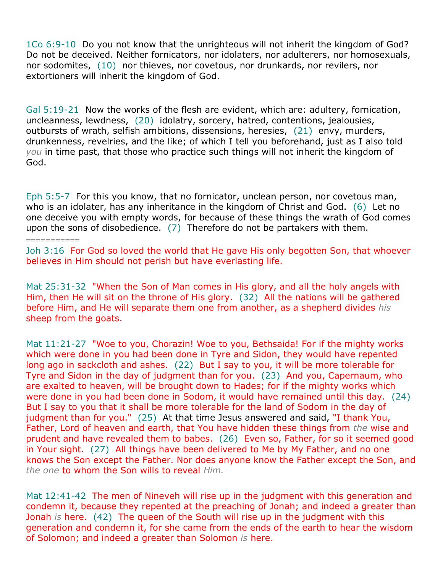1Co 6:9-10 Do you not know that the unrighteous will not inherit the kingdom of God? Do not be deceived. Neither fornicators, nor idolaters, nor adulterers, nor homosexuals, nor sodomites, (10) nor thieves, nor covetous, nor drunkards, nor revilers, nor extortioners will inherit the kingdom of God.

Gal 5:19-21 Now the works of the flesh are evident, which are: adultery, fornication, uncleanness, lewdness, (20) idolatry, sorcery, hatred, contentions, jealousies, outbursts of wrath, selfish ambitions, dissensions, heresies, (21) envy, murders, drunkenness, revelries, and the like; of which I tell you beforehand, just as I also told *you* in time past, that those who practice such things will not inherit the kingdom of God.

Eph 5:5-7 For this you know, that no fornicator, unclean person, nor covetous man, who is an idolater, has any inheritance in the kingdom of Christ and God. (6) Let no one deceive you with empty words, for because of these things the wrath of God comes upon the sons of disobedience. (7) Therefore do not be partakers with them.

===========

Joh 3:16 For God so loved the world that He gave His only begotten Son, that whoever believes in Him should not perish but have everlasting life.

Mat 25:31-32 "When the Son of Man comes in His glory, and all the holy angels with Him, then He will sit on the throne of His glory. (32) All the nations will be gathered before Him, and He will separate them one from another, as a shepherd divides *his* sheep from the goats.

Mat 11:21-27 "Woe to you, Chorazin! Woe to you, Bethsaida! For if the mighty works which were done in you had been done in Tyre and Sidon, they would have repented long ago in sackcloth and ashes. (22) But I say to you, it will be more tolerable for Tyre and Sidon in the day of judgment than for you. (23) And you, Capernaum, who are exalted to heaven, will be brought down to Hades; for if the mighty works which were done in you had been done in Sodom, it would have remained until this day. (24) But I say to you that it shall be more tolerable for the land of Sodom in the day of judgment than for you." (25) At that time Jesus answered and said, "I thank You, Father, Lord of heaven and earth, that You have hidden these things from *the* wise and prudent and have revealed them to babes. (26) Even so, Father, for so it seemed good in Your sight. (27) All things have been delivered to Me by My Father, and no one knows the Son except the Father. Nor does anyone know the Father except the Son, and *the one* to whom the Son wills to reveal *Him.*

Mat 12:41-42 The men of Nineveh will rise up in the judgment with this generation and condemn it, because they repented at the preaching of Jonah; and indeed a greater than Jonah *is* here. (42) The queen of the South will rise up in the judgment with this generation and condemn it, for she came from the ends of the earth to hear the wisdom of Solomon; and indeed a greater than Solomon *is* here.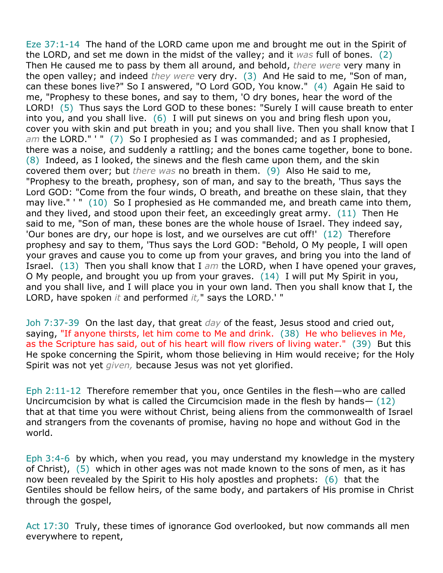Eze 37:1-14 The hand of the LORD came upon me and brought me out in the Spirit of the LORD, and set me down in the midst of the valley; and it *was* full of bones. (2) Then He caused me to pass by them all around, and behold, *there were* very many in the open valley; and indeed *they were* very dry. (3) And He said to me, "Son of man, can these bones live?" So I answered, "O Lord GOD, You know." (4) Again He said to me, "Prophesy to these bones, and say to them, 'O dry bones, hear the word of the LORD! (5) Thus says the Lord GOD to these bones: "Surely I will cause breath to enter into you, and you shall live. (6) I will put sinews on you and bring flesh upon you, cover you with skin and put breath in you; and you shall live. Then you shall know that I *am* the LORD." ' " (7) So I prophesied as I was commanded; and as I prophesied, there was a noise, and suddenly a rattling; and the bones came together, bone to bone. (8) Indeed, as I looked, the sinews and the flesh came upon them, and the skin covered them over; but *there was* no breath in them. (9) Also He said to me, "Prophesy to the breath, prophesy, son of man, and say to the breath, 'Thus says the Lord GOD: "Come from the four winds, O breath, and breathe on these slain, that they may live." ' " (10) So I prophesied as He commanded me, and breath came into them, and they lived, and stood upon their feet, an exceedingly great army. (11) Then He said to me, "Son of man, these bones are the whole house of Israel. They indeed say, 'Our bones are dry, our hope is lost, and we ourselves are cut off!' (12) Therefore prophesy and say to them, 'Thus says the Lord GOD: "Behold, O My people, I will open your graves and cause you to come up from your graves, and bring you into the land of Israel. (13) Then you shall know that I *am* the LORD, when I have opened your graves, O My people, and brought you up from your graves. (14) I will put My Spirit in you, and you shall live, and I will place you in your own land. Then you shall know that I, the LORD, have spoken *it* and performed *it,*" says the LORD.' "

Joh 7:37-39 On the last day, that great *day* of the feast, Jesus stood and cried out, saying, "If anyone thirsts, let him come to Me and drink. (38) He who believes in Me, as the Scripture has said, out of his heart will flow rivers of living water." (39) But this He spoke concerning the Spirit, whom those believing in Him would receive; for the Holy Spirit was not yet *given,* because Jesus was not yet glorified.

Eph 2:11-12 Therefore remember that you, once Gentiles in the flesh—who are called Uncircumcision by what is called the Circumcision made in the flesh by hands— (12) that at that time you were without Christ, being aliens from the commonwealth of Israel and strangers from the covenants of promise, having no hope and without God in the world.

Eph 3:4-6 by which, when you read, you may understand my knowledge in the mystery of Christ), (5) which in other ages was not made known to the sons of men, as it has now been revealed by the Spirit to His holy apostles and prophets: (6) that the Gentiles should be fellow heirs, of the same body, and partakers of His promise in Christ through the gospel,

Act 17:30 Truly, these times of ignorance God overlooked, but now commands all men everywhere to repent,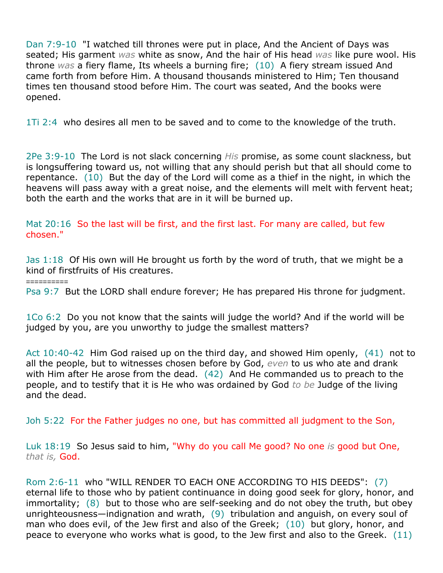Dan 7:9-10 "I watched till thrones were put in place, And the Ancient of Days was seated; His garment *was* white as snow, And the hair of His head *was* like pure wool. His throne *was* a fiery flame, Its wheels a burning fire; (10) A fiery stream issued And came forth from before Him. A thousand thousands ministered to Him; Ten thousand times ten thousand stood before Him. The court was seated, And the books were opened.

1Ti 2:4 who desires all men to be saved and to come to the knowledge of the truth.

2Pe 3:9-10 The Lord is not slack concerning *His* promise, as some count slackness, but is longsuffering toward us, not willing that any should perish but that all should come to repentance. (10) But the day of the Lord will come as a thief in the night, in which the heavens will pass away with a great noise, and the elements will melt with fervent heat; both the earth and the works that are in it will be burned up.

Mat 20:16 So the last will be first, and the first last. For many are called, but few chosen."

Jas 1:18 Of His own will He brought us forth by the word of truth, that we might be a kind of firstfruits of His creatures.

==========

Psa 9:7 But the LORD shall endure forever; He has prepared His throne for judgment.

1Co 6:2 Do you not know that the saints will judge the world? And if the world will be judged by you, are you unworthy to judge the smallest matters?

Act 10:40-42 Him God raised up on the third day, and showed Him openly, (41) not to all the people, but to witnesses chosen before by God, *even* to us who ate and drank with Him after He arose from the dead. (42) And He commanded us to preach to the people, and to testify that it is He who was ordained by God *to be* Judge of the living and the dead.

Joh 5:22 For the Father judges no one, but has committed all judgment to the Son,

Luk 18:19 So Jesus said to him, "Why do you call Me good? No one *is* good but One, *that is,* God.

Rom 2:6-11 who "WILL RENDER TO EACH ONE ACCORDING TO HIS DEEDS": (7) eternal life to those who by patient continuance in doing good seek for glory, honor, and immortality; (8) but to those who are self-seeking and do not obey the truth, but obey unrighteousness—indignation and wrath, (9) tribulation and anguish, on every soul of man who does evil, of the Jew first and also of the Greek; (10) but glory, honor, and peace to everyone who works what is good, to the Jew first and also to the Greek. (11)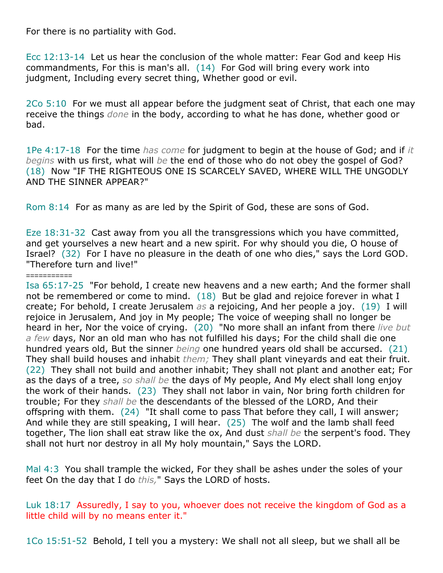For there is no partiality with God.

Ecc 12:13-14 Let us hear the conclusion of the whole matter: Fear God and keep His commandments, For this is man's all. (14) For God will bring every work into judgment, Including every secret thing, Whether good or evil.

2Co 5:10 For we must all appear before the judgment seat of Christ, that each one may receive the things *done* in the body, according to what he has done, whether good or bad.

1Pe 4:17-18 For the time *has come* for judgment to begin at the house of God; and if *it begins* with us first, what will *be* the end of those who do not obey the gospel of God? (18) Now "IF THE RIGHTEOUS ONE IS SCARCELY SAVED, WHERE WILL THE UNGODLY AND THE SINNER APPEAR?"

Rom 8:14 For as many as are led by the Spirit of God, these are sons of God.

Eze 18:31-32 Cast away from you all the transgressions which you have committed, and get yourselves a new heart and a new spirit. For why should you die, O house of Israel? (32) For I have no pleasure in the death of one who dies," says the Lord GOD. "Therefore turn and live!"

## ===========

Isa 65:17-25 "For behold, I create new heavens and a new earth; And the former shall not be remembered or come to mind.  $(18)$  But be glad and rejoice forever in what I create; For behold, I create Jerusalem *as* a rejoicing, And her people a joy. (19) I will rejoice in Jerusalem, And joy in My people; The voice of weeping shall no longer be heard in her, Nor the voice of crying. (20) "No more shall an infant from there *live but a few* days, Nor an old man who has not fulfilled his days; For the child shall die one hundred years old, But the sinner *being* one hundred years old shall be accursed. (21) They shall build houses and inhabit *them;* They shall plant vineyards and eat their fruit. (22) They shall not build and another inhabit; They shall not plant and another eat; For as the days of a tree, *so shall be* the days of My people, And My elect shall long enjoy the work of their hands. (23) They shall not labor in vain, Nor bring forth children for trouble; For they *shall be* the descendants of the blessed of the LORD, And their offspring with them. (24) "It shall come to pass That before they call, I will answer; And while they are still speaking, I will hear. (25) The wolf and the lamb shall feed together, The lion shall eat straw like the ox, And dust *shall be* the serpent's food. They shall not hurt nor destroy in all My holy mountain," Says the LORD.

Mal 4:3 You shall trample the wicked, For they shall be ashes under the soles of your feet On the day that I do *this,*" Says the LORD of hosts.

Luk 18:17 Assuredly, I say to you, whoever does not receive the kingdom of God as a little child will by no means enter it."

1Co 15:51-52 Behold, I tell you a mystery: We shall not all sleep, but we shall all be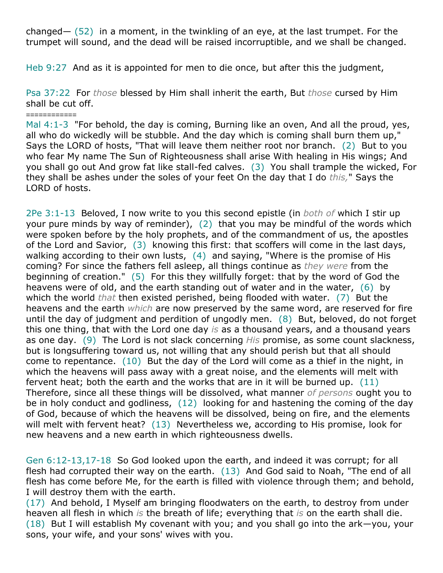changed—  $(52)$  in a moment, in the twinkling of an eye, at the last trumpet. For the trumpet will sound, and the dead will be raised incorruptible, and we shall be changed.

Heb 9:27 And as it is appointed for men to die once, but after this the judgment,

Psa 37:22 For *those* blessed by Him shall inherit the earth, But *those* cursed by Him shall be cut off.

2Pe 3:1-13 Beloved, I now write to you this second epistle (in *both of* which I stir up your pure minds by way of reminder), (2) that you may be mindful of the words which were spoken before by the holy prophets, and of the commandment of us, the apostles of the Lord and Savior, (3) knowing this first: that scoffers will come in the last days, walking according to their own lusts, (4) and saying, "Where is the promise of His coming? For since the fathers fell asleep, all things continue as *they were* from the beginning of creation." (5) For this they willfully forget: that by the word of God the heavens were of old, and the earth standing out of water and in the water, (6) by which the world *that* then existed perished, being flooded with water. (7) But the heavens and the earth *which* are now preserved by the same word, are reserved for fire until the day of judgment and perdition of ungodly men. (8) But, beloved, do not forget this one thing, that with the Lord one day *is* as a thousand years, and a thousand years as one day. (9) The Lord is not slack concerning *His* promise, as some count slackness, but is longsuffering toward us, not willing that any should perish but that all should come to repentance. (10) But the day of the Lord will come as a thief in the night, in which the heavens will pass away with a great noise, and the elements will melt with fervent heat; both the earth and the works that are in it will be burned up. (11) Therefore, since all these things will be dissolved, what manner *of persons* ought you to be in holy conduct and godliness, (12) looking for and hastening the coming of the day of God, because of which the heavens will be dissolved, being on fire, and the elements will melt with fervent heat? (13) Nevertheless we, according to His promise, look for new heavens and a new earth in which righteousness dwells.

Gen 6:12-13,17-18 So God looked upon the earth, and indeed it was corrupt; for all flesh had corrupted their way on the earth. (13) And God said to Noah, "The end of all flesh has come before Me, for the earth is filled with violence through them; and behold, I will destroy them with the earth.

(17) And behold, I Myself am bringing floodwaters on the earth, to destroy from under heaven all flesh in which *is* the breath of life; everything that *is* on the earth shall die. (18) But I will establish My covenant with you; and you shall go into the ark—you, your sons, your wife, and your sons' wives with you.

<sup>============</sup> Mal 4:1-3 "For behold, the day is coming, Burning like an oven, And all the proud, yes, all who do wickedly will be stubble. And the day which is coming shall burn them up," Says the LORD of hosts, "That will leave them neither root nor branch. (2) But to you who fear My name The Sun of Righteousness shall arise With healing in His wings; And you shall go out And grow fat like stall-fed calves. (3) You shall trample the wicked, For they shall be ashes under the soles of your feet On the day that I do *this,*" Says the LORD of hosts.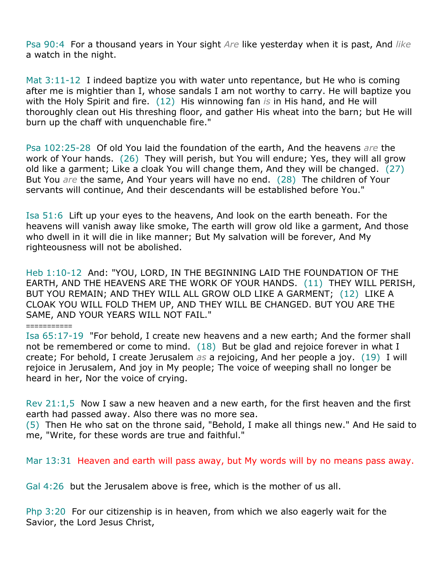Psa 90:4 For a thousand years in Your sight *Are* like yesterday when it is past, And *like* a watch in the night.

Mat  $3:11-12$  I indeed baptize you with water unto repentance, but He who is coming after me is mightier than I, whose sandals I am not worthy to carry. He will baptize you with the Holy Spirit and fire. (12) His winnowing fan *is* in His hand, and He will thoroughly clean out His threshing floor, and gather His wheat into the barn; but He will burn up the chaff with unquenchable fire."

Psa 102:25-28 Of old You laid the foundation of the earth, And the heavens *are* the work of Your hands. (26) They will perish, but You will endure; Yes, they will all grow old like a garment; Like a cloak You will change them, And they will be changed. (27) But You *are* the same, And Your years will have no end. (28) The children of Your servants will continue, And their descendants will be established before You."

Isa 51:6 Lift up your eyes to the heavens, And look on the earth beneath. For the heavens will vanish away like smoke, The earth will grow old like a garment, And those who dwell in it will die in like manner; But My salvation will be forever, And My righteousness will not be abolished.

Heb 1:10-12 And: "YOU, LORD, IN THE BEGINNING LAID THE FOUNDATION OF THE EARTH, AND THE HEAVENS ARE THE WORK OF YOUR HANDS. (11) THEY WILL PERISH, BUT YOU REMAIN; AND THEY WILL ALL GROW OLD LIKE A GARMENT; (12) LIKE A CLOAK YOU WILL FOLD THEM UP, AND THEY WILL BE CHANGED. BUT YOU ARE THE SAME, AND YOUR YEARS WILL NOT FAIL."

## ===========

Isa 65:17-19 "For behold, I create new heavens and a new earth; And the former shall not be remembered or come to mind.  $(18)$  But be glad and rejoice forever in what I create; For behold, I create Jerusalem *as* a rejoicing, And her people a joy. (19) I will rejoice in Jerusalem, And joy in My people; The voice of weeping shall no longer be heard in her, Nor the voice of crying.

Rev 21:1,5 Now I saw a new heaven and a new earth, for the first heaven and the first earth had passed away. Also there was no more sea.

(5) Then He who sat on the throne said, "Behold, I make all things new." And He said to me, "Write, for these words are true and faithful."

Mar 13:31 Heaven and earth will pass away, but My words will by no means pass away.

Gal 4:26 but the Jerusalem above is free, which is the mother of us all.

Php 3:20 For our citizenship is in heaven, from which we also eagerly wait for the Savior, the Lord Jesus Christ,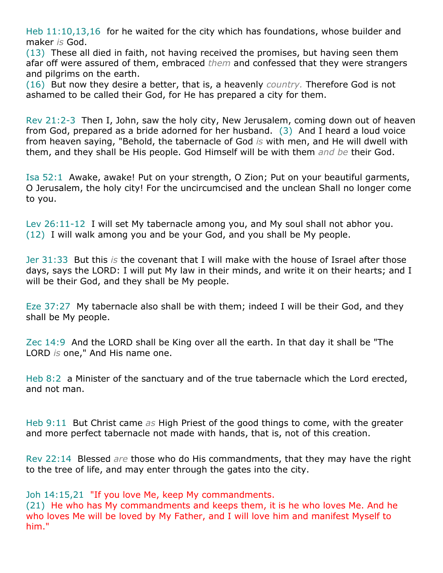Heb 11:10,13,16 for he waited for the city which has foundations, whose builder and maker *is* God.

(13) These all died in faith, not having received the promises, but having seen them afar off were assured of them, embraced *them* and confessed that they were strangers and pilgrims on the earth.

(16) But now they desire a better, that is, a heavenly *country.* Therefore God is not ashamed to be called their God, for He has prepared a city for them.

Rev 21:2-3 Then I, John, saw the holy city, New Jerusalem, coming down out of heaven from God, prepared as a bride adorned for her husband. (3) And I heard a loud voice from heaven saying, "Behold, the tabernacle of God *is* with men, and He will dwell with them, and they shall be His people. God Himself will be with them *and be* their God.

Isa 52:1 Awake, awake! Put on your strength, O Zion; Put on your beautiful garments, O Jerusalem, the holy city! For the uncircumcised and the unclean Shall no longer come to you.

Lev 26:11-12 I will set My tabernacle among you, and My soul shall not abhor you. (12) I will walk among you and be your God, and you shall be My people.

Jer 31:33 But this *is* the covenant that I will make with the house of Israel after those days, says the LORD: I will put My law in their minds, and write it on their hearts; and I will be their God, and they shall be My people.

Eze 37:27 My tabernacle also shall be with them; indeed I will be their God, and they shall be My people.

Zec 14:9 And the LORD shall be King over all the earth. In that day it shall be "The LORD *is* one," And His name one.

Heb 8:2 a Minister of the sanctuary and of the true tabernacle which the Lord erected, and not man.

Heb 9:11 But Christ came *as* High Priest of the good things to come, with the greater and more perfect tabernacle not made with hands, that is, not of this creation.

Rev 22:14 Blessed *are* those who do His commandments, that they may have the right to the tree of life, and may enter through the gates into the city.

Joh 14:15,21 "If you love Me, keep My commandments.

(21) He who has My commandments and keeps them, it is he who loves Me. And he who loves Me will be loved by My Father, and I will love him and manifest Myself to him."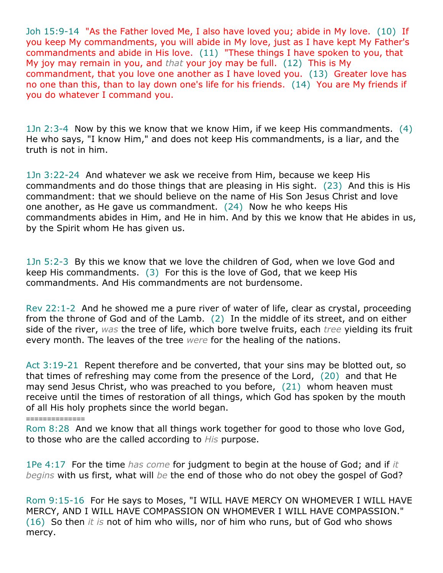Joh 15:9-14 "As the Father loved Me, I also have loved you; abide in My love. (10) If you keep My commandments, you will abide in My love, just as I have kept My Father's commandments and abide in His love. (11) "These things I have spoken to you, that My joy may remain in you, and *that* your joy may be full. (12) This is My commandment, that you love one another as I have loved you. (13) Greater love has no one than this, than to lay down one's life for his friends. (14) You are My friends if you do whatever I command you.

1Jn 2:3-4 Now by this we know that we know Him, if we keep His commandments. (4) He who says, "I know Him," and does not keep His commandments, is a liar, and the truth is not in him.

1Jn 3:22-24 And whatever we ask we receive from Him, because we keep His commandments and do those things that are pleasing in His sight. (23) And this is His commandment: that we should believe on the name of His Son Jesus Christ and love one another, as He gave us commandment. (24) Now he who keeps His commandments abides in Him, and He in him. And by this we know that He abides in us, by the Spirit whom He has given us.

1Jn 5:2-3 By this we know that we love the children of God, when we love God and keep His commandments. (3) For this is the love of God, that we keep His commandments. And His commandments are not burdensome.

Rev 22:1-2 And he showed me a pure river of water of life, clear as crystal, proceeding from the throne of God and of the Lamb. (2) In the middle of its street, and on either side of the river, *was* the tree of life, which bore twelve fruits, each *tree* yielding its fruit every month. The leaves of the tree *were* for the healing of the nations.

Act 3:19-21 Repent therefore and be converted, that your sins may be blotted out, so that times of refreshing may come from the presence of the Lord, (20) and that He may send Jesus Christ, who was preached to you before, (21) whom heaven must receive until the times of restoration of all things, which God has spoken by the mouth of all His holy prophets since the world began.

## ==============

Rom 8:28 And we know that all things work together for good to those who love God, to those who are the called according to *His* purpose.

1Pe 4:17 For the time *has come* for judgment to begin at the house of God; and if *it begins* with us first, what will *be* the end of those who do not obey the gospel of God?

Rom 9:15-16 For He says to Moses, "I WILL HAVE MERCY ON WHOMEVER I WILL HAVE MERCY, AND I WILL HAVE COMPASSION ON WHOMEVER I WILL HAVE COMPASSION." (16) So then *it is* not of him who wills, nor of him who runs, but of God who shows mercy.